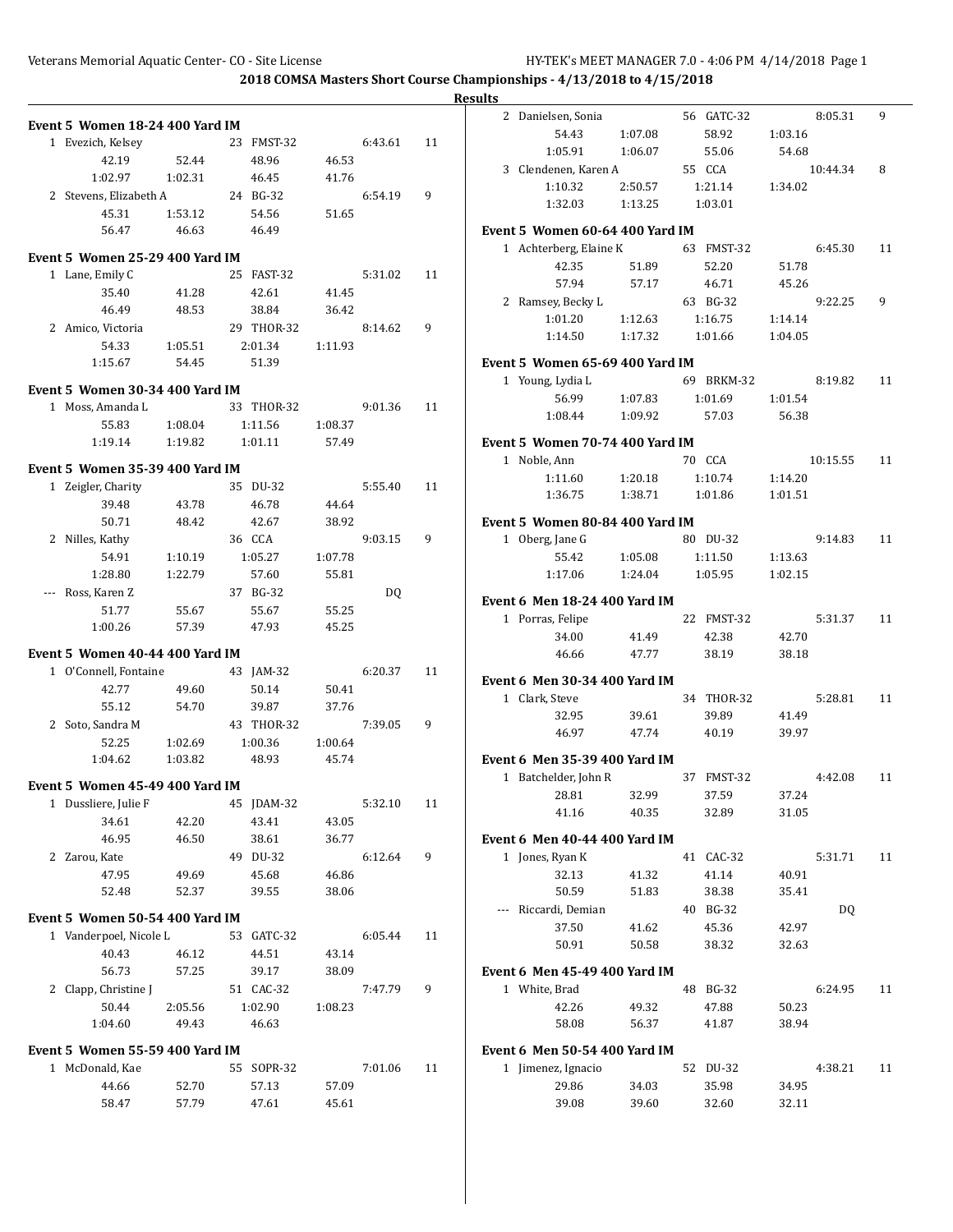|                                 |         |            |         |         |    | <b>Results</b> |                                      |         |            |         |          |    |
|---------------------------------|---------|------------|---------|---------|----|----------------|--------------------------------------|---------|------------|---------|----------|----|
| Event 5 Women 18-24 400 Yard IM |         |            |         |         |    |                | 2 Danielsen, Sonia                   |         | 56 GATC-32 |         | 8:05.31  | 9  |
| 1 Evezich, Kelsey               |         | 23 FMST-32 |         | 6:43.61 | 11 |                | 54.43                                | 1:07.08 | 58.92      | 1:03.16 |          |    |
| 42.19                           | 52.44   | 48.96      | 46.53   |         |    |                | 1:05.91                              | 1:06.07 | 55.06      | 54.68   |          |    |
| 1:02.97                         | 1:02.31 | 46.45      | 41.76   |         |    |                | 3 Clendenen, Karen A                 |         | 55 CCA     |         | 10:44.34 | 8  |
| 2 Stevens, Elizabeth A          |         | 24 BG-32   |         | 6:54.19 | 9  |                | 1:10.32                              | 2:50.57 | 1:21.14    | 1:34.02 |          |    |
| 45.31                           | 1:53.12 | 54.56      | 51.65   |         |    |                | 1:32.03                              | 1:13.25 | 1:03.01    |         |          |    |
| 56.47                           | 46.63   | 46.49      |         |         |    |                | Event 5 Women 60-64 400 Yard IM      |         |            |         |          |    |
|                                 |         |            |         |         |    |                | 1 Achterberg, Elaine K               |         | 63 FMST-32 |         | 6:45.30  | 11 |
| Event 5 Women 25-29 400 Yard IM |         |            |         |         |    |                | 42.35                                | 51.89   | 52.20      | 51.78   |          |    |
| 1 Lane, Emily C                 |         | 25 FAST-32 |         | 5:31.02 | 11 |                | 57.94                                | 57.17   | 46.71      | 45.26   |          |    |
| 35.40                           | 41.28   | 42.61      | 41.45   |         |    |                | 2 Ramsey, Becky L                    |         | 63 BG-32   |         | 9:22.25  | 9  |
| 46.49                           | 48.53   | 38.84      | 36.42   |         |    |                | 1:01.20                              | 1:12.63 | 1:16.75    | 1:14.14 |          |    |
| 2 Amico, Victoria               |         | 29 THOR-32 |         | 8:14.62 | 9  |                | 1:14.50                              | 1:17.32 | 1:01.66    | 1:04.05 |          |    |
| 54.33                           | 1:05.51 | 2:01.34    | 1:11.93 |         |    |                |                                      |         |            |         |          |    |
| 1:15.67                         | 54.45   | 51.39      |         |         |    |                | Event 5 Women 65-69 400 Yard IM      |         |            |         |          |    |
| Event 5 Women 30-34 400 Yard IM |         |            |         |         |    |                | 1 Young, Lydia L                     |         | 69 BRKM-32 |         | 8:19.82  | 11 |
| 1 Moss, Amanda L                |         | 33 THOR-32 |         | 9:01.36 | 11 |                | 56.99                                | 1:07.83 | 1:01.69    | 1:01.54 |          |    |
| 55.83                           | 1:08.04 | 1:11.56    | 1:08.37 |         |    |                | 1:08.44                              | 1:09.92 | 57.03      | 56.38   |          |    |
| 1:19.14                         | 1:19.82 | 1:01.11    | 57.49   |         |    |                | Event 5 Women 70-74 400 Yard IM      |         |            |         |          |    |
|                                 |         |            |         |         |    |                | 1 Noble, Ann                         |         | 70 CCA     |         | 10:15.55 | 11 |
| Event 5 Women 35-39 400 Yard IM |         |            |         |         |    |                | 1:11.60                              | 1:20.18 | 1:10.74    | 1:14.20 |          |    |
| 1 Zeigler, Charity              |         | 35 DU-32   |         | 5:55.40 | 11 |                | 1:36.75                              | 1:38.71 | 1:01.86    | 1:01.51 |          |    |
| 39.48                           | 43.78   | 46.78      | 44.64   |         |    |                |                                      |         |            |         |          |    |
| 50.71                           | 48.42   | 42.67      | 38.92   |         |    |                | Event 5 Women 80-84 400 Yard IM      |         |            |         |          |    |
| 2 Nilles, Kathy                 |         | 36 CCA     |         | 9:03.15 | 9  |                | 1 Oberg, Jane G                      |         | 80 DU-32   |         | 9:14.83  | 11 |
| 54.91                           | 1:10.19 | 1:05.27    | 1:07.78 |         |    |                | 55.42                                | 1:05.08 | 1:11.50    | 1:13.63 |          |    |
| 1:28.80                         | 1:22.79 | 57.60      | 55.81   |         |    |                | 1:17.06                              | 1:24.04 | 1:05.95    | 1:02.15 |          |    |
| --- Ross, Karen Z               |         | 37 BG-32   |         | DQ      |    |                | Event 6 Men 18-24 400 Yard IM        |         |            |         |          |    |
| 51.77                           | 55.67   | 55.67      | 55.25   |         |    |                | 1 Porras, Felipe                     |         | 22 FMST-32 |         | 5:31.37  | 11 |
| 1:00.26                         | 57.39   | 47.93      | 45.25   |         |    |                | 34.00                                | 41.49   | 42.38      | 42.70   |          |    |
| Event 5 Women 40-44 400 Yard IM |         |            |         |         |    |                | 46.66                                | 47.77   | 38.19      | 38.18   |          |    |
| 1 O'Connell, Fontaine           |         | 43 JAM-32  |         | 6:20.37 | 11 |                |                                      |         |            |         |          |    |
| 42.77                           | 49.60   | 50.14      | 50.41   |         |    |                | <b>Event 6 Men 30-34 400 Yard IM</b> |         |            |         |          |    |
| 55.12                           | 54.70   | 39.87      | 37.76   |         |    |                | 1 Clark, Steve                       |         | 34 THOR-32 |         | 5:28.81  | 11 |
| 2 Soto, Sandra M                |         | 43 THOR-32 |         | 7:39.05 | 9  |                | 32.95                                | 39.61   | 39.89      | 41.49   |          |    |
| 52.25                           | 1:02.69 | 1:00.36    | 1:00.64 |         |    |                | 46.97                                | 47.74   | 40.19      | 39.97   |          |    |
| 1:04.62                         | 1:03.82 | 48.93      | 45.74   |         |    |                | <b>Event 6 Men 35-39 400 Yard IM</b> |         |            |         |          |    |
|                                 |         |            |         |         |    |                | 1 Batchelder, John R                 |         | 37 FMST-32 |         | 4:42.08  | 11 |
| Event 5 Women 45-49 400 Yard IM |         |            |         |         |    |                | 28.81                                | 32.99   | 37.59      | 37.24   |          |    |
| 1 Dussliere, Julie F            |         | 45 JDAM-32 |         | 5:32.10 | 11 |                | 41.16                                | 40.35   | 32.89      | 31.05   |          |    |
| 34.61                           | 42.20   | 43.41      | 43.05   |         |    |                |                                      |         |            |         |          |    |
| 46.95                           | 46.50   | 38.61      | 36.77   |         |    |                | <b>Event 6 Men 40-44 400 Yard IM</b> |         |            |         |          |    |
| 2 Zarou, Kate                   |         | 49 DU-32   |         | 6:12.64 | 9  |                | 1 Jones, Ryan K                      |         | 41 CAC-32  |         | 5:31.71  | 11 |
| 47.95                           | 49.69   | 45.68      | 46.86   |         |    |                | 32.13                                | 41.32   | 41.14      | 40.91   |          |    |
| 52.48                           | 52.37   | 39.55      | 38.06   |         |    |                | 50.59                                | 51.83   | 38.38      | 35.41   |          |    |
| Event 5 Women 50-54 400 Yard IM |         |            |         |         |    |                | --- Riccardi, Demian                 |         | 40 BG-32   |         | DQ       |    |
| 1 Vanderpoel, Nicole L          |         | 53 GATC-32 |         | 6:05.44 | 11 |                | 37.50                                | 41.62   | 45.36      | 42.97   |          |    |
| 40.43                           | 46.12   | 44.51      | 43.14   |         |    |                | 50.91                                | 50.58   | 38.32      | 32.63   |          |    |
| 56.73                           | 57.25   | 39.17      | 38.09   |         |    |                | <b>Event 6 Men 45-49 400 Yard IM</b> |         |            |         |          |    |
| 2 Clapp, Christine J            |         | 51 CAC-32  |         | 7:47.79 | 9  |                | 1 White, Brad                        |         | 48 BG-32   |         | 6:24.95  | 11 |
| 50.44                           | 2:05.56 | 1:02.90    | 1:08.23 |         |    |                | 42.26                                | 49.32   | 47.88      | 50.23   |          |    |
| 1:04.60                         | 49.43   | 46.63      |         |         |    |                | 58.08                                | 56.37   | 41.87      | 38.94   |          |    |
|                                 |         |            |         |         |    |                |                                      |         |            |         |          |    |
| Event 5 Women 55-59 400 Yard IM |         |            |         |         |    |                | <b>Event 6 Men 50-54 400 Yard IM</b> |         |            |         |          |    |
| 1 McDonald, Kae                 |         | 55 SOPR-32 |         | 7:01.06 | 11 |                | 1 Jimenez, Ignacio                   |         | 52 DU-32   |         | 4:38.21  | 11 |
| 44.66                           | 52.70   | 57.13      | 57.09   |         |    |                | 29.86                                | 34.03   | 35.98      | 34.95   |          |    |
| 58.47                           | 57.79   | 47.61      | 45.61   |         |    |                | 39.08                                | 39.60   | 32.60      | 32.11   |          |    |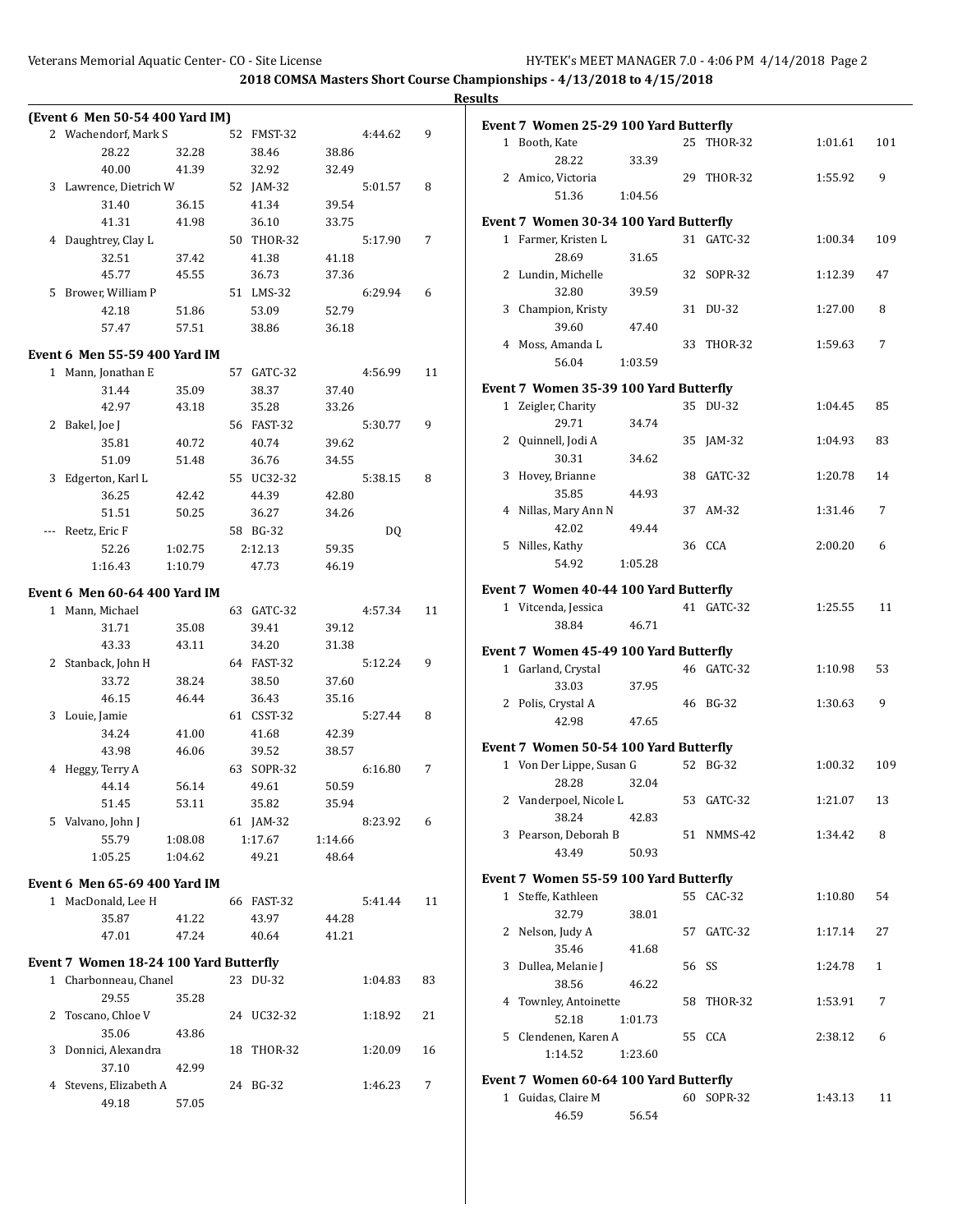|   |                                        |         |            |                |         |    | <b>Results</b> |
|---|----------------------------------------|---------|------------|----------------|---------|----|----------------|
|   | (Event 6 Men 50-54 400 Yard IM)        |         |            |                |         |    | Eve            |
|   | 2 Wachendorf, Mark S                   |         | 52 FMST-32 |                | 4:44.62 | 9  |                |
|   | 28.22                                  | 32.28   | 38.46      | 38.86          |         |    |                |
|   | 40.00                                  | 41.39   | 32.92      | 32.49          |         |    |                |
|   | 3 Lawrence, Dietrich W                 |         | 52 JAM-32  |                | 5:01.57 | 8  |                |
|   | 31.40                                  | 36.15   | 41.34      | 39.54          |         |    |                |
|   | 41.31                                  | 41.98   | 36.10      | 33.75          |         |    | Eve            |
|   | 4 Daughtrey, Clay L                    |         | 50 THOR-32 |                | 5:17.90 | 7  |                |
|   | 32.51                                  | 37.42   | 41.38      | 41.18          |         |    |                |
|   | 45.77                                  | 45.55   | 36.73      | 37.36          |         |    |                |
| 5 | Brower, William P                      |         | 51 LMS-32  |                | 6:29.94 | 6  |                |
|   | 42.18                                  | 51.86   | 53.09      | 52.79          |         |    |                |
|   | 57.47                                  | 57.51   | 38.86      | 36.18          |         |    |                |
|   | Event 6 Men 55-59 400 Yard IM          |         |            |                |         |    |                |
|   | 1 Mann, Jonathan E                     |         | 57 GATC-32 |                | 4:56.99 | 11 |                |
|   | 31.44                                  | 35.09   | 38.37      | 37.40          |         |    | Eve            |
|   | 42.97                                  | 43.18   | 35.28      | 33.26          |         |    |                |
|   |                                        |         | 56 FAST-32 |                | 5:30.77 | 9  |                |
|   | 2 Bakel, Joe J                         |         |            |                |         |    |                |
|   | 35.81                                  | 40.72   | 40.74      | 39.62<br>34.55 |         |    |                |
|   | 51.09                                  | 51.48   | 36.76      |                |         |    |                |
|   | 3 Edgerton, Karl L                     |         | 55 UC32-32 |                | 5:38.15 | 8  |                |
|   | 36.25                                  | 42.42   | 44.39      | 42.80          |         |    |                |
|   | 51.51                                  | 50.25   | 36.27      | 34.26          |         |    |                |
|   | Reetz, Eric F                          |         | 58 BG-32   |                | DQ      |    |                |
|   | 52.26                                  | 1:02.75 | 2:12.13    | 59.35          |         |    |                |
|   | 1:16.43                                | 1:10.79 | 47.73      | 46.19          |         |    |                |
|   | Event 6  Men 60-64 400 Yard IM         |         |            |                |         |    | Eve            |
|   | 1 Mann, Michael                        |         | 63 GATC-32 |                | 4:57.34 | 11 |                |
|   | 31.71                                  | 35.08   | 39.41      | 39.12          |         |    |                |
|   | 43.33                                  | 43.11   | 34.20      | 31.38          |         |    | Eve            |
|   | 2 Stanback, John H                     |         | 64 FAST-32 |                | 5:12.24 | 9  |                |
|   | 33.72                                  | 38.24   | 38.50      | 37.60          |         |    |                |
|   | 46.15                                  | 46.44   | 36.43      | 35.16          |         |    |                |
|   | 3 Louie, Jamie                         |         | 61 CSST-32 |                | 5:27.44 | 8  |                |
|   | 34.24                                  | 41.00   | 41.68      | 42.39          |         |    |                |
|   | 43.98                                  | 46.06   | 39.52      | 38.57          |         |    | Eve            |
|   | 4 Heggy, Terry A                       |         | 63 SOPR-32 |                | 6:16.80 | 7  |                |
|   | 44.14                                  | 56.14   | 49.61      | 50.59          |         |    |                |
|   | 51.45                                  | 53.11   | 35.82      | 35.94          |         |    |                |
|   | 5 Valvano, John J                      |         | 61 JAM-32  |                | 8:23.92 | 6  |                |
|   | 55.79                                  | 1:08.08 | 1:17.67    | 1:14.66        |         |    |                |
|   | 1:05.25                                | 1:04.62 | 49.21      | 48.64          |         |    |                |
|   |                                        |         |            |                |         |    | Eve            |
|   | Event 6 Men 65-69 400 Yard IM          |         |            |                |         |    |                |
|   | 1 MacDonald, Lee H                     |         | 66 FAST-32 |                | 5:41.44 | 11 |                |
|   | 35.87                                  | 41.22   | 43.97      | 44.28          |         |    |                |
|   | 47.01                                  | 47.24   | 40.64      | 41.21          |         |    |                |
|   | Event 7 Women 18-24 100 Yard Butterfly |         |            |                |         |    |                |
|   | 1 Charbonneau, Chanel                  |         | 23 DU-32   |                | 1:04.83 | 83 |                |
|   | 29.55                                  | 35.28   |            |                |         |    |                |
|   | 2 Toscano, Chloe V                     |         | 24 UC32-32 |                | 1:18.92 | 21 |                |
|   | 35.06                                  | 43.86   |            |                |         |    |                |
|   | 3 Donnici, Alexandra                   |         | 18 THOR-32 |                | 1:20.09 | 16 |                |
|   | 37.10                                  | 42.99   |            |                |         |    |                |
| 4 | Stevens, Elizabeth A                   |         | 24 BG-32   |                | 1:46.23 | 7  | Eve            |
|   | 49.18                                  | 57.05   |            |                |         |    |                |

|           | Event 7 Women 25-29 100 Yard Butterfly |         |    |              |         |              |
|-----------|----------------------------------------|---------|----|--------------|---------|--------------|
|           | 1 Booth, Kate                          |         | 25 | THOR-32      | 1:01.61 | 101          |
|           | 28.22                                  | 33.39   |    |              |         |              |
|           | 2 Amico, Victoria                      |         | 29 | THOR-32      | 1:55.92 | 9            |
|           | 51.36                                  | 1:04.56 |    |              |         |              |
|           | Event 7 Women 30-34 100 Yard Butterfly |         |    |              |         |              |
|           | 1 Farmer, Kristen L                    |         |    | 31 GATC-32   | 1:00.34 | 109          |
|           | 28.69                                  | 31.65   |    |              |         |              |
| 2         | Lundin, Michelle                       |         | 32 | SOPR-32      | 1:12.39 | 47           |
|           | 32.80                                  | 39.59   |    |              |         |              |
| 3         | Champion, Kristy                       |         | 31 | DU-32        | 1:27.00 | 8            |
|           | 39.60                                  | 47.40   |    |              |         |              |
|           | 4 Moss, Amanda L                       |         | 33 | THOR-32      | 1:59.63 | 7            |
|           | 56.04                                  | 1:03.59 |    |              |         |              |
|           | Event 7 Women 35-39 100 Yard Butterfly |         |    |              |         |              |
| $1 \quad$ | Zeigler, Charity                       |         | 35 | DU-32        | 1:04.45 | 85           |
|           | 29.71                                  | 34.74   |    |              |         |              |
| 2         | Quinnell, Jodi A                       |         | 35 | JAM-32       | 1:04.93 | 83           |
|           | 30.31                                  | 34.62   |    |              |         |              |
| 3         | Hovey, Brianne                         |         | 38 | GATC-32      | 1:20.78 | 14           |
|           | 35.85                                  | 44.93   |    |              |         |              |
| 4         | Nillas, Mary Ann N<br>42.02            | 49.44   | 37 | AM-32        | 1:31.46 | 7            |
| 5.        | Nilles, Kathy                          |         |    | 36 CCA       | 2:00.20 | 6            |
|           | 54.92                                  | 1:05.28 |    |              |         |              |
|           |                                        |         |    |              |         |              |
|           | Event 7 Women 40-44 100 Yard Butterfly |         |    |              |         |              |
|           | 1 Vitcenda, Jessica<br>38.84           | 46.71   |    | 41 GATC-32   | 1:25.55 | 11           |
|           |                                        |         |    |              |         |              |
|           | Event 7 Women 45-49 100 Yard Butterfly |         |    |              |         |              |
|           | 1 Garland, Crystal                     |         |    | 46 GATC-32   | 1:10.98 | 53           |
|           | 33.03                                  | 37.95   |    |              |         |              |
|           | 2 Polis, Crystal A                     |         |    | 46 BG-32     | 1:30.63 | 9            |
|           | 42.98                                  | 47.65   |    |              |         |              |
|           | Event 7 Women 50-54 100 Yard Butterfly |         |    |              |         |              |
|           | 1 Von Der Lippe, Susan G               |         | 52 | <b>BG-32</b> | 1:00.32 | 109          |
|           | 28.28                                  | 32.04   |    |              |         |              |
| 2         | Vanderpoel, Nicole L                   |         | 53 | GATC-32      | 1:21.07 | 13           |
|           | 38.24                                  | 42.83   |    |              |         |              |
|           | 3 Pearson, Deborah B<br>43.49          | 50.93   |    | 51 NMMS-42   | 1:34.42 | 8            |
|           |                                        |         |    |              |         |              |
|           | Event 7 Women 55-59 100 Yard Butterfly |         |    |              |         |              |
|           | 1 Steffe, Kathleen                     |         |    | 55 CAC-32    | 1:10.80 | 54           |
|           | 32.79                                  | 38.01   |    |              |         |              |
| 2         | Nelson, Judy A                         |         |    | 57 GATC-32   | 1:17.14 | 27           |
|           | 35.46                                  | 41.68   |    |              |         |              |
| 3         | Dullea, Melanie J<br>38.56             | 46.22   |    | 56 SS        | 1:24.78 | $\mathbf{1}$ |
| 4         | Townley, Antoinette                    |         | 58 | THOR-32      | 1:53.91 | 7            |
|           | 52.18                                  | 1:01.73 |    |              |         |              |
| 5         | Clendenen, Karen A                     |         |    | 55 CCA       | 2:38.12 | 6            |
|           | 1:14.52                                | 1:23.60 |    |              |         |              |
|           | Event 7 Women 60-64 100 Yard Butterfly |         |    |              |         |              |
|           | 1 Guidas, Claire M                     |         |    | 60 SOPR-32   | 1:43.13 | 11           |
|           |                                        |         |    |              |         |              |

46.59 56.54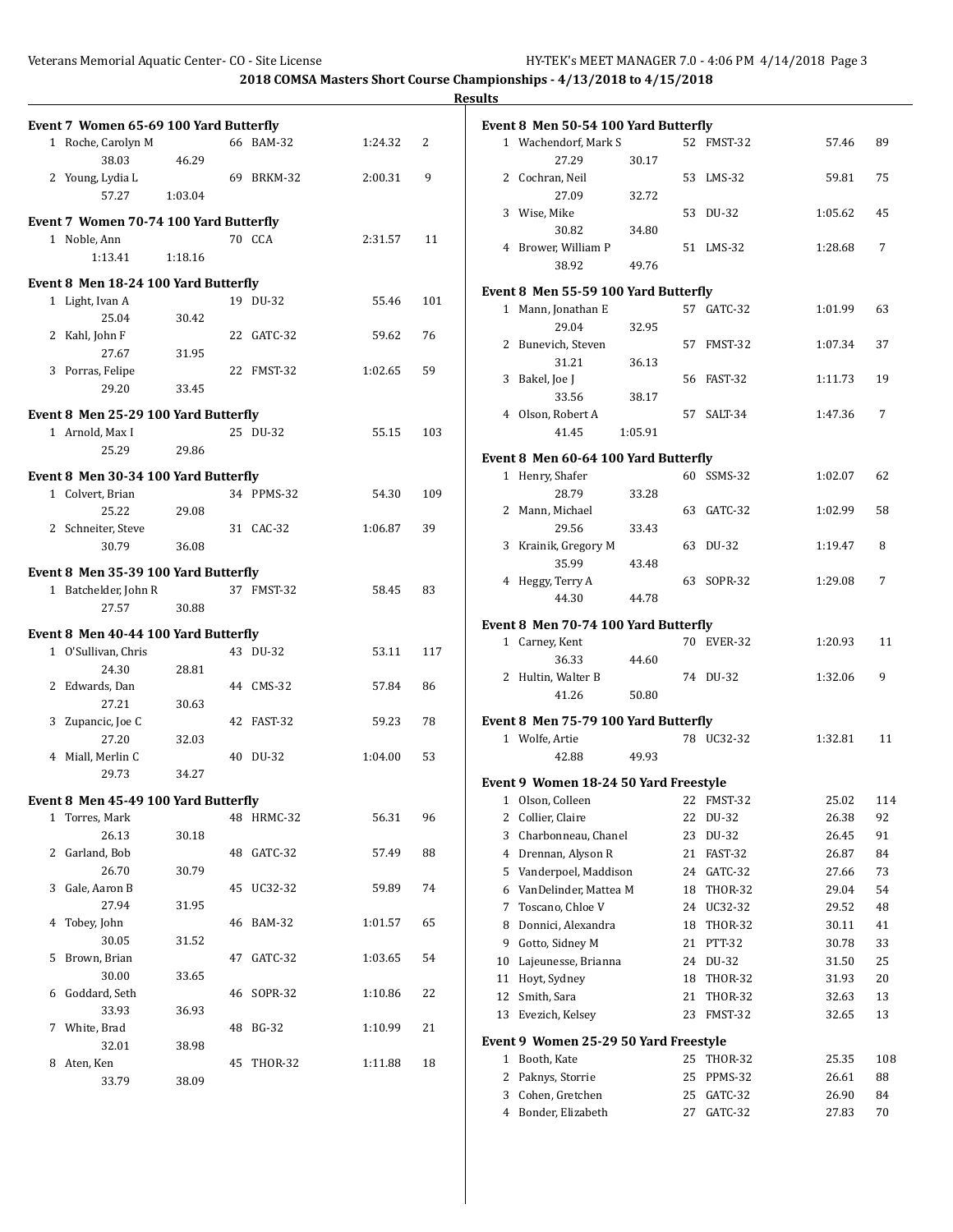|                                        |         |            |         |     | <b>Results</b> |                                                         |         |                          |                |          |
|----------------------------------------|---------|------------|---------|-----|----------------|---------------------------------------------------------|---------|--------------------------|----------------|----------|
| Event 7 Women 65-69 100 Yard Butterfly |         |            |         |     |                | Event 8 Men 50-54 100 Yard Butterfly                    |         |                          |                |          |
| 1 Roche, Carolyn M                     |         | 66 BAM-32  | 1:24.32 | 2   |                | 1 Wachendorf, Mark S                                    |         | 52 FMST-32               | 57.46          | 89       |
| 38.03                                  | 46.29   |            |         |     |                | 27.29                                                   | 30.17   |                          |                |          |
| 2 Young, Lydia L                       |         | 69 BRKM-32 | 2:00.31 | 9   |                | 2 Cochran, Neil                                         |         | 53 LMS-32                | 59.81          | 75       |
| 57.27                                  | 1:03.04 |            |         |     |                | 27.09<br>3 Wise, Mike                                   | 32.72   | 53 DU-32                 | 1:05.62        | 45       |
| Event 7 Women 70-74 100 Yard Butterfly |         |            |         |     |                | 30.82                                                   | 34.80   |                          |                |          |
| 1 Noble, Ann                           |         | 70 CCA     | 2:31.57 | 11  |                | 4 Brower, William P                                     |         | 51 LMS-32                | 1:28.68        | 7        |
| 1:13.41                                | 1:18.16 |            |         |     |                | 38.92                                                   | 49.76   |                          |                |          |
| Event 8 Men 18-24 100 Yard Butterfly   |         |            |         |     |                |                                                         |         |                          |                |          |
| 1 Light, Ivan A                        |         | 19 DU-32   | 55.46   | 101 |                | Event 8 Men 55-59 100 Yard Butterfly                    |         |                          |                |          |
| 25.04                                  | 30.42   |            |         |     |                | 1 Mann, Jonathan E                                      |         | 57 GATC-32               | 1:01.99        | 63       |
| 2 Kahl, John F                         |         | 22 GATC-32 | 59.62   | 76  |                | 29.04<br>2 Bunevich, Steven                             | 32.95   | 57 FMST-32               | 1:07.34        | 37       |
| 27.67                                  | 31.95   |            |         |     |                | 31.21                                                   | 36.13   |                          |                |          |
| 3 Porras, Felipe                       |         | 22 FMST-32 | 1:02.65 | 59  |                | 3 Bakel, Joe J                                          |         | 56 FAST-32               | 1:11.73        | 19       |
| 29.20                                  | 33.45   |            |         |     |                | 33.56                                                   | 38.17   |                          |                |          |
| Event 8 Men 25-29 100 Yard Butterfly   |         |            |         |     |                | 4 Olson, Robert A                                       |         | 57 SALT-34               | 1:47.36        | 7        |
| 1 Arnold, Max I                        |         | 25 DU-32   | 55.15   | 103 |                | 41.45                                                   | 1:05.91 |                          |                |          |
| 25.29                                  | 29.86   |            |         |     |                |                                                         |         |                          |                |          |
| Event 8 Men 30-34 100 Yard Butterfly   |         |            |         |     |                | Event 8 Men 60-64 100 Yard Butterfly<br>1 Henry, Shafer |         | 60 SSMS-32               | 1:02.07        | 62       |
| 1 Colvert, Brian                       |         | 34 PPMS-32 | 54.30   | 109 |                | 28.79                                                   | 33.28   |                          |                |          |
| 25.22                                  | 29.08   |            |         |     |                | 2 Mann, Michael                                         |         | 63 GATC-32               | 1:02.99        | 58       |
| 2 Schneiter, Steve                     |         | 31 CAC-32  | 1:06.87 | 39  |                | 29.56                                                   | 33.43   |                          |                |          |
| 30.79                                  | 36.08   |            |         |     |                | 3 Krainik, Gregory M                                    |         | 63 DU-32                 | 1:19.47        | 8        |
|                                        |         |            |         |     |                | 35.99                                                   | 43.48   |                          |                |          |
| Event 8 Men 35-39 100 Yard Butterfly   |         |            |         |     |                | 4 Heggy, Terry A                                        |         | 63 SOPR-32               | 1:29.08        | 7        |
| 1 Batchelder, John R                   |         | 37 FMST-32 | 58.45   | 83  |                | 44.30                                                   | 44.78   |                          |                |          |
| 27.57                                  | 30.88   |            |         |     |                | Event 8 Men 70-74 100 Yard Butterfly                    |         |                          |                |          |
| Event 8 Men 40-44 100 Yard Butterfly   |         |            |         |     |                | 1 Carney, Kent                                          |         | 70 EVER-32               | 1:20.93        | 11       |
| 1 O'Sullivan, Chris                    |         | 43 DU-32   | 53.11   | 117 |                | 36.33                                                   | 44.60   |                          |                |          |
| 24.30                                  | 28.81   |            |         |     |                | 2 Hultin, Walter B                                      |         | 74 DU-32                 | 1:32.06        | 9        |
| 2 Edwards, Dan                         |         | 44 CMS-32  | 57.84   | 86  |                | 41.26                                                   | 50.80   |                          |                |          |
| 27.21                                  | 30.63   |            |         |     |                | Event 8 Men 75-79 100 Yard Butterfly                    |         |                          |                |          |
| 3 Zupancic, Joe C<br>27.20             | 32.03   | 42 FAST-32 | 59.23   | 78  |                | 1 Wolfe, Artie                                          |         | 78 UC32-32               | 1:32.81        | 11       |
| 4 Miall, Merlin C                      |         | 40 DU-32   | 1:04.00 | 53  |                | 42.88                                                   | 49.93   |                          |                |          |
| 29.73                                  | 34.27   |            |         |     |                |                                                         |         |                          |                |          |
|                                        |         |            |         |     |                | Event 9 Women 18-24 50 Yard Freestyle                   |         |                          |                |          |
| Event 8 Men 45-49 100 Yard Butterfly   |         |            |         |     |                | 1 Olson, Colleen                                        |         | 22 FMST-32               | 25.02          | 114      |
| 1 Torres, Mark                         |         | 48 HRMC-32 | 56.31   | 96  |                | 2 Collier, Claire                                       |         | 22 DU-32                 | 26.38          | 92       |
| 26.13                                  | 30.18   |            |         |     | 3              | Charbonneau, Chanel                                     |         | 23 DU-32                 | 26.45          | 91       |
| 2 Garland, Bob<br>26.70                |         | 48 GATC-32 | 57.49   | 88  | 4              | Drennan, Alyson R                                       |         | 21 FAST-32               | 26.87          | 84       |
| 3 Gale, Aaron B                        | 30.79   | 45 UC32-32 | 59.89   | 74  | 5              | Vanderpoel, Maddison<br>VanDelinder, Mattea M           |         | 24 GATC-32<br>18 THOR-32 | 27.66<br>29.04 | 73<br>54 |
| 27.94                                  | 31.95   |            |         |     | 6<br>7         | Toscano, Chloe V                                        |         | 24 UC32-32               | 29.52          | 48       |
| 4 Tobey, John                          |         | 46 BAM-32  | 1:01.57 | 65  | 8              | Donnici, Alexandra                                      |         | 18 THOR-32               | 30.11          | 41       |
| 30.05                                  | 31.52   |            |         |     | 9              | Gotto, Sidney M                                         |         | 21 PTT-32                | 30.78          | 33       |
| 5 Brown, Brian                         |         | 47 GATC-32 | 1:03.65 | 54  | 10             | Lajeunesse, Brianna                                     |         | 24 DU-32                 | 31.50          | 25       |
| 30.00                                  | 33.65   |            |         |     |                | 11 Hoyt, Sydney                                         |         | 18 THOR-32               | 31.93          | 20       |
| 6 Goddard, Seth                        |         | 46 SOPR-32 | 1:10.86 | 22  |                | 12 Smith, Sara                                          |         | 21 THOR-32               | 32.63          | 13       |
| 33.93                                  | 36.93   |            |         |     |                | 13 Evezich, Kelsey                                      |         | 23 FMST-32               | 32.65          | 13       |
| 7 White, Brad                          |         | 48 BG-32   | 1:10.99 | 21  |                |                                                         |         |                          |                |          |
| 32.01                                  | 38.98   |            |         |     |                | Event 9 Women 25-29 50 Yard Freestyle                   |         |                          |                |          |
| 8 Aten, Ken                            |         | 45 THOR-32 | 1:11.88 | 18  |                | 1 Booth, Kate                                           |         | 25 THOR-32               | 25.35          | 108      |
| 33.79                                  | 38.09   |            |         |     |                | 2 Paknys, Storrie                                       |         | 25 PPMS-32               | 26.61          | 88       |
|                                        |         |            |         |     |                | 3 Cohen, Gretchen                                       |         | 25 GATC-32<br>27 GATC-32 | 26.90          | 84       |
|                                        |         |            |         |     |                | 4 Bonder, Elizabeth                                     |         |                          | 27.83          | 70       |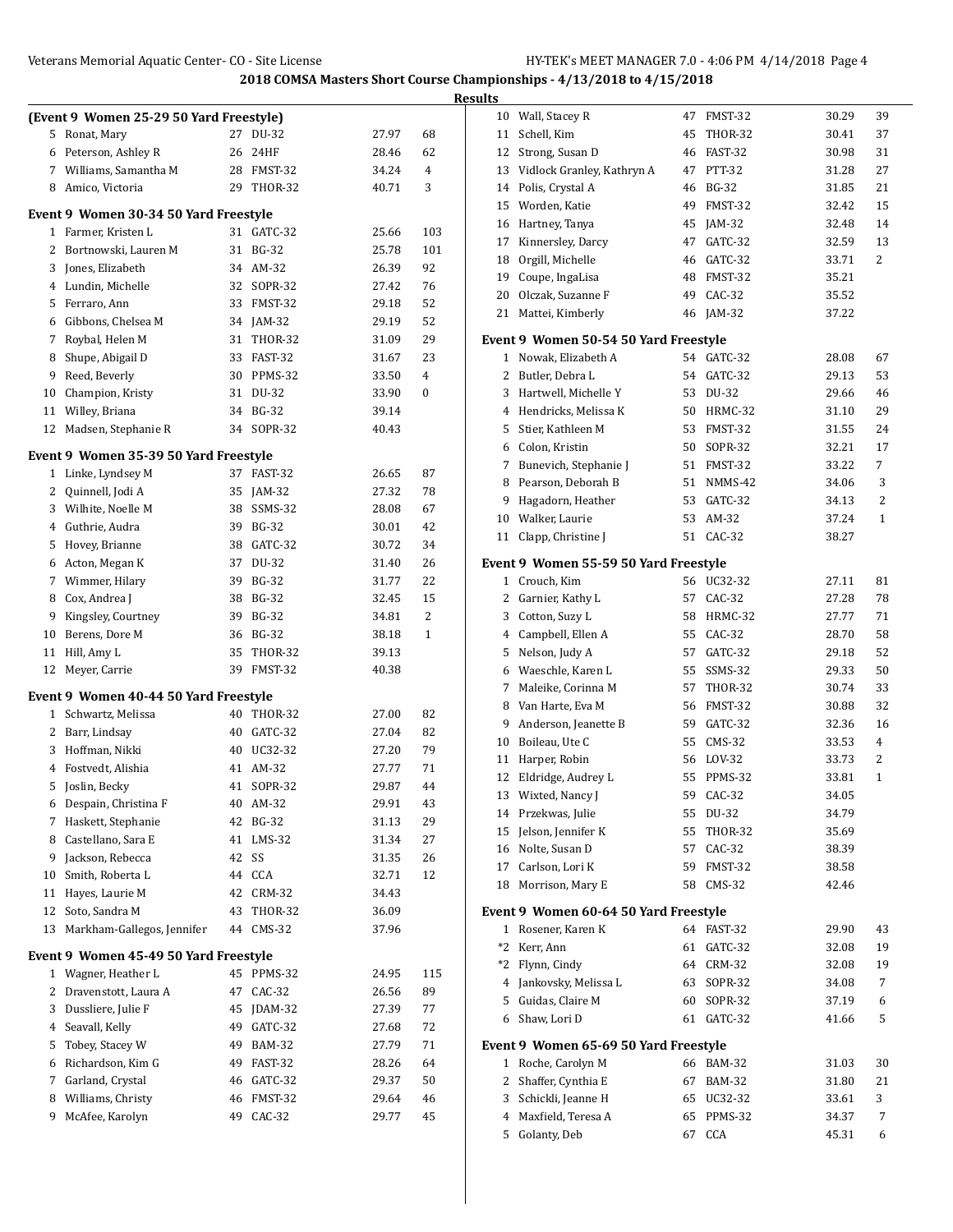|    |                                         |    |                |       |              | <b>Results</b> |                                       |    |                |       |              |
|----|-----------------------------------------|----|----------------|-------|--------------|----------------|---------------------------------------|----|----------------|-------|--------------|
|    | (Event 9 Women 25-29 50 Yard Freestyle) |    |                |       |              |                | 10 Wall, Stacey R                     |    | 47 FMST-32     | 30.29 | 39           |
|    | 5 Ronat, Mary                           |    | 27 DU-32       | 27.97 | 68           | 11             | Schell, Kim                           | 45 | THOR-32        | 30.41 | 37           |
| 6  | Peterson, Ashley R                      | 26 | 24HF           | 28.46 | 62           | 12             | Strong, Susan D                       | 46 | FAST-32        | 30.98 | 31           |
| 7  | Williams, Samantha M                    | 28 | FMST-32        | 34.24 | 4            | 13             | Vidlock Granley, Kathryn A            |    | 47 PTT-32      | 31.28 | 27           |
| 8  | Amico, Victoria                         | 29 | <b>THOR-32</b> | 40.71 | 3            | 14             | Polis, Crystal A                      | 46 | BG-32          | 31.85 | 21           |
|    | Event 9 Women 30-34 50 Yard Freestyle   |    |                |       |              | 15             | Worden, Katie                         | 49 | FMST-32        | 32.42 | 15           |
|    | 1 Farmer, Kristen L                     |    | 31 GATC-32     | 25.66 | 103          | 16             | Hartney, Tanya                        | 45 | JAM-32         | 32.48 | 14           |
| 2  | Bortnowski, Lauren M                    |    | 31 BG-32       | 25.78 | 101          | 17             | Kinnersley, Darcy                     | 47 | GATC-32        | 32.59 | 13           |
| 3  | Jones, Elizabeth                        |    | 34 AM-32       | 26.39 | 92           | 18             | Orgill, Michelle                      | 46 | GATC-32        | 33.71 | 2            |
| 4  | Lundin, Michelle                        | 32 | <b>SOPR-32</b> | 27.42 | 76           | 19             | Coupe, IngaLisa                       | 48 | FMST-32        | 35.21 |              |
| 5  | Ferraro, Ann                            | 33 | FMST-32        | 29.18 | 52           | 20             | Olczak, Suzanne F                     | 49 | $CAC-32$       | 35.52 |              |
| 6  | Gibbons, Chelsea M                      | 34 | JAM-32         | 29.19 | 52           | 21             | Mattei, Kimberly                      | 46 | JAM-32         | 37.22 |              |
| 7  | Roybal, Helen M                         | 31 | THOR-32        | 31.09 | 29           |                | Event 9 Women 50-54 50 Yard Freestyle |    |                |       |              |
| 8  | Shupe, Abigail D                        | 33 | FAST-32        | 31.67 | 23           |                | 1 Nowak, Elizabeth A                  |    | 54 GATC-32     | 28.08 | 67           |
| 9  | Reed, Beverly                           | 30 | PPMS-32        | 33.50 | 4            | 2              | Butler, Debra L                       |    | 54 GATC-32     | 29.13 | 53           |
| 10 | Champion, Kristy                        | 31 | DU-32          | 33.90 | $\mathbf{0}$ | 3              | Hartwell, Michelle Y                  | 53 | DU-32          | 29.66 | 46           |
| 11 | Willey, Briana                          | 34 | <b>BG-32</b>   | 39.14 |              | 4              | Hendricks, Melissa K                  | 50 | HRMC-32        | 31.10 | 29           |
| 12 | Madsen, Stephanie R                     | 34 | SOPR-32        | 40.43 |              | 5              | Stier, Kathleen M                     | 53 | FMST-32        | 31.55 | 24           |
|    |                                         |    |                |       |              | 6              | Colon, Kristin                        | 50 | SOPR-32        | 32.21 | 17           |
|    | Event 9 Women 35-39 50 Yard Freestyle   |    |                |       |              | 7              | Bunevich, Stephanie J                 |    | 51 FMST-32     | 33.22 | 7            |
|    | 1 Linke, Lyndsey M                      |    | 37 FAST-32     | 26.65 | 87           | 8              | Pearson, Deborah B                    | 51 | NMMS-42        | 34.06 | 3            |
| 2  | Quinnell, Jodi A                        | 35 | $IAM-32$       | 27.32 | 78           | 9              | Hagadorn, Heather                     | 53 | GATC-32        | 34.13 | 2            |
| 3  | Wilhite, Noelle M                       | 38 | SSMS-32        | 28.08 | 67           | 10             | Walker, Laurie                        | 53 | AM-32          | 37.24 | $\mathbf{1}$ |
| 4  | Guthrie, Audra                          | 39 | <b>BG-32</b>   | 30.01 | 42           |                | 11 Clapp, Christine J                 |    | 51 CAC-32      | 38.27 |              |
| 5  | Hovey, Brianne                          | 38 | GATC-32        | 30.72 | 34           |                |                                       |    |                |       |              |
| 6  | Acton, Megan K                          | 37 | DU-32          | 31.40 | 26           |                | Event 9 Women 55-59 50 Yard Freestyle |    |                |       |              |
| 7  | Wimmer, Hilary                          | 39 | <b>BG-32</b>   | 31.77 | 22           |                | 1 Crouch, Kim                         |    | 56 UC32-32     | 27.11 | 81           |
| 8  | Cox, Andrea J                           | 38 | <b>BG-32</b>   | 32.45 | 15           | 2              | Garnier, Kathy L                      |    | 57 CAC-32      | 27.28 | 78           |
| 9  | Kingsley, Courtney                      | 39 | <b>BG-32</b>   | 34.81 | 2            | 3              | Cotton, Suzy L                        | 58 | HRMC-32        | 27.77 | 71           |
| 10 | Berens, Dore M                          | 36 | <b>BG-32</b>   | 38.18 | 1            | 4              | Campbell, Ellen A                     | 55 | CAC-32         | 28.70 | 58           |
| 11 | Hill, Amy L                             | 35 | <b>THOR-32</b> | 39.13 |              | 5              | Nelson, Judy A                        | 57 | GATC-32        | 29.18 | 52           |
| 12 | Meyer, Carrie                           | 39 | FMST-32        | 40.38 |              | 6              | Waeschle, Karen L                     | 55 | SSMS-32        | 29.33 | 50           |
|    | Event 9 Women 40-44 50 Yard Freestyle   |    |                |       |              | 7              | Maleike, Corinna M                    | 57 | <b>THOR-32</b> | 30.74 | 33           |
|    | 1 Schwartz, Melissa                     |    | 40 THOR-32     | 27.00 | 82           | 8              | Van Harte, Eva M                      | 56 | FMST-32        | 30.88 | 32           |
| 2  | Barr, Lindsay                           | 40 | GATC-32        | 27.04 | 82           | 9              | Anderson, Jeanette B                  | 59 | GATC-32        | 32.36 | 16           |
| 3  | Hoffman, Nikki                          | 40 | UC32-32        | 27.20 | 79           | 10             | Boileau, Ute C                        | 55 | $CMS-32$       | 33.53 | 4            |
| 4  | Fostvedt, Alishia                       |    | 41 AM-32       | 27.77 | 71           | 11             | Harper, Robin                         | 56 | $LOV-32$       | 33.73 | 2            |
| 5  | Joslin, Becky                           | 41 | SOPR-32        | 29.87 | 44           |                | 12 Eldridge, Audrey L                 |    | 55 PPMS-32     | 33.81 | $\mathbf{1}$ |
| 6  | Despain, Christina F                    | 40 | AM-32          | 29.91 | 43           |                | 13 Wixted, Nancy J                    | 59 | CAC-32         | 34.05 |              |
|    | 7 Haskett, Stephanie                    | 42 | <b>BG-32</b>   | 31.13 | 29           |                | 14 Przekwas, Julie                    |    | 55 DU-32       | 34.79 |              |
| 8  | Castellano, Sara E                      |    | 41 LMS-32      | 31.34 | 27           | 15             | Jelson, Jennifer K                    |    | 55 THOR-32     | 35.69 |              |
| 9  | Jackson, Rebecca                        | 42 | SS             | 31.35 | 26           |                | 16 Nolte, Susan D                     |    | 57 CAC-32      | 38.39 |              |
| 10 | Smith, Roberta L                        | 44 | CCA            | 32.71 | 12           |                | 17 Carlson, Lori K                    |    | 59 FMST-32     | 38.58 |              |
| 11 | Hayes, Laurie M                         | 42 | CRM-32         | 34.43 |              |                | 18 Morrison, Mary E                   |    | 58 CMS-32      | 42.46 |              |
| 12 | Soto, Sandra M                          | 43 | <b>THOR-32</b> | 36.09 |              |                | Event 9 Women 60-64 50 Yard Freestyle |    |                |       |              |
| 13 | Markham-Gallegos, Jennifer              | 44 | $CMS-32$       | 37.96 |              |                | 1 Rosener, Karen K                    |    | 64 FAST-32     | 29.90 | 43           |
|    |                                         |    |                |       |              |                | *2 Kerr, Ann                          |    | 61 GATC-32     | 32.08 | 19           |
|    | Event 9 Women 45-49 50 Yard Freestyle   |    |                |       |              | *2             | Flynn, Cindy                          |    | 64 CRM-32      | 32.08 | 19           |
|    | 1 Wagner, Heather L                     |    | 45 PPMS-32     | 24.95 | 115          |                | 4 Jankovsky, Melissa L                |    | 63 SOPR-32     | 34.08 | 7            |
| 2  | Dravenstott, Laura A                    |    | 47 CAC-32      | 26.56 | 89           | 5              | Guidas, Claire M                      |    | 60 SOPR-32     | 37.19 | 6            |
| 3  | Dussliere, Julie F                      | 45 | JDAM-32        | 27.39 | 77           | 6              | Shaw, Lori D                          |    | 61 GATC-32     | 41.66 | 5            |
|    | 4 Seavall, Kelly                        | 49 | GATC-32        | 27.68 | 72           |                |                                       |    |                |       |              |
| 5  | Tobey, Stacey W                         | 49 | <b>BAM-32</b>  | 27.79 | 71           |                | Event 9 Women 65-69 50 Yard Freestyle |    |                |       |              |
| 6  | Richardson, Kim G                       | 49 | FAST-32        | 28.26 | 64           |                | 1 Roche, Carolyn M                    |    | 66 BAM-32      | 31.03 | $30\,$       |
| 7  | Garland, Crystal                        | 46 | GATC-32        | 29.37 | 50           |                | 2 Shaffer, Cynthia E                  |    | 67 BAM-32      | 31.80 | 21           |
| 8  | Williams, Christy                       | 46 | FMST-32        | 29.64 | 46           | 3              | Schickli, Jeanne H                    |    | 65 UC32-32     | 33.61 | 3            |
|    | 9 McAfee, Karolyn                       | 49 | CAC-32         | 29.77 | 45           |                | 4 Maxfield, Teresa A                  |    | 65 PPMS-32     | 34.37 | 7            |
|    |                                         |    |                |       |              |                | 5 Golanty, Deb                        |    | 67 CCA         | 45.31 | 6            |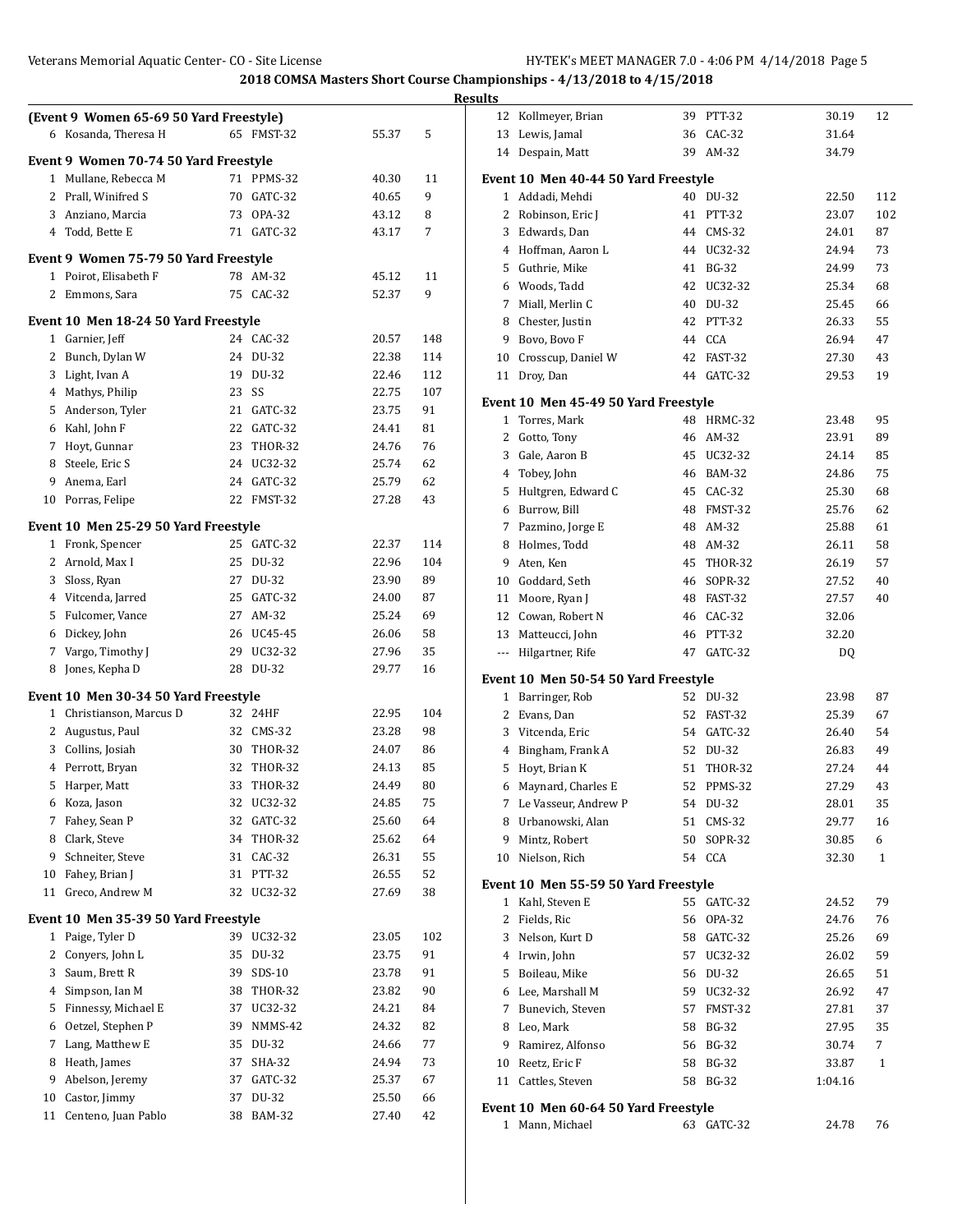|    |                                         |          |                  |       |     | <b>Results</b>    |                          |
|----|-----------------------------------------|----------|------------------|-------|-----|-------------------|--------------------------|
|    | (Event 9 Women 65-69 50 Yard Freestyle) |          |                  |       |     |                   | 12 Kollmeye              |
|    | 6 Kosanda, Theresa H                    |          | 65 FMST-32       | 55.37 | 5   |                   | 13 Lewis, Jar            |
|    | Event 9 Women 70-74 50 Yard Freestyle   |          |                  |       |     |                   | 14 Despain,              |
|    | 1 Mullane, Rebecca M                    |          | 71 PPMS-32       | 40.30 | 11  |                   | Event 10 Men             |
| 2  | Prall, Winifred S                       | 70       | GATC-32          | 40.65 | 9   | $\mathbf{1}$      | Addadi, M                |
| 3  | Anziano, Marcia                         | 73       | OPA-32           | 43.12 | 8   | 2                 | Robinson                 |
| 4  | Todd, Bette E                           |          | 71 GATC-32       | 43.17 | 7   | 3                 | Edwards,                 |
|    |                                         |          |                  |       |     |                   | 4 Hoffman,               |
|    | Event 9 Women 75-79 50 Yard Freestyle   |          |                  |       |     | 5                 | Guthrie, I               |
|    | 1 Poirot, Elisabeth F                   |          | 78 AM-32         | 45.12 | 11  | 6                 | Woods, T                 |
|    | 2 Emmons, Sara                          |          | 75 CAC-32        | 52.37 | 9   | 7                 | Miall, Me                |
|    | Event 10 Men 18-24 50 Yard Freestyle    |          |                  |       |     | 8                 | Chester, J               |
|    | 1 Garnier, Jeff                         |          | 24 CAC-32        | 20.57 | 148 | 9                 | Bovo, Boy                |
| 2  | Bunch, Dylan W                          |          | 24 DU-32         | 22.38 | 114 | 10                | Crosscup                 |
| 3  | Light, Ivan A                           | 19       | DU-32            | 22.46 | 112 | 11                | Droy, Dar                |
| 4  | Mathys, Philip                          | 23       | SS               | 22.75 | 107 |                   |                          |
| 5  | Anderson, Tyler                         | 21       | GATC-32          | 23.75 | 91  |                   | Event 10 Men             |
|    | 6 Kahl, John F                          | 22       | GATC-32          | 24.41 | 81  | $\mathbf{1}$      | Torres, M                |
|    | 7 Hoyt, Gunnar                          | 23       | <b>THOR-32</b>   | 24.76 | 76  | 2                 | Gotto, To                |
| 8  | Steele, Eric S                          | 24       | UC32-32          | 25.74 | 62  | 3                 | Gale, Aar                |
| 9  | Anema, Earl                             | 24       | GATC-32          | 25.79 | 62  | 4                 | Tobey, Jol               |
| 10 | Porras, Felipe                          |          | 22 FMST-32       | 27.28 | 43  | 5                 | Hultgren,                |
|    |                                         |          |                  |       |     | 6                 | Burrow, I                |
|    | Event 10 Men 25-29 50 Yard Freestyle    |          |                  |       |     | 7                 | Pazmino,                 |
|    | 1 Fronk, Spencer                        |          | 25 GATC-32       | 22.37 | 114 | 8                 | Holmes, 7                |
| 2  | Arnold, Max I                           | 25       | DU-32            | 22.96 | 104 | 9                 | Aten, Ken                |
| 3  | Sloss, Ryan                             | 27       | DU-32            | 23.90 | 89  | 10                | Goddard,                 |
| 4  | Vitcenda, Jarred                        | 25       | GATC-32          | 24.00 | 87  | 11                | Moore, R                 |
| 5  | Fulcomer, Vance                         | 27       | AM-32            | 25.24 | 69  | 12                | Cowan, R                 |
|    | 6 Dickey, John                          |          | 26 UC45-45       | 26.06 | 58  | 13                | Matteucc                 |
|    | 7 Vargo, Timothy J                      |          | 29 UC32-32       | 27.96 | 35  | $---$             | Hilgartne                |
| 8  | Jones, Kepha D                          |          | 28 DU-32         | 29.77 | 16  |                   | <b>Event 10 Men</b>      |
|    | Event 10 Men 30-34 50 Yard Freestyle    |          |                  |       |     | $\mathbf{1}$      | Barringer                |
|    | 1 Christianson, Marcus D                |          | 32 24HF          | 22.95 | 104 | 2                 | Evans, Da                |
|    | 2 Augustus, Paul                        |          | 32 CMS-32        | 23.28 | 98  | 3                 | Vitcenda,                |
| 3  | Collins, Josiah                         | 30       | THOR-32          | 24.07 | 86  | 4                 | Bingham,                 |
| 4  | Perrott, Bryan                          | 32       | THOR-32          | 24.13 | 85  | 5                 | Hoyt, Bria               |
| 5  | Harper, Matt                            | 33       | THOR-32          | 24.49 | 80  | 6                 | Maynard,                 |
| 6  | Koza, Jason                             | 32       | UC32-32          | 24.85 | 75  | 7                 | Le Vasseı                |
| 7  | Fahey, Sean P                           | 32       | GATC-32          | 25.60 | 64  | 8                 | Urbanow                  |
| 8  | Clark, Steve                            | 34       | THOR-32          | 25.62 | 64  | 9                 | Mintz, Ro                |
| 9  | Schneiter, Steve                        |          | 31 CAC-32        | 26.31 | 55  | 10                | Nielson, I               |
| 10 | Fahey, Brian J                          |          | 31 PTT-32        | 26.55 | 52  |                   |                          |
| 11 | Greco, Andrew M                         | 32       | UC32-32          | 27.69 | 38  |                   | Event 10 Men             |
|    | Event 10 Men 35-39 50 Yard Freestyle    |          |                  |       |     | $\mathbf{1}$<br>2 | Kahl, Stey<br>Fields, Ri |
| 1  | Paige, Tyler D                          |          | 39 UC32-32       | 23.05 | 102 | 3                 | Nelson, K                |
| 2  | Conyers, John L                         | 35       | DU-32            | 23.75 | 91  |                   | Irwin, Joh               |
| 3  | Saum, Brett R                           | 39       | SDS-10           | 23.78 | 91  | 4                 | Boileau, N               |
| 4  | Simpson, Ian M                          | 38       | THOR-32          | 23.82 | 90  | 5                 |                          |
| 5  | Finnessy, Michael E                     | 37       | UC32-32          | 24.21 | 84  | 6                 | Lee, Mars                |
|    | Oetzel, Stephen P                       |          | NMMS-42          | 24.32 | 82  | 7                 | Bunevich                 |
| 6  | Lang, Matthew E                         | 39<br>35 | DU-32            | 24.66 | 77  | 8                 | Leo, Marl                |
| 7  | Heath, James                            |          | <b>SHA-32</b>    | 24.94 | 73  | 9                 | Ramirez,                 |
| 8  | Abelson, Jeremy                         | 37       |                  |       |     | 10                | Reetz, Eri               |
| 9  | Castor, Jimmy                           | 37       | GATC-32<br>DU-32 | 25.37 | 67  | 11                | Cattles, S               |
| 10 |                                         | 37       |                  | 25.50 | 66  |                   | Event 10 Men             |
| 11 | Centeno, Juan Pablo                     | 38       | <b>BAM-32</b>    | 27.40 | 42  |                   | 1 Mann, Mi               |

| 12           | Kollmeyer, Brian                     | 39 | PTT-32         | 30.19   | 12  |
|--------------|--------------------------------------|----|----------------|---------|-----|
| 13           | Lewis, Jamal                         | 36 | CAC-32         | 31.64   |     |
| 14           | Despain, Matt                        | 39 | AM-32          | 34.79   |     |
|              | Event 10 Men 40-44 50 Yard Freestyle |    |                |         |     |
| 1            | Addadi, Mehdi                        | 40 | DU-32          | 22.50   | 112 |
| 2            | Robinson, Eric J                     | 41 | PTT-32         | 23.07   | 102 |
| 3            | Edwards, Dan                         | 44 | $CMS-32$       | 24.01   | 87  |
|              | 4 Hoffman, Aaron L                   | 44 | UC32-32        | 24.94   | 73  |
| 5            | Guthrie, Mike                        | 41 | <b>BG-32</b>   | 24.99   | 73  |
| 6            | Woods, Tadd                          | 42 | UC32-32        | 25.34   | 68  |
| 7            | Miall, Merlin C                      | 40 | DU-32          | 25.45   | 66  |
| 8            | Chester, Justin                      | 42 | <b>PTT-32</b>  | 26.33   | 55  |
| 9            | Bovo, Bovo F                         | 44 | CCA            | 26.94   | 47  |
| 10           | Crosscup, Daniel W                   | 42 | FAST-32        | 27.30   | 43  |
| 11           | Droy, Dan                            | 44 | GATC-32        | 29.53   | 19  |
|              | Event 10 Men 45-49 50 Yard Freestyle |    |                |         |     |
| 1            | Torres, Mark                         | 48 | HRMC-32        | 23.48   | 95  |
| 2            | Gotto, Tony                          | 46 | AM-32          | 23.91   | 89  |
| 3            | Gale, Aaron B                        | 45 | UC32-32        | 24.14   | 85  |
| 4            | Tobey, John                          | 46 | <b>BAM-32</b>  | 24.86   | 75  |
| 5            | Hultgren, Edward C                   | 45 | CAC-32         | 25.30   | 68  |
| 6            | Burrow, Bill                         | 48 | FMST-32        | 25.76   | 62  |
| 7            | Pazmino, Jorge E                     | 48 | AM-32          | 25.88   | 61  |
| 8            | Holmes, Todd                         | 48 | AM-32          | 26.11   | 58  |
| 9            | Aten, Ken                            | 45 | <b>THOR-32</b> | 26.19   | 57  |
| 10           | Goddard, Seth                        | 46 | SOPR-32        | 27.52   | 40  |
| 11           | Moore, Ryan J                        | 48 | FAST-32        | 27.57   | 40  |
| 12           | Cowan, Robert N                      | 46 | CAC-32         | 32.06   |     |
| 13           | Matteucci, John                      | 46 | PTT-32         | 32.20   |     |
| ---          | Hilgartner, Rife                     | 47 | GATC-32        | DQ      |     |
|              | Event 10 Men 50-54 50 Yard Freestyle |    |                |         |     |
| $\mathbf{1}$ | Barringer, Rob                       | 52 | DU-32          | 23.98   | 87  |
| 2            | Evans, Dan                           | 52 | FAST-32        | 25.39   | 67  |
| 3            | Vitcenda, Eric                       | 54 | GATC-32        | 26.40   | 54  |
| 4            | Bingham, Frank A                     | 52 | DU-32          | 26.83   | 49  |
| 5            | Hoyt, Brian K                        | 51 | THOR-32        | 27.24   | 44  |
| 6            | Maynard, Charles E                   | 52 | PPMS-32        | 27.29   | 43  |
| 7            | Le Vasseur, Andrew P                 | 54 | DU-32          | 28.01   | 35  |
| 8            | Urbanowski, Alan                     | 51 | CMS-32         | 29.77   | 16  |
| 9            | Mintz, Robert                        | 50 | SOPR-32        | 30.85   | 6   |
| 10           | Nielson, Rich                        | 54 | CCA            | 32.30   | 1   |
|              | Event 10 Men 55-59 50 Yard Freestyle |    |                |         |     |
| $\mathbf{1}$ | Kahl, Steven E                       | 55 | GATC-32        | 24.52   | 79  |
| 2            | Fields, Ric                          | 56 | OPA-32         | 24.76   | 76  |
| 3            | Nelson, Kurt D                       | 58 | GATC-32        | 25.26   | 69  |
|              | 4 Irwin, John                        | 57 | UC32-32        | 26.02   | 59  |
| 5            | Boileau, Mike                        | 56 | DU-32          | 26.65   | 51  |
| 6            | Lee, Marshall M                      | 59 | UC32-32        | 26.92   | 47  |
| 7            | Bunevich, Steven                     | 57 | FMST-32        | 27.81   | 37  |
| 8            | Leo, Mark                            | 58 | <b>BG-32</b>   | 27.95   | 35  |
| 9            | Ramirez, Alfonso                     | 56 | <b>BG-32</b>   | 30.74   | 7   |
| 10           | Reetz, Eric F                        | 58 | <b>BG-32</b>   | 33.87   | 1   |
| 11           | Cattles, Steven                      | 58 | BG-32          | 1:04.16 |     |
|              | Event 10 Men 60-64 50 Yard Freestyle |    |                |         |     |
| $\mathbf{1}$ | Mann, Michael                        | 63 | GATC-32        | 24.78   | 76  |
|              |                                      |    |                |         |     |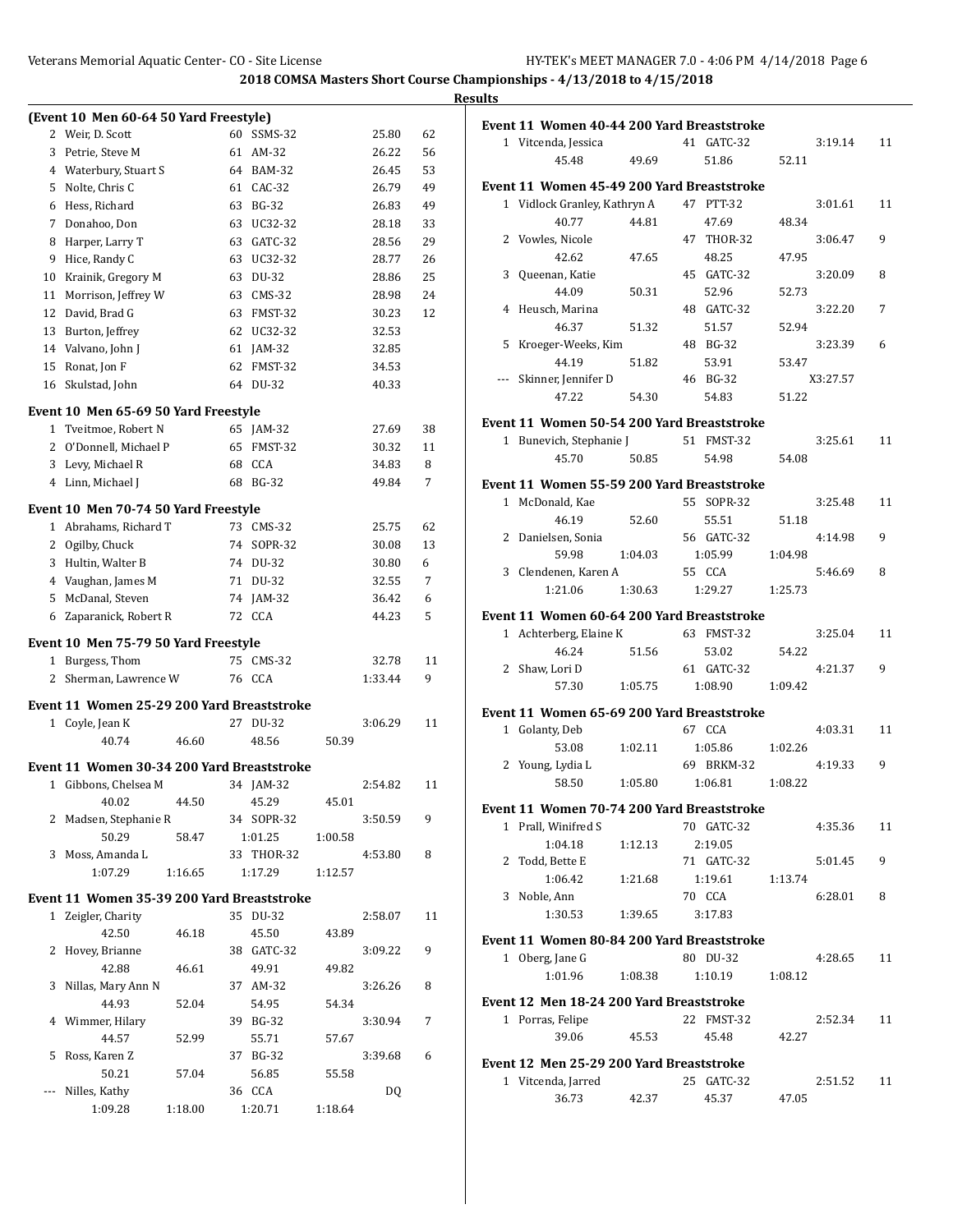|    |                                            |       |    |                   |         |         |    | <b>Results</b> |                                            |         |                   |         |          |    |
|----|--------------------------------------------|-------|----|-------------------|---------|---------|----|----------------|--------------------------------------------|---------|-------------------|---------|----------|----|
|    | (Event 10 Men 60-64 50 Yard Freestyle)     |       |    |                   |         |         |    |                | Event 11 Women 40-44 200 Yard Breaststroke |         |                   |         |          |    |
|    | 2 Weir, D. Scott                           |       |    | 60 SSMS-32        |         | 25.80   | 62 |                | 1 Vitcenda, Jessica                        |         | 41 GATC-32        |         | 3:19.14  | 11 |
|    | 3 Petrie, Steve M                          |       |    | 61 AM-32          |         | 26.22   | 56 |                | 45.48                                      | 49.69   | 51.86             | 52.11   |          |    |
|    | 4 Waterbury, Stuart S                      |       |    | 64 BAM-32         |         | 26.45   | 53 |                |                                            |         |                   |         |          |    |
|    | 5 Nolte, Chris C                           |       |    | 61 CAC-32         |         | 26.79   | 49 |                | Event 11 Women 45-49 200 Yard Breaststroke |         |                   |         |          |    |
|    | 6 Hess, Richard                            |       | 63 | BG-32             |         | 26.83   | 49 |                | 1 Vidlock Granley, Kathryn A               |         | 47 PTT-32         |         | 3:01.61  | 11 |
|    | 7 Donahoo, Don                             |       | 63 | UC32-32           |         | 28.18   | 33 |                | 40.77                                      | 44.81   | 47.69             | 48.34   |          |    |
| 8  | Harper, Larry T                            |       | 63 | GATC-32           |         | 28.56   | 29 |                | 2 Vowles, Nicole                           |         | 47 THOR-32        |         | 3:06.47  | 9  |
| 9  | Hice, Randy C                              |       |    | 63 UC32-32        |         | 28.77   | 26 |                | 42.62                                      | 47.65   | 48.25             | 47.95   |          |    |
| 10 | Krainik, Gregory M                         |       |    | 63 DU-32          |         | 28.86   | 25 |                | 3 Queenan, Katie                           |         | 45 GATC-32        |         | 3:20.09  | 8  |
| 11 | Morrison, Jeffrey W                        |       |    | 63 CMS-32         |         | 28.98   | 24 |                | 44.09                                      | 50.31   | 52.96             | 52.73   |          |    |
| 12 | David, Brad G                              |       |    | 63 FMST-32        |         | 30.23   | 12 |                | 4 Heusch, Marina                           |         | 48 GATC-32        |         | 3:22.20  | 7  |
| 13 | Burton, Jeffrey                            |       |    | 62 UC32-32        |         | 32.53   |    |                | 46.37                                      | 51.32   | 51.57             | 52.94   |          |    |
| 14 | Valvano, John J                            |       |    | 61 JAM-32         |         | 32.85   |    |                | 5 Kroeger-Weeks, Kim                       |         | 48 BG-32          |         | 3:23.39  | 6  |
| 15 | Ronat, Jon F                               |       |    | 62 FMST-32        |         | 34.53   |    |                | 44.19                                      | 51.82   | 53.91             | 53.47   |          |    |
|    | 16 Skulstad, John                          |       |    | 64 DU-32          |         | 40.33   |    |                | --- Skinner, Jennifer D                    |         | 46 BG-32          |         | X3:27.57 |    |
|    | Event 10 Men 65-69 50 Yard Freestyle       |       |    |                   |         |         |    |                | 47.22                                      | 54.30   | 54.83             | 51.22   |          |    |
|    | 1 Tveitmoe, Robert N                       |       |    | 65 JAM-32         |         | 27.69   | 38 |                | Event 11 Women 50-54 200 Yard Breaststroke |         |                   |         |          |    |
|    | 2 O'Donnell, Michael P                     |       |    | 65 FMST-32        |         | 30.32   | 11 |                | 1 Bunevich, Stephanie J                    |         | 51 FMST-32        |         | 3:25.61  | 11 |
|    | 3 Levy, Michael R                          |       | 68 | CCA               |         | 34.83   | 8  |                | 45.70                                      | 50.85   | 54.98             | 54.08   |          |    |
|    | 4 Linn, Michael J                          |       |    | 68 BG-32          |         | 49.84   | 7  |                | Event 11 Women 55-59 200 Yard Breaststroke |         |                   |         |          |    |
|    |                                            |       |    |                   |         |         |    |                | 1 McDonald, Kae                            |         | 55 SOPR-32        |         | 3:25.48  | 11 |
|    | Event 10 Men 70-74 50 Yard Freestyle       |       |    |                   |         |         |    |                | 46.19                                      | 52.60   | 55.51             | 51.18   |          |    |
|    | 1 Abrahams, Richard T                      |       |    | 73 CMS-32         |         | 25.75   | 62 |                | 2 Danielsen, Sonia                         |         | 56 GATC-32        |         | 4:14.98  | 9  |
|    | 2 Ogilby, Chuck                            |       |    | 74 SOPR-32        |         | 30.08   | 13 |                | 59.98                                      | 1:04.03 | 1:05.99           | 1:04.98 |          |    |
|    | 3 Hultin, Walter B                         |       |    | 74 DU-32          |         | 30.80   | 6  |                | 3 Clendenen, Karen A                       |         | 55 CCA            |         | 5:46.69  | 8  |
|    | 4 Vaughan, James M                         |       |    | 71 DU-32          |         | 32.55   | 7  |                | 1:21.06                                    | 1:30.63 | 1:29.27           | 1:25.73 |          |    |
|    | 5 McDanal, Steven                          |       |    | 74 JAM-32         |         | 36.42   | 6  |                |                                            |         |                   |         |          |    |
|    | 6 Zaparanick, Robert R                     |       |    | 72 CCA            |         | 44.23   | 5  |                | Event 11 Women 60-64 200 Yard Breaststroke |         |                   |         |          |    |
|    | Event 10 Men 75-79 50 Yard Freestyle       |       |    |                   |         |         |    |                | 1 Achterberg, Elaine K                     |         | 63 FMST-32        |         | 3:25.04  | 11 |
|    | 1 Burgess, Thom                            |       |    | 75 CMS-32         |         | 32.78   | 11 |                | 46.24                                      | 51.56   | 53.02             | 54.22   |          |    |
|    | 2 Sherman, Lawrence W                      |       |    | 76 CCA            |         | 1:33.44 | 9  |                | 2 Shaw, Lori D                             |         | 61 GATC-32        |         | 4.21.37  | 9  |
|    |                                            |       |    |                   |         |         |    |                | 57.30                                      | 1:05.75 | 1:08.90           | 1:09.42 |          |    |
|    | Event 11 Women 25-29 200 Yard Breaststroke |       |    |                   |         |         |    |                | Event 11 Women 65-69 200 Yard Breaststroke |         |                   |         |          |    |
|    | 1 Coyle, Jean K                            |       |    | 27 DU-32          |         | 3:06.29 | 11 |                | 1 Golanty, Deb                             |         | 67 CCA            |         | 4:03.31  | 11 |
|    | 40.74                                      | 46.60 |    | 48.56             | 50.39   |         |    |                | 53.08                                      | 1:02.11 | 1:05.86           | 1:02.26 |          |    |
|    | Event 11 Women 30-34 200 Yard Breaststroke |       |    |                   |         |         |    |                | 2 Young, Lydia L                           |         | 69 BRKM-32        |         | 4:19.33  | 9  |
|    | 1 Gibbons, Chelsea M                       |       |    | 34 JAM-32         |         | 2:54.82 | 11 |                | 58.50                                      | 1:05.80 | 1:06.81           | 1:08.22 |          |    |
|    | 40.02                                      | 44.50 |    | 45.29             | 45.01   |         |    |                |                                            |         |                   |         |          |    |
|    | 2 Madsen, Stephanie R                      |       |    | 34 SOPR-32        |         | 3:50.59 | 9  |                | Event 11 Women 70-74 200 Yard Breaststroke |         |                   |         |          |    |
|    | 50.29                                      | 58.47 |    | 1:01.25           | 1:00.58 |         |    |                | 1 Prall, Winifred S                        |         | 70 GATC-32        |         | 4:35.36  | 11 |
|    | 3 Moss, Amanda L                           |       |    | 33 THOR-32        |         | 4:53.80 | 8  |                | 1:04.18                                    | 1:12.13 | 2:19.05           |         |          |    |
|    | 1:07.29<br>1:16.65                         |       |    | 1:17.29           | 1:12.57 |         |    |                | 2 Todd, Bette E                            |         | 71 GATC-32        |         | 5:01.45  | 9  |
|    |                                            |       |    |                   |         |         |    |                | 1:06.42                                    | 1:21.68 | 1:19.61<br>70 CCA | 1:13.74 | 6:28.01  |    |
|    | Event 11 Women 35-39 200 Yard Breaststroke |       |    |                   |         |         |    |                | 3 Noble, Ann<br>1:30.53                    | 1:39.65 | 3:17.83           |         |          | 8  |
|    | 1 Zeigler, Charity                         |       |    | 35 DU-32          |         | 2:58.07 | 11 |                |                                            |         |                   |         |          |    |
|    | 42.50                                      | 46.18 |    | 45.50             | 43.89   |         |    |                | Event 11 Women 80-84 200 Yard Breaststroke |         |                   |         |          |    |
|    | 2 Hovey, Brianne                           |       |    | 38 GATC-32        |         | 3:09.22 | 9  |                | 1 Oberg, Jane G                            |         | 80 DU-32          |         | 4:28.65  | 11 |
|    | 42.88<br>3 Nillas, Mary Ann N              | 46.61 |    | 49.91             | 49.82   |         |    |                | 1:01.96                                    | 1:08.38 | 1:10.19           | 1:08.12 |          |    |
|    |                                            |       |    | 37 AM-32          |         | 3:26.26 | 8  |                | Event 12 Men 18-24 200 Yard Breaststroke   |         |                   |         |          |    |
|    | 44.93<br>4 Wimmer, Hilary                  | 52.04 |    | 54.95<br>39 BG-32 | 54.34   | 3:30.94 |    |                | 1 Porras, Felipe                           |         | 22 FMST-32        |         | 2:52.34  | 11 |
|    |                                            |       |    |                   |         |         | 7  |                | 39.06                                      | 45.53   | 45.48             | 42.27   |          |    |
|    | 44.57                                      | 52.99 |    | 55.71             | 57.67   |         |    |                |                                            |         |                   |         |          |    |
|    | 5 Ross, Karen Z<br>50.21                   |       |    | 37 BG-32<br>56.85 |         | 3:39.68 | 6  |                | Event 12 Men 25-29 200 Yard Breaststroke   |         |                   |         |          |    |
|    | --- Nilles, Kathy                          | 57.04 |    | 36 CCA            | 55.58   | DQ      |    |                | 1 Vitcenda, Jarred                         |         | 25 GATC-32        |         | 2:51.52  | 11 |
|    | 1:09.28<br>1:18.00                         |       |    | 1:20.71           | 1:18.64 |         |    |                | 36.73                                      | 42.37   | 45.37             | 47.05   |          |    |
|    |                                            |       |    |                   |         |         |    |                |                                            |         |                   |         |          |    |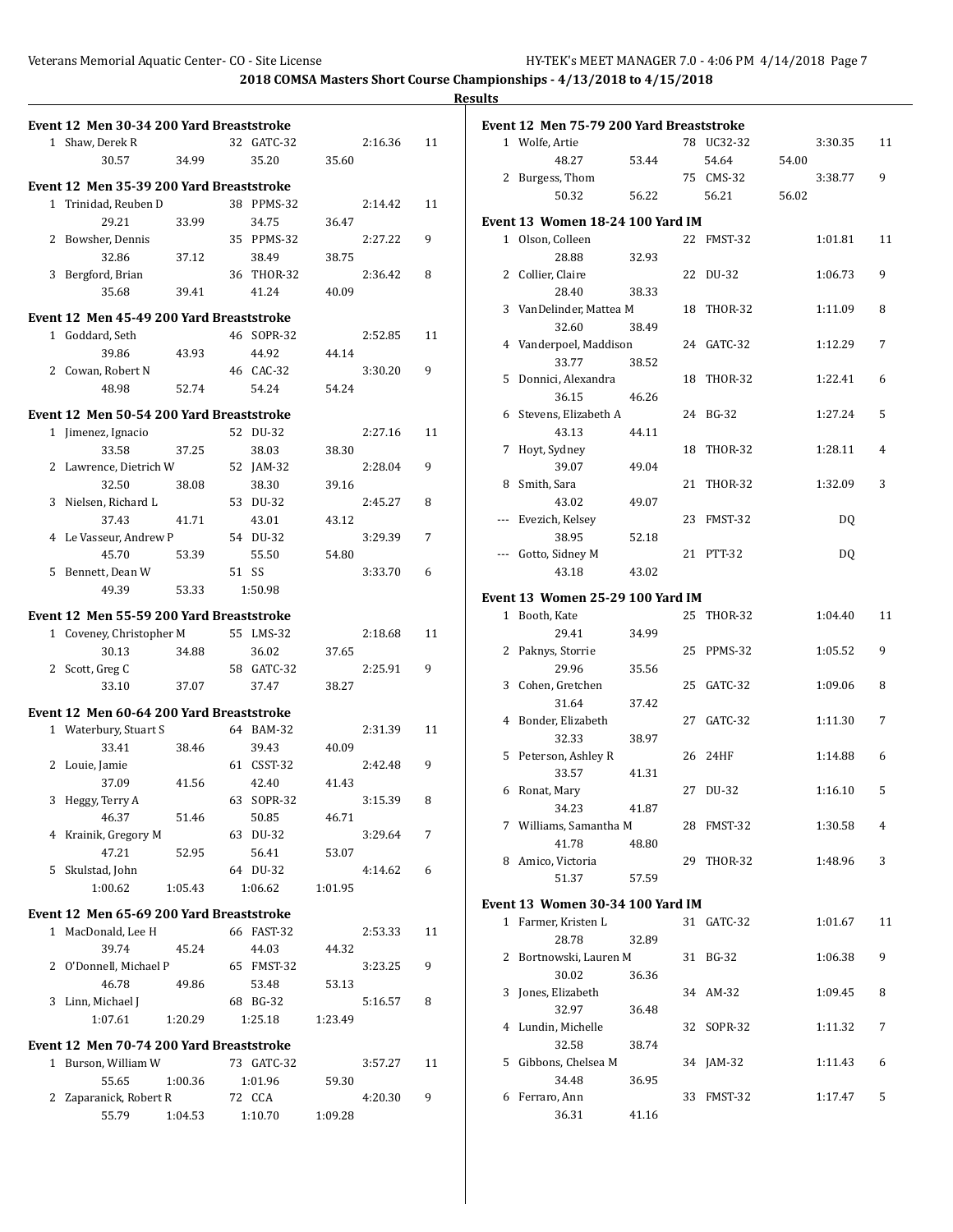|                                          |         |            |         |         |    | <b>Results</b> |                                          |       |            |       |         |    |
|------------------------------------------|---------|------------|---------|---------|----|----------------|------------------------------------------|-------|------------|-------|---------|----|
| Event 12 Men 30-34 200 Yard Breaststroke |         |            |         |         |    |                | Event 12 Men 75-79 200 Yard Breaststroke |       |            |       |         |    |
| 1 Shaw, Derek R                          |         | 32 GATC-32 |         | 2:16.36 | 11 |                | 1 Wolfe, Artie                           |       | 78 UC32-32 |       | 3:30.35 | 11 |
| 30.57                                    | 34.99   | 35.20      | 35.60   |         |    |                | 48.27                                    | 53.44 | 54.64      | 54.00 |         |    |
| Event 12 Men 35-39 200 Yard Breaststroke |         |            |         |         |    |                | 2 Burgess, Thom                          |       | 75 CMS-32  |       | 3:38.77 | 9  |
| 1 Trinidad, Reuben D                     |         | 38 PPMS-32 |         | 2:14.42 | 11 |                | 50.32                                    | 56.22 | 56.21      | 56.02 |         |    |
| 29.21                                    | 33.99   | 34.75      | 36.47   |         |    |                | <b>Event 13 Women 18-24 100 Yard IM</b>  |       |            |       |         |    |
| 2 Bowsher, Dennis                        |         | 35 PPMS-32 |         | 2:27.22 | 9  |                | 1 Olson, Colleen                         |       | 22 FMST-32 |       | 1:01.81 | 11 |
| 32.86                                    | 37.12   | 38.49      | 38.75   |         |    |                | 28.88                                    | 32.93 |            |       |         |    |
| 3 Bergford, Brian                        |         | 36 THOR-32 |         | 2:36.42 | 8  |                | 2 Collier, Claire                        |       | 22 DU-32   |       | 1:06.73 | 9  |
| 35.68                                    | 39.41   | 41.24      | 40.09   |         |    |                | 28.40                                    | 38.33 |            |       |         |    |
|                                          |         |            |         |         |    |                | 3 VanDelinder, Mattea M                  |       | 18 THOR-32 |       | 1:11.09 | 8  |
| Event 12 Men 45-49 200 Yard Breaststroke |         |            |         |         |    |                | 32.60                                    | 38.49 |            |       |         |    |
| 1 Goddard, Seth                          |         | 46 SOPR-32 |         | 2:52.85 | 11 |                | 4 Vanderpoel, Maddison                   |       | 24 GATC-32 |       | 1:12.29 | 7  |
| 39.86                                    | 43.93   | 44.92      | 44.14   |         |    |                | 33.77                                    | 38.52 |            |       |         |    |
| 2 Cowan, Robert N                        |         | 46 CAC-32  |         | 3:30.20 | 9  |                | 5 Donnici, Alexandra                     |       | 18 THOR-32 |       | 1:22.41 | 6  |
| 48.98                                    | 52.74   | 54.24      | 54.24   |         |    |                | 36.15                                    | 46.26 |            |       |         |    |
| Event 12 Men 50-54 200 Yard Breaststroke |         |            |         |         |    |                | 6 Stevens, Elizabeth A                   |       | 24 BG-32   |       | 1:27.24 | 5  |
| 1 Jimenez, Ignacio                       |         | 52 DU-32   |         | 2:27.16 | 11 |                | 43.13                                    | 44.11 |            |       |         |    |
| 33.58                                    | 37.25   | 38.03      | 38.30   |         |    |                | 7 Hoyt, Sydney                           |       | 18 THOR-32 |       | 1:28.11 | 4  |
| 2 Lawrence, Dietrich W                   |         | 52 JAM-32  |         | 2:28.04 | 9  |                | 39.07                                    | 49.04 |            |       |         |    |
| 32.50                                    | 38.08   | 38.30      | 39.16   |         |    |                | 8 Smith, Sara                            |       | 21 THOR-32 |       | 1:32.09 | 3  |
| 3 Nielsen. Richard L                     |         | 53 DU-32   |         | 2:45.27 | 8  |                | 43.02                                    | 49.07 |            |       |         |    |
| 37.43                                    | 41.71   | 43.01      | 43.12   |         |    |                | --- Evezich, Kelsey                      |       | 23 FMST-32 |       | DQ      |    |
| 4 Le Vasseur, Andrew P                   |         | 54 DU-32   |         | 3:29.39 | 7  |                | 38.95                                    | 52.18 |            |       |         |    |
| 45.70                                    | 53.39   | 55.50      | 54.80   |         |    |                | --- Gotto, Sidney M                      |       | 21 PTT-32  |       | DQ      |    |
| 5 Bennett, Dean W                        |         | 51 SS      |         | 3:33.70 | 6  |                | 43.18                                    | 43.02 |            |       |         |    |
| 49.39                                    | 53.33   | 1:50.98    |         |         |    |                | <b>Event 13 Women 25-29 100 Yard IM</b>  |       |            |       |         |    |
| Event 12 Men 55-59 200 Yard Breaststroke |         |            |         |         |    |                | 1 Booth, Kate                            |       | 25 THOR-32 |       | 1:04.40 | 11 |
| 1 Coveney, Christopher M                 |         | 55 LMS-32  |         | 2:18.68 | 11 |                | 29.41                                    | 34.99 |            |       |         |    |
| 30.13                                    | 34.88   | 36.02      | 37.65   |         |    |                | 2 Paknys, Storrie                        |       | 25 PPMS-32 |       | 1:05.52 | 9  |
| 2 Scott, Greg C                          |         | 58 GATC-32 |         | 2:25.91 | 9  |                | 29.96                                    | 35.56 |            |       |         |    |
| 33.10                                    | 37.07   | 37.47      | 38.27   |         |    |                | 3 Cohen, Gretchen                        |       | 25 GATC-32 |       | 1:09.06 | 8  |
| Event 12 Men 60-64 200 Yard Breaststroke |         |            |         |         |    |                | 31.64                                    | 37.42 |            |       |         |    |
| 1 Waterbury, Stuart S                    |         | 64 BAM-32  |         | 2:31.39 | 11 |                | 4 Bonder, Elizabeth                      |       | 27 GATC-32 |       | 1:11.30 | 7  |
| 33.41                                    | 38.46   | 39.43      | 40.09   |         |    |                | 32.33                                    | 38.97 |            |       |         |    |
| 2 Louie, Jamie                           |         | 61 CSST-32 |         | 2:42.48 | 9  |                | 5 Peterson, Ashley R                     |       | 26 24HF    |       | 1:14.88 | 6  |
| 37.09                                    | 41.56   | 42.40      | 41.43   |         |    |                | 33.57                                    | 41.31 |            |       |         |    |
| 3 Heggy, Terry A                         |         | 63 SOPR-32 |         | 3:15.39 | 8  |                | 6 Ronat, Mary                            |       | 27 DU-32   |       | 1:16.10 | 5  |
| 46.37                                    | 51.46   | 50.85      | 46.71   |         |    |                | 34.23<br>7 Williams, Samantha M          | 41.87 | 28 FMST-32 |       | 1:30.58 | 4  |
| 4 Krainik, Gregory M                     |         | 63 DU-32   |         | 3:29.64 | 7  |                | 41.78                                    | 48.80 |            |       |         |    |
| 47.21                                    | 52.95   | 56.41      | 53.07   |         |    |                | 8 Amico, Victoria                        |       | 29 THOR-32 |       | 1:48.96 | 3  |
| 5 Skulstad, John                         |         | 64 DU-32   |         | 4:14.62 | 6  |                | 51.37                                    | 57.59 |            |       |         |    |
| 1:00.62                                  | 1:05.43 | 1:06.62    | 1:01.95 |         |    |                |                                          |       |            |       |         |    |
| Event 12 Men 65-69 200 Yard Breaststroke |         |            |         |         |    |                | Event 13 Women 30-34 100 Yard IM         |       |            |       |         |    |
| 1 MacDonald, Lee H                       |         | 66 FAST-32 |         | 2:53.33 | 11 |                | 1 Farmer, Kristen L                      |       | 31 GATC-32 |       | 1:01.67 | 11 |
| 39.74                                    | 45.24   | 44.03      | 44.32   |         |    |                | 28.78                                    | 32.89 |            |       |         |    |
| 2 O'Donnell, Michael P                   |         | 65 FMST-32 |         | 3:23.25 | 9  |                | 2 Bortnowski, Lauren M                   |       | 31 BG-32   |       | 1:06.38 | 9  |
| 46.78                                    | 49.86   | 53.48      | 53.13   |         |    |                | 30.02<br>3 Jones, Elizabeth              | 36.36 |            |       |         |    |
| 3 Linn, Michael J                        |         | 68 BG-32   |         | 5:16.57 | 8  |                | 32.97                                    |       | 34 AM-32   |       | 1:09.45 | 8  |
| 1:07.61                                  | 1:20.29 | 1:25.18    | 1:23.49 |         |    |                | 4 Lundin, Michelle                       | 36.48 | 32 SOPR-32 |       | 1:11.32 | 7  |
| Event 12 Men 70-74 200 Yard Breaststroke |         |            |         |         |    |                | 32.58                                    | 38.74 |            |       |         |    |
| 1 Burson, William W                      |         | 73 GATC-32 |         | 3:57.27 | 11 |                | 5 Gibbons, Chelsea M                     |       | 34 JAM-32  |       | 1:11.43 | 6  |
| 55.65                                    | 1:00.36 | 1:01.96    | 59.30   |         |    |                | 34.48                                    | 36.95 |            |       |         |    |
| 2 Zaparanick, Robert R                   |         | 72 CCA     |         | 4:20.30 | 9  |                | 6 Ferraro, Ann                           |       | 33 FMST-32 |       | 1:17.47 | 5  |
| 55.79                                    | 1:04.53 | 1:10.70    | 1:09.28 |         |    |                | 36.31                                    | 41.16 |            |       |         |    |
|                                          |         |            |         |         |    |                |                                          |       |            |       |         |    |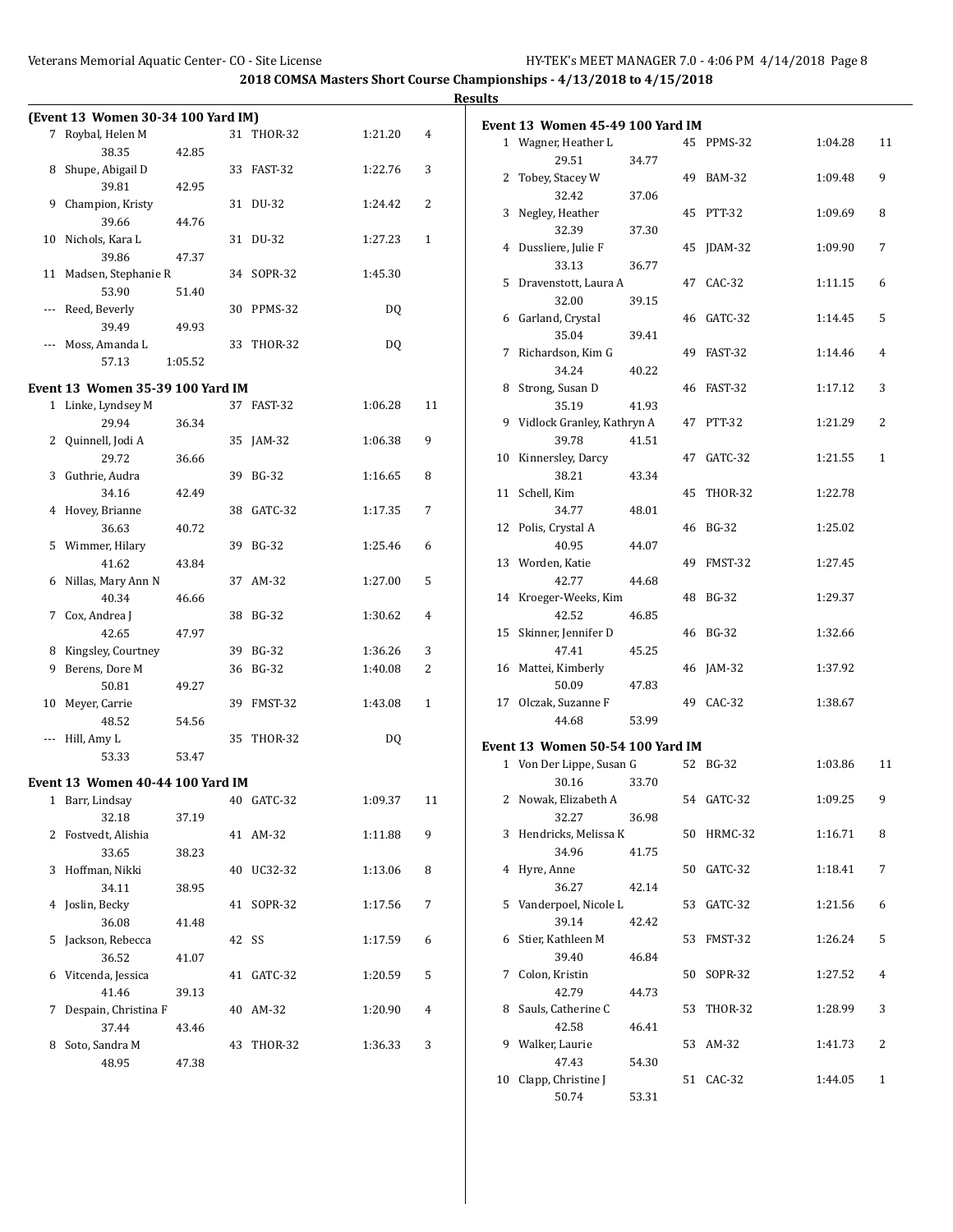|              | (Event 13 Women 30-34 100 Yard IM) |         |    |                |         |    |
|--------------|------------------------------------|---------|----|----------------|---------|----|
| 7            | Roybal, Helen M                    |         | 31 | <b>THOR-32</b> | 1:21.20 | 4  |
|              | 38.35                              | 42.85   |    |                |         |    |
| 8            | Shupe, Abigail D                   |         | 33 | FAST-32        | 1:22.76 | 3  |
|              | 39.81                              | 42.95   |    |                |         |    |
| 9            | Champion, Kristy                   |         | 31 | DU-32          | 1:24.42 | 2  |
|              | 39.66                              | 44.76   |    |                |         |    |
| 10           | Nichols, Kara L                    |         | 31 | DU-32          | 1:27.23 | 1  |
|              | 39.86                              | 47.37   |    |                |         |    |
|              | 11 Madsen, Stephanie R             |         | 34 | SOPR-32        | 1:45.30 |    |
|              | 53.90                              | 51.40   |    |                |         |    |
| ---          | Reed, Beverly                      |         | 30 | PPMS-32        | DQ      |    |
|              | 39.49                              | 49.93   |    |                |         |    |
|              | Moss, Amanda L                     |         | 33 | THOR-32        | DQ      |    |
|              | 57.13                              | 1:05.52 |    |                |         |    |
|              |                                    |         |    |                |         |    |
|              | Event 13 Women 35-39 100 Yard IM   |         |    |                |         |    |
| $\mathbf{1}$ | Linke, Lyndsey M                   |         |    | 37 FAST-32     | 1:06.28 | 11 |
|              | 29.94                              | 36.34   |    |                |         |    |
| 2            | Quinnell, Jodi A                   |         | 35 | $JAM-32$       | 1:06.38 | 9  |
|              | 29.72                              | 36.66   |    |                |         |    |
| 3            | Guthrie, Audra                     |         | 39 | <b>BG-32</b>   | 1:16.65 | 8  |
|              | 34.16                              | 42.49   |    |                |         |    |
| 4            | Hovey, Brianne                     |         | 38 | GATC-32        | 1:17.35 | 7  |
|              | 36.63                              | 40.72   |    |                |         |    |
|              | 5 Wimmer, Hilary                   |         | 39 | <b>BG-32</b>   | 1:25.46 | 6  |
|              | 41.62                              | 43.84   |    |                |         |    |
| 6            | Nillas, Mary Ann N                 |         | 37 | AM-32          | 1:27.00 | 5  |
|              | 40.34                              | 46.66   |    |                |         |    |
| 7            | Cox, Andrea J                      |         | 38 | <b>BG-32</b>   | 1:30.62 | 4  |
|              | 42.65                              | 47.97   |    |                |         |    |
|              | 8 Kingsley, Courtney               |         | 39 | BG-32          | 1:36.26 | 3  |
| 9            | Berens, Dore M                     |         | 36 | BG-32          | 1:40.08 | 2  |
|              | 50.81                              | 49.27   |    |                |         |    |
| 10           | Meyer, Carrie                      |         | 39 | FMST-32        | 1:43.08 | 1  |
|              | 48.52                              | 54.56   |    |                |         |    |
|              | --- Hill, Amy L                    |         | 35 | <b>THOR-32</b> | DQ      |    |
|              | 53.33                              | 53.47   |    |                |         |    |
|              | Event 13 Women 40-44 100 Yard IM   |         |    |                |         |    |
| 1            | Barr, Lindsay                      |         |    | 40 GATC-32     |         | 11 |
|              | 32.18                              |         |    |                | 1:09.37 |    |
| 2            | Fostvedt, Alishia                  | 37.19   | 41 | AM-32          | 1:11.88 | 9  |
|              | 33.65                              |         |    |                |         |    |
|              |                                    | 38.23   |    |                | 1:13.06 |    |
| 3            | Hoffman, Nikki                     |         | 40 | UC32-32        |         | 8  |
|              | 34.11                              | 38.95   |    |                |         |    |
| 4            | Joslin, Becky                      |         | 41 | SOPR-32        | 1:17.56 | 7  |
|              | 36.08                              | 41.48   |    |                |         |    |
| 5            | Jackson, Rebecca                   |         | 42 | SS             | 1:17.59 | 6  |
|              | 36.52                              | 41.07   |    |                |         |    |
| 6            | Vitcenda, Jessica                  |         | 41 | GATC-32        | 1:20.59 | 5  |
|              | 41.46                              | 39.13   |    |                |         |    |
| 7            | Despain, Christina F               |         | 40 | AM-32          | 1:20.90 | 4  |
|              | 37.44                              | 43.46   |    |                |         |    |
| 8            | Soto, Sandra M                     |         | 43 | THOR-32        | 1:36.33 | 3  |
|              | 48.95                              | 47.38   |    |                |         |    |

|    | Event 13 Women 45-49 100 Yard IM  |       |    |               |         |    |
|----|-----------------------------------|-------|----|---------------|---------|----|
|    | 1 Wagner, Heather L               |       |    | 45 PPMS-32    | 1:04.28 | 11 |
|    | 29.51                             | 34.77 |    |               |         |    |
| 2  | Tobey, Stacey W                   |       | 49 | <b>BAM-32</b> | 1:09.48 | 9  |
|    | 32.42                             | 37.06 |    |               |         |    |
| 3  | Negley, Heather                   |       | 45 | <b>PTT-32</b> | 1:09.69 | 8  |
|    | 32.39                             | 37.30 |    |               |         |    |
| 4  | Dussliere, Julie F                |       | 45 | JDAM-32       | 1:09.90 | 7  |
|    | 33.13                             | 36.77 |    |               |         |    |
| 5  | Dravenstott, Laura A              |       | 47 | CAC-32        | 1:11.15 | 6  |
|    | 32.00                             | 39.15 |    |               |         |    |
| 6  | Garland, Crystal                  |       | 46 | GATC-32       | 1:14.45 | 5  |
|    | 35.04                             | 39.41 |    |               |         |    |
| 7  | Richardson, Kim G                 |       | 49 | FAST-32       | 1:14.46 | 4  |
|    | 34.24                             | 40.22 |    |               |         |    |
| 8  | Strong, Susan D                   |       | 46 | FAST-32       | 1:17.12 | 3  |
|    | 35.19                             | 41.93 |    |               |         |    |
|    | 9 Vidlock Granley, Kathryn A      |       | 47 | <b>PTT-32</b> | 1:21.29 | 2  |
|    | 39.78                             | 41.51 |    |               |         |    |
| 10 | Kinnersley, Darcy                 |       | 47 | GATC-32       | 1:21.55 | 1  |
|    | 38.21                             | 43.34 |    |               |         |    |
| 11 | Schell, Kim                       |       | 45 | THOR-32       | 1:22.78 |    |
|    | 34.77                             | 48.01 |    |               |         |    |
| 12 | Polis, Crystal A                  |       | 46 | BG-32         | 1:25.02 |    |
|    | 40.95                             | 44.07 |    |               |         |    |
|    | 13 Worden, Katie                  |       | 49 | FMST-32       | 1:27.45 |    |
|    | 42.77                             | 44.68 |    |               |         |    |
| 14 | Kroeger-Weeks, Kim                |       | 48 | <b>BG-32</b>  | 1:29.37 |    |
|    | 42.52                             | 46.85 |    |               |         |    |
| 15 | Skinner, Jennifer D               |       | 46 | BG-32         | 1:32.66 |    |
|    | 47.41                             | 45.25 |    |               |         |    |
| 16 | Mattei, Kimberly                  |       | 46 | JAM-32        | 1:37.92 |    |
|    | 50.09                             | 47.83 |    |               |         |    |
| 17 | Olczak, Suzanne F                 |       | 49 | CAC-32        | 1:38.67 |    |
|    | 44.68                             | 53.99 |    |               |         |    |
|    |                                   |       |    |               |         |    |
|    | Event 13 Women 50-54 100 Yard IM  |       |    | 52 BG-32      |         | 11 |
|    | 1 Von Der Lippe, Susan G<br>30.16 | 33.70 |    |               | 1:03.86 |    |
|    | 2 Nowak, Elizabeth A              |       |    | 54 GATC-32    |         | 9  |
|    |                                   |       |    |               | 1:09.25 |    |
|    | 32.27<br>3 Hendricks, Melissa K   | 36.98 |    |               |         |    |
|    |                                   |       |    | 50 HRMC-32    | 1:16.71 | 8  |
| 4  | 34.96<br>Hyre, Anne               | 41.75 | 50 | GATC-32       |         |    |
|    |                                   | 42.14 |    |               | 1:18.41 | 7  |
| 5  | 36.27<br>Vanderpoel, Nicole L     |       |    |               |         |    |
|    |                                   |       | 53 | GATC-32       | 1:21.56 | 6  |
|    | 39.14                             | 42.42 |    |               |         |    |
| 6  | Stier, Kathleen M<br>39.40        |       | 53 | FMST-32       | 1:26.24 | 5  |
|    |                                   | 46.84 |    |               |         |    |
| 7  | Colon, Kristin                    |       | 50 | SOPR-32       | 1:27.52 | 4  |
|    | 42.79                             | 44.73 |    |               |         |    |
| 8  | Sauls, Catherine C                |       | 53 | THOR-32       | 1:28.99 | 3  |
| 9  | 42.58<br>Walker, Laurie           | 46.41 |    |               |         |    |
|    |                                   |       | 53 | AM-32         | 1:41.73 | 2  |
|    | 47.43                             | 54.30 |    |               |         |    |
| 10 | Clapp, Christine J                |       |    | 51 CAC-32     | 1:44.05 | 1  |
|    | 50.74                             | 53.31 |    |               |         |    |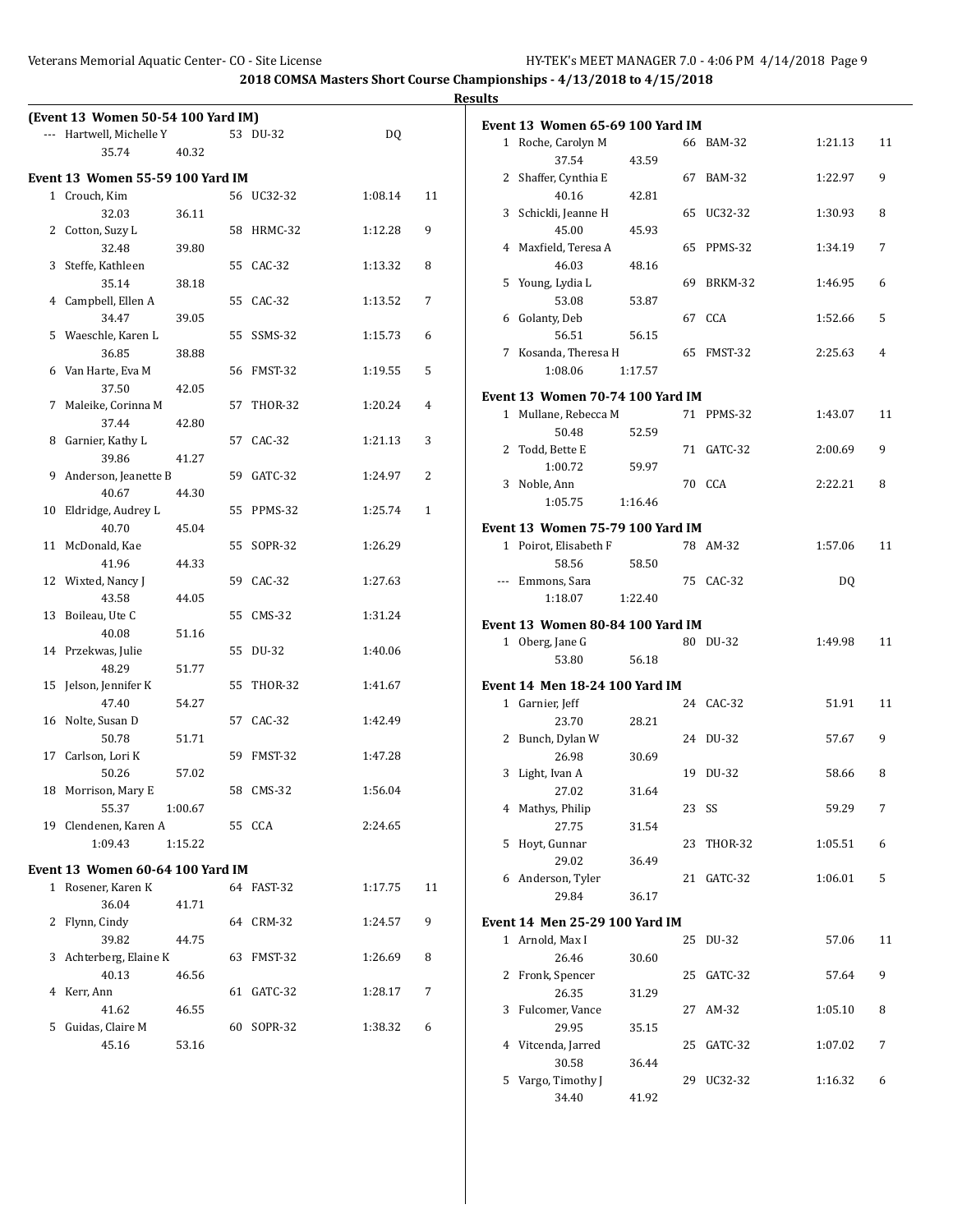|                                         |            |         |              | <b>Results</b>                                |                |
|-----------------------------------------|------------|---------|--------------|-----------------------------------------------|----------------|
| (Event 13 Women 50-54 100 Yard IM)      |            |         |              | <b>Event 13 Women 65-69 100 Yard IM</b>       |                |
| --- Hartwell, Michelle Y                | 53 DU-32   | DQ      |              | 1 Roche, Carolyn M<br>66 BAM-32<br>1:21.13    | 11             |
| 40.32<br>35.74                          |            |         |              | 37.54<br>43.59                                |                |
| <b>Event 13 Women 55-59 100 Yard IM</b> |            |         |              | 2 Shaffer, Cynthia E<br>67 BAM-32<br>1:22.97  | 9              |
| 1 Crouch, Kim                           | 56 UC32-32 | 1:08.14 | 11           | 40.16<br>42.81                                |                |
| 32.03<br>36.11                          |            |         |              | 3 Schickli, Jeanne H<br>65 UC32-32<br>1:30.93 | 8              |
| 2 Cotton, Suzy L                        | 58 HRMC-32 | 1:12.28 | 9            | 45.00<br>45.93                                |                |
| 32.48<br>39.80                          |            |         |              | 4 Maxfield, Teresa A<br>65 PPMS-32<br>1:34.19 | 7              |
| 3 Steffe, Kathleen                      | 55 CAC-32  | 1:13.32 | 8            | 46.03<br>48.16                                |                |
| 35.14<br>38.18                          |            |         |              | 5 Young, Lydia L<br>69 BRKM-32<br>1:46.95     | 6              |
| 4 Campbell, Ellen A                     | 55 CAC-32  | 1:13.52 | 7            | 53.08<br>53.87                                |                |
| 39.05<br>34.47                          |            |         |              | 6 Golanty, Deb<br>67 CCA<br>1:52.66           | 5              |
| 5 Waeschle, Karen L                     | 55 SSMS-32 | 1:15.73 | 6            | 56.51<br>56.15                                |                |
| 36.85<br>38.88                          |            |         |              | 7 Kosanda, Theresa H<br>65 FMST-32<br>2:25.63 | $\overline{4}$ |
| 6 Van Harte, Eva M                      | 56 FMST-32 | 1:19.55 | 5            | 1:08.06<br>1:17.57                            |                |
| 37.50<br>42.05                          |            |         |              | <b>Event 13 Women 70-74 100 Yard IM</b>       |                |
| 7 Maleike, Corinna M                    | 57 THOR-32 | 1:20.24 | 4            | 71 PPMS-32<br>1 Mullane, Rebecca M<br>1:43.07 | 11             |
| 37.44<br>42.80                          |            |         |              | 50.48<br>52.59                                |                |
| 8 Garnier, Kathy L                      | 57 CAC-32  | 1:21.13 | 3            | 2 Todd, Bette E<br>71 GATC-32<br>2:00.69      | 9              |
| 39.86<br>41.27                          |            |         |              | 1:00.72<br>59.97                              |                |
| 9 Anderson, Jeanette B                  | 59 GATC-32 | 1:24.97 | 2            | 70 CCA<br>2:22.21<br>3 Noble, Ann             | 8              |
| 40.67<br>44.30                          |            |         |              | 1:05.75<br>1:16.46                            |                |
| 10 Eldridge, Audrey L                   | 55 PPMS-32 | 1:25.74 | $\mathbf{1}$ |                                               |                |
| 40.70<br>45.04                          |            |         |              | <b>Event 13 Women 75-79 100 Yard IM</b>       |                |
| 11 McDonald, Kae                        | 55 SOPR-32 | 1:26.29 |              | 1 Poirot, Elisabeth F<br>78 AM-32<br>1:57.06  | 11             |
| 41.96<br>44.33                          |            |         |              | 58.56<br>58.50                                |                |
| 12 Wixted, Nancy J                      | 59 CAC-32  | 1:27.63 |              | DQ<br>--- Emmons, Sara<br>75 CAC-32           |                |
| 43.58<br>44.05                          |            |         |              | 1:22.40<br>1:18.07                            |                |
| 13 Boileau, Ute C                       | 55 CMS-32  | 1:31.24 |              | Event 13 Women 80-84 100 Yard IM              |                |
| 40.08<br>51.16                          |            |         |              | 1 Oberg, Jane G<br>80 DU-32<br>1:49.98        | 11             |
| 14 Przekwas, Julie                      | 55 DU-32   | 1:40.06 |              | 53.80<br>56.18                                |                |
| 51.77<br>48.29                          |            |         |              |                                               |                |
| 15 Jelson, Jennifer K                   | 55 THOR-32 | 1:41.67 |              | Event 14 Men 18-24 100 Yard IM                |                |
| 54.27<br>47.40                          |            |         |              | 1 Garnier, Jeff<br>24 CAC-32<br>51.91         | 11             |
| 16 Nolte, Susan D                       | 57 CAC-32  | 1:42.49 |              | 23.70<br>28.21                                |                |
| 50.78<br>51.71                          |            |         |              | 2 Bunch, Dylan W<br>24 DU-32<br>57.67         | 9              |
| 17 Carlson, Lori K                      | 59 FMST-32 | 1:47.28 |              | 26.98<br>30.69                                |                |
| 50.26<br>57.02                          |            |         |              | 19 DU-32<br>58.66<br>3 Light, Ivan A          | 8              |
| 18 Morrison, Mary E                     | 58 CMS-32  | 1:56.04 |              | 27.02<br>31.64                                |                |
| 55.37<br>1:00.67                        |            |         |              | 4 Mathys, Philip<br>23 SS<br>59.29            | 7              |
| 19 Clendenen, Karen A                   | 55 CCA     | 2:24.65 |              | 27.75<br>31.54                                |                |
| 1:09.43<br>1:15.22                      |            |         |              | 5 Hoyt, Gunnar<br>23 THOR-32<br>1:05.51       | 6              |
| Event 13 Women 60-64 100 Yard IM        |            |         |              | 29.02<br>36.49                                |                |
| 1 Rosener, Karen K                      | 64 FAST-32 | 1:17.75 | 11           | 6 Anderson, Tyler<br>21 GATC-32<br>1:06.01    | 5              |
| 36.04<br>41.71                          |            |         |              | 29.84<br>36.17                                |                |
| 2 Flynn, Cindy                          | 64 CRM-32  | 1:24.57 | 9            | <b>Event 14 Men 25-29 100 Yard IM</b>         |                |
| 39.82<br>44.75                          |            |         |              | 1 Arnold, Max I<br>25 DU-32<br>57.06          | 11             |
| 3 Achterberg, Elaine K                  | 63 FMST-32 | 1:26.69 | 8            | 26.46<br>30.60                                |                |
| 40.13<br>46.56                          |            |         |              | 2 Fronk, Spencer<br>25 GATC-32<br>57.64       | 9              |
| 4 Kerr, Ann                             | 61 GATC-32 | 1:28.17 | 7            | 26.35<br>31.29                                |                |
| 41.62<br>46.55                          |            |         |              | 3 Fulcomer, Vance<br>27 AM-32<br>1:05.10      | 8              |
| 5 Guidas, Claire M                      | 60 SOPR-32 | 1:38.32 | 6            | 29.95<br>35.15                                |                |
| 45.16<br>53.16                          |            |         |              | 4 Vitcenda, Jarred<br>25 GATC-32<br>1:07.02   | 7              |
|                                         |            |         |              | 30.58<br>36.44                                |                |
|                                         |            |         |              | 5 Vargo, Timothy J<br>29 UC32-32<br>1:16.32   | 6              |

34.40 41.92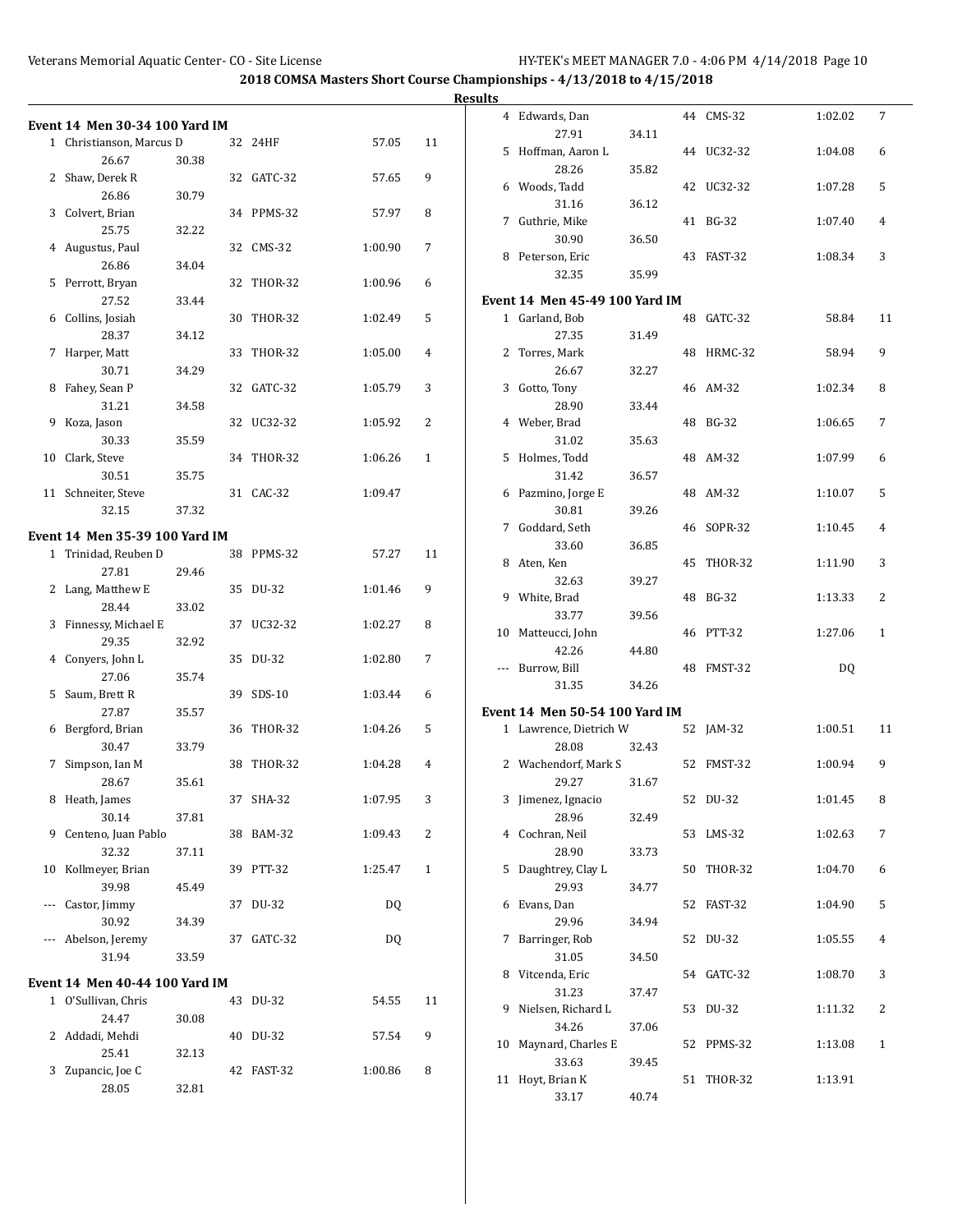|                                |       |            |         |    | <b>Results</b> |                                       |       |            |         |    |
|--------------------------------|-------|------------|---------|----|----------------|---------------------------------------|-------|------------|---------|----|
| Event 14 Men 30-34 100 Yard IM |       |            |         |    |                | 4 Edwards, Dan                        |       | 44 CMS-32  | 1:02.02 | 7  |
| 1 Christianson, Marcus D       |       | 32 24HF    | 57.05   | 11 |                | 27.91                                 | 34.11 |            |         |    |
| 26.67                          | 30.38 |            |         |    |                | 5 Hoffman, Aaron L                    |       | 44 UC32-32 | 1:04.08 | 6  |
| 2 Shaw, Derek R                |       | 32 GATC-32 | 57.65   | 9  |                | 28.26                                 | 35.82 |            |         |    |
| 26.86                          | 30.79 |            |         |    |                | 6 Woods, Tadd                         |       | 42 UC32-32 | 1:07.28 | 5  |
| 3 Colvert, Brian               |       | 34 PPMS-32 | 57.97   | 8  |                | 31.16                                 | 36.12 |            |         |    |
| 25.75                          | 32.22 |            |         |    |                | 7 Guthrie, Mike                       |       | 41 BG-32   | 1:07.40 | 4  |
| 4 Augustus, Paul               |       | 32 CMS-32  | 1:00.90 | 7  |                | 30.90                                 | 36.50 |            |         |    |
| 26.86                          |       |            |         |    |                | 8 Peterson, Eric                      |       | 43 FAST-32 | 1:08.34 | 3  |
|                                | 34.04 |            |         |    |                | 32.35                                 | 35.99 |            |         |    |
| 5 Perrott, Bryan               |       | 32 THOR-32 | 1:00.96 | 6  |                |                                       |       |            |         |    |
| 27.52                          | 33.44 |            |         |    |                | <b>Event 14 Men 45-49 100 Yard IM</b> |       |            |         |    |
| 6 Collins, Josiah              |       | 30 THOR-32 | 1:02.49 | 5  |                | 1 Garland, Bob                        |       | 48 GATC-32 | 58.84   | 11 |
| 28.37                          | 34.12 |            |         |    |                | 27.35                                 | 31.49 |            |         |    |
| 7 Harper, Matt                 |       | 33 THOR-32 | 1:05.00 | 4  |                | 2 Torres, Mark                        |       | 48 HRMC-32 | 58.94   | 9  |
| 30.71                          | 34.29 |            |         |    |                | 26.67                                 | 32.27 |            |         |    |
| 8 Fahey, Sean P                |       | 32 GATC-32 | 1:05.79 | 3  |                | 3 Gotto, Tony                         |       | 46 AM-32   | 1:02.34 | 8  |
| 31.21                          | 34.58 |            |         |    |                | 28.90                                 | 33.44 |            |         |    |
| 9 Koza, Jason                  |       | 32 UC32-32 | 1:05.92 | 2  |                | 4 Weber, Brad                         |       | 48 BG-32   | 1:06.65 | 7  |
| 30.33                          | 35.59 |            |         |    |                | 31.02                                 | 35.63 |            |         |    |
| 10 Clark, Steve                |       | 34 THOR-32 | 1:06.26 | 1  |                | 5 Holmes, Todd                        |       | 48 AM-32   | 1:07.99 | 6  |
| 30.51                          | 35.75 |            |         |    |                | 31.42                                 | 36.57 |            |         |    |
| 11 Schneiter, Steve            |       | 31 CAC-32  | 1:09.47 |    |                | 6 Pazmino, Jorge E                    |       | 48 AM-32   | 1:10.07 | 5  |
| 32.15                          | 37.32 |            |         |    |                | 30.81                                 | 39.26 |            |         |    |
| Event 14 Men 35-39 100 Yard IM |       |            |         |    |                | 7 Goddard, Seth                       |       | 46 SOPR-32 | 1:10.45 | 4  |
| 1 Trinidad, Reuben D           |       | 38 PPMS-32 | 57.27   | 11 |                | 33.60                                 | 36.85 |            |         |    |
| 27.81                          | 29.46 |            |         |    |                | 8 Aten, Ken                           |       | 45 THOR-32 | 1:11.90 | 3  |
| 2 Lang, Matthew E              |       | 35 DU-32   | 1:01.46 | 9  |                | 32.63                                 | 39.27 |            |         |    |
|                                |       |            |         |    |                | 9 White, Brad                         |       | 48 BG-32   | 1:13.33 | 2  |
| 28.44                          | 33.02 |            |         | 8  |                | 33.77                                 | 39.56 |            |         |    |
| 3 Finnessy, Michael E          |       | 37 UC32-32 | 1:02.27 |    |                | 10 Matteucci, John                    |       | 46 PTT-32  | 1:27.06 | 1  |
| 29.35                          | 32.92 |            |         |    |                | 42.26                                 | 44.80 |            |         |    |
| 4 Conyers, John L              |       | 35 DU-32   | 1:02.80 | 7  |                | --- Burrow, Bill                      |       | 48 FMST-32 | DQ      |    |
| 27.06                          | 35.74 |            |         |    |                | 31.35                                 | 34.26 |            |         |    |
| 5 Saum, Brett R                |       | 39 SDS-10  | 1:03.44 | 6  |                |                                       |       |            |         |    |
| 27.87                          | 35.57 |            |         |    |                | <b>Event 14 Men 50-54 100 Yard IM</b> |       |            |         |    |
| 6 Bergford, Brian              |       | 36 THOR-32 | 1:04.26 | 5  |                | 1 Lawrence, Dietrich W                |       | 52 JAM-32  | 1:00.51 | 11 |
| 30.47                          | 33.79 |            |         |    |                | 28.08                                 | 32.43 |            |         |    |
| 7 Simpson, Ian M               |       | 38 THOR-32 | 1:04.28 | 4  |                | 2 Wachendorf, Mark S                  |       | 52 FMST-32 | 1:00.94 | 9  |
| 28.67                          | 35.61 |            |         |    |                | 29.27                                 | 31.67 |            |         |    |
| 8 Heath, James                 |       | 37 SHA-32  | 1:07.95 | 3  |                | 3 Jimenez, Ignacio                    |       | 52 DU-32   | 1:01.45 | 8  |
| 30.14                          | 37.81 |            |         |    |                | 28.96                                 | 32.49 |            |         |    |
| 9 Centeno, Juan Pablo          |       | 38 BAM-32  | 1:09.43 | 2  |                | 4 Cochran, Neil                       |       | 53 LMS-32  | 1:02.63 | 7  |
| 32.32                          | 37.11 |            |         |    |                | 28.90                                 | 33.73 |            |         |    |
| 10 Kollmeyer, Brian            |       | 39 PTT-32  | 1:25.47 | 1  |                | 5 Daughtrey, Clay L                   |       | 50 THOR-32 | 1:04.70 | 6  |
| 39.98                          | 45.49 |            |         |    |                | 29.93                                 | 34.77 |            |         |    |
| --- Castor, Jimmy              |       | 37 DU-32   | DQ      |    |                | 6 Evans, Dan                          |       | 52 FAST-32 | 1:04.90 | 5  |
| 30.92                          | 34.39 |            |         |    |                | 29.96                                 | 34.94 |            |         |    |
| --- Abelson, Jeremy            |       | 37 GATC-32 | DQ      |    |                | 7 Barringer, Rob                      |       | 52 DU-32   | 1:05.55 | 4  |
| 31.94                          | 33.59 |            |         |    |                | 31.05                                 | 34.50 |            |         |    |
| Event 14 Men 40-44 100 Yard IM |       |            |         |    |                | 8 Vitcenda, Eric                      |       | 54 GATC-32 | 1:08.70 | 3  |
| 1 O'Sullivan, Chris            |       | 43 DU-32   | 54.55   |    |                | 31.23                                 | 37.47 |            |         |    |
|                                |       |            |         | 11 |                | 9 Nielsen, Richard L                  |       | 53 DU-32   | 1:11.32 | 2  |
| 24.47                          | 30.08 |            |         |    |                | 34.26                                 | 37.06 |            |         |    |
| 2 Addadi, Mehdi                |       | 40 DU-32   | 57.54   | 9  |                | 10 Maynard, Charles E                 |       | 52 PPMS-32 | 1:13.08 | 1  |
| 25.41                          | 32.13 |            |         |    |                | 33.63                                 | 39.45 |            |         |    |
| 3 Zupancic, Joe C              |       | 42 FAST-32 | 1:00.86 | 8  |                | 11 Hoyt, Brian K                      |       | 51 THOR-32 | 1:13.91 |    |
| 28.05                          | 32.81 |            |         |    |                | 33.17                                 | 40.74 |            |         |    |
|                                |       |            |         |    |                |                                       |       |            |         |    |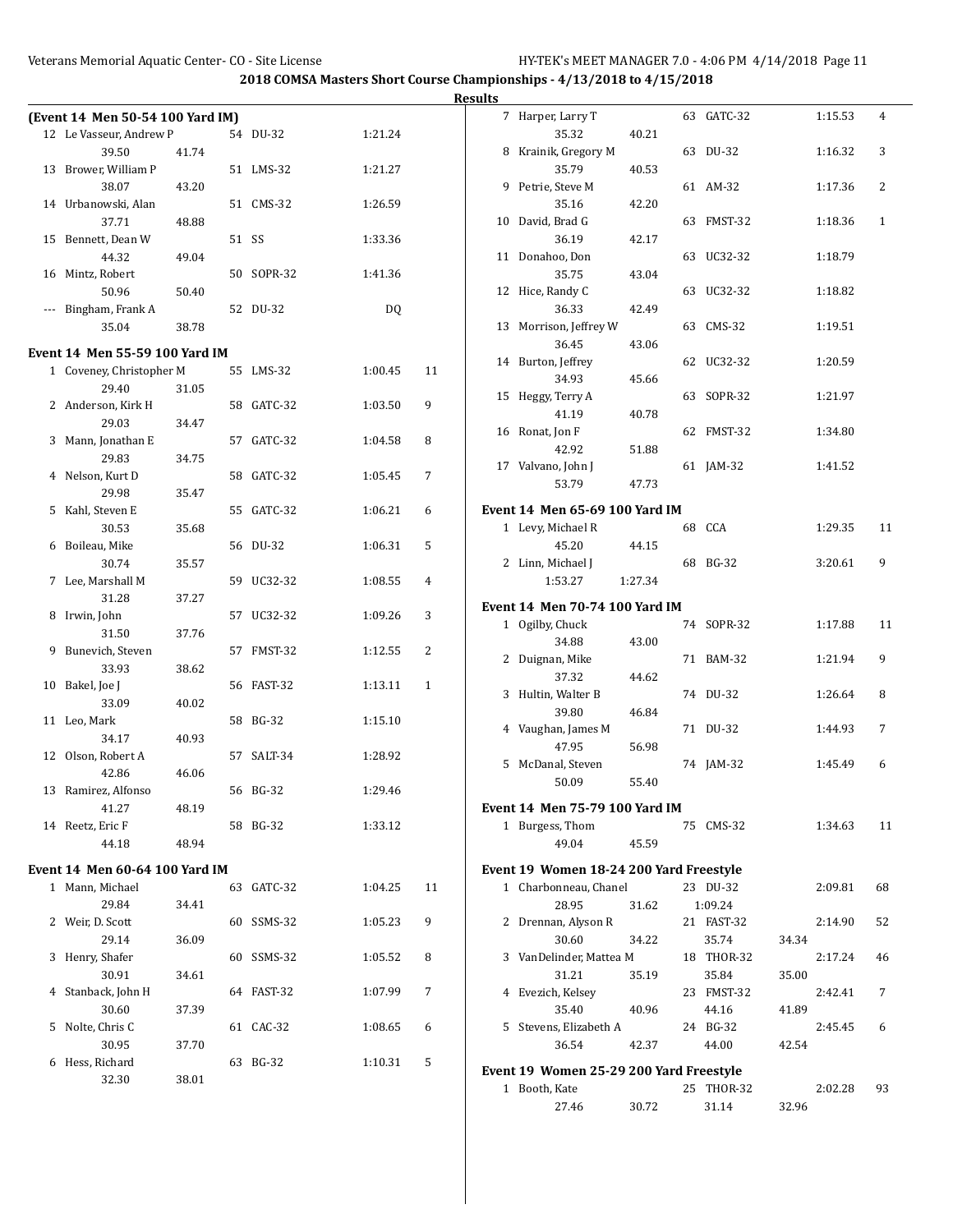|       |                                  |       |            |         |    | Resul |
|-------|----------------------------------|-------|------------|---------|----|-------|
|       | (Event 14 Men 50-54 100 Yard IM) |       |            |         |    |       |
|       | 12 Le Vasseur, Andrew P          |       | 54 DU-32   | 1:21.24 |    |       |
|       | 39.50                            | 41.74 |            |         |    |       |
|       | 13 Brower, William P             |       | 51 LMS-32  | 1:21.27 |    |       |
|       | 38.07                            | 43.20 |            |         |    |       |
|       | 14 Urbanowski, Alan              |       | 51 CMS-32  | 1:26.59 |    |       |
|       | 37.71                            | 48.88 |            |         |    |       |
|       | 15 Bennett, Dean W               |       | 51 SS      | 1:33.36 |    |       |
|       | 44.32                            | 49.04 |            |         |    |       |
|       | 16 Mintz, Robert                 |       | 50 SOPR-32 | 1:41.36 |    |       |
|       | 50.96                            | 50.40 |            |         |    |       |
| $---$ | Bingham, Frank A                 |       | 52 DU-32   | DQ      |    |       |
|       | 35.04                            | 38.78 |            |         |    |       |
|       | Event 14 Men 55-59 100 Yard IM   |       |            |         |    |       |
|       | 1 Coveney, Christopher M         |       | 55 LMS-32  | 1:00.45 | 11 |       |
|       | 29.40                            | 31.05 |            |         |    |       |
|       | 2 Anderson, Kirk H               |       | 58 GATC-32 | 1:03.50 | 9  |       |
|       | 29.03                            | 34.47 |            |         |    |       |
|       | 3 Mann, Jonathan E               |       | 57 GATC-32 | 1:04.58 | 8  |       |
|       | 29.83                            | 34.75 |            |         |    |       |
|       | 4 Nelson, Kurt D                 |       | 58 GATC-32 | 1:05.45 | 7  |       |
|       | 29.98                            | 35.47 |            |         |    |       |
| 5.    | Kahl, Steven E                   |       | 55 GATC-32 | 1:06.21 | 6  | E     |
|       | 30.53                            | 35.68 |            |         |    |       |
|       | 6 Boileau, Mike                  |       | 56 DU-32   | 1:06.31 | 5  |       |
|       | 30.74                            | 35.57 |            |         |    |       |
|       | 7 Lee, Marshall M                |       | 59 UC32-32 | 1:08.55 | 4  |       |
|       | 31.28                            | 37.27 |            |         |    |       |
|       | 8 Irwin, John                    |       | 57 UC32-32 | 1:09.26 | 3  | E     |
|       | 31.50                            | 37.76 |            |         |    |       |
| 9     | Bunevich, Steven                 |       | 57 FMST-32 | 1:12.55 | 2  |       |
|       | 33.93                            | 38.62 |            |         |    |       |
|       | 10 Bakel, Joe J                  |       | 56 FAST-32 | 1:13.11 | 1  |       |
|       | 33.09                            | 40.02 |            |         |    |       |
|       | 11 Leo, Mark                     |       | 58 BG-32   | 1:15.10 |    |       |
|       | 34.17                            | 40.93 |            |         |    |       |
|       | 12 Olson, Robert A               |       | 57 SALT-34 | 1:28.92 |    |       |
|       | 42.86                            | 46.06 |            |         |    |       |
|       | 13 Ramirez, Alfonso              |       | 56 BG-32   | 1:29.46 |    |       |
|       | 41.27                            | 48.19 |            |         |    | E     |
|       | 14 Reetz, Eric F                 |       | 58 BG-32   | 1:33.12 |    |       |
|       | 44.18                            | 48.94 |            |         |    |       |
|       | Event 14 Men 60-64 100 Yard IM   |       |            |         |    | E     |
|       | 1 Mann, Michael                  |       | 63 GATC-32 | 1:04.25 | 11 |       |
|       | 29.84                            | 34.41 |            |         |    |       |
|       | 2 Weir, D. Scott                 |       | 60 SSMS-32 | 1:05.23 | 9  |       |
|       | 29.14                            | 36.09 |            |         |    |       |
|       | 3 Henry, Shafer                  |       | 60 SSMS-32 | 1:05.52 | 8  |       |
|       | 30.91                            | 34.61 |            |         |    |       |
|       | 4 Stanback, John H               |       | 64 FAST-32 | 1:07.99 | 7  |       |
|       | 30.60                            | 37.39 |            |         |    |       |
| 5     | Nolte, Chris C                   |       | 61 CAC-32  | 1:08.65 | 6  |       |
|       | 30.95                            | 37.70 |            |         |    |       |
| 6     | Hess, Richard                    |       | 63 BG-32   | 1:10.31 | 5  |       |
|       | 32.30                            | 38.01 |            |         |    | E     |
|       |                                  |       |            |         |    |       |

| lts |                                          |         |    |                |       |         |    |
|-----|------------------------------------------|---------|----|----------------|-------|---------|----|
| 7   | Harper, Larry T                          |         | 63 | GATC-32        |       | 1:15.53 | 4  |
|     | 35.32                                    | 40.21   |    |                |       |         |    |
| 8   | Krainik, Gregory M                       |         | 63 | DU-32          |       | 1:16.32 | 3  |
|     | 35.79                                    | 40.53   |    |                |       |         |    |
| 9   | Petrie, Steve M                          |         |    | 61 AM-32       |       | 1:17.36 | 2  |
|     | 35.16                                    | 42.20   |    |                |       |         |    |
| 10  | David, Brad G                            |         | 63 | FMST-32        |       | 1:18.36 | 1  |
|     | 36.19                                    | 42.17   |    |                |       |         |    |
| 11  | Donahoo, Don                             |         |    | 63 UC32-32     |       | 1:18.79 |    |
|     | 35.75                                    | 43.04   |    |                |       |         |    |
| 12  | Hice, Randy C                            |         |    | 63 UC32-32     |       | 1:18.82 |    |
|     | 36.33                                    | 42.49   |    |                |       |         |    |
| 13  | Morrison, Jeffrey W                      |         |    | 63 CMS-32      |       | 1:19.51 |    |
|     | 36.45                                    | 43.06   |    |                |       |         |    |
|     | 14 Burton, Jeffrey                       |         | 62 | UC32-32        |       | 1:20.59 |    |
|     | 34.93                                    | 45.66   |    |                |       |         |    |
| 15  | Heggy, Terry A                           |         | 63 | SOPR-32        |       | 1:21.97 |    |
|     | 41.19                                    | 40.78   |    |                |       |         |    |
| 16  | Ronat, Jon F                             |         | 62 | FMST-32        |       | 1:34.80 |    |
|     | 42.92                                    | 51.88   |    |                |       |         |    |
|     | 17 Valvano, John J                       |         | 61 | JAM-32         |       | 1:41.52 |    |
|     | 53.79                                    | 47.73   |    |                |       |         |    |
|     | Event 14  Men 65-69 100 Yard IM          |         |    |                |       |         |    |
|     | 1 Levy, Michael R                        |         |    | 68 CCA         |       | 1:29.35 | 11 |
|     | 45.20                                    | 44.15   |    |                |       |         |    |
| 2   | Linn, Michael J                          |         | 68 | <b>BG-32</b>   |       | 3:20.61 | 9  |
|     | 1:53.27                                  | 1:27.34 |    |                |       |         |    |
|     |                                          |         |    |                |       |         |    |
|     | Event 14  Men 70-74 100 Yard IM          |         |    |                |       |         |    |
|     | 1 Ogilby, Chuck                          |         |    | 74 SOPR-32     |       | 1:17.88 | 11 |
|     | 34.88                                    | 43.00   |    |                |       |         | 9  |
| 2   | Duignan, Mike                            |         |    | 71 BAM-32      |       | 1:21.94 |    |
|     | 37.32                                    | 44.62   | 74 | DU-32          |       | 1:26.64 |    |
| 3   | Hultin, Walter B                         |         |    |                |       |         | 8  |
|     | 39.80<br>Vaughan, James M                | 46.84   |    | DU-32          |       |         | 7  |
| 4   |                                          |         | 71 |                |       | 1:44.93 |    |
| 5   | 47.95<br>McDanal, Steven                 | 56.98   | 74 | JAM-32         |       | 1:45.49 | 6  |
|     |                                          |         |    |                |       |         |    |
|     | 50.09                                    | 55.40   |    |                |       |         |    |
|     | Event 14  Men 75-79 100 Yard IM          |         |    |                |       |         |    |
|     | 1 Burgess, Thom                          |         |    | 75 CMS-32      |       | 1:34.63 | 11 |
|     | 49.04                                    | 45.59   |    |                |       |         |    |
|     | Event 19 Women 18-24 200 Yard Freestyle  |         |    |                |       |         |    |
|     | 1 Charbonneau, Chanel                    |         |    | 23 DU-32       |       | 2:09.81 | 68 |
|     | 28.95                                    | 31.62   |    | 1:09.24        |       |         |    |
| 2   | Drennan, Alyson R                        |         |    | 21 FAST-32     |       | 2:14.90 | 52 |
|     | 30.60                                    | 34.22   |    | 35.74          | 34.34 |         |    |
| 3   | VanDelinder, Mattea M                    |         |    | 18 THOR-32     |       | 2:17.24 | 46 |
|     | 31.21                                    | 35.19   |    | 35.84          | 35.00 |         |    |
| 4   | Evezich, Kelsey                          |         |    | 23 FMST-32     |       | 2:42.41 | 7  |
|     | 35.40                                    | 40.96   |    | 44.16          | 41.89 |         |    |
| 5   | Stevens, Elizabeth A                     |         |    | 24 BG-32       |       | 2:45.45 | 6  |
|     | 36.54                                    | 42.37   |    | 44.00          | 42.54 |         |    |
|     |                                          |         |    |                |       |         |    |
|     | Event 19  Women 25-29 200 Yard Freestyle |         |    |                |       |         |    |
|     | 1 Booth, Kate                            |         | 25 | <b>THOR-32</b> |       | 2:02.28 | 93 |
|     | 27.46                                    | 30.72   |    | 31.14          | 32.96 |         |    |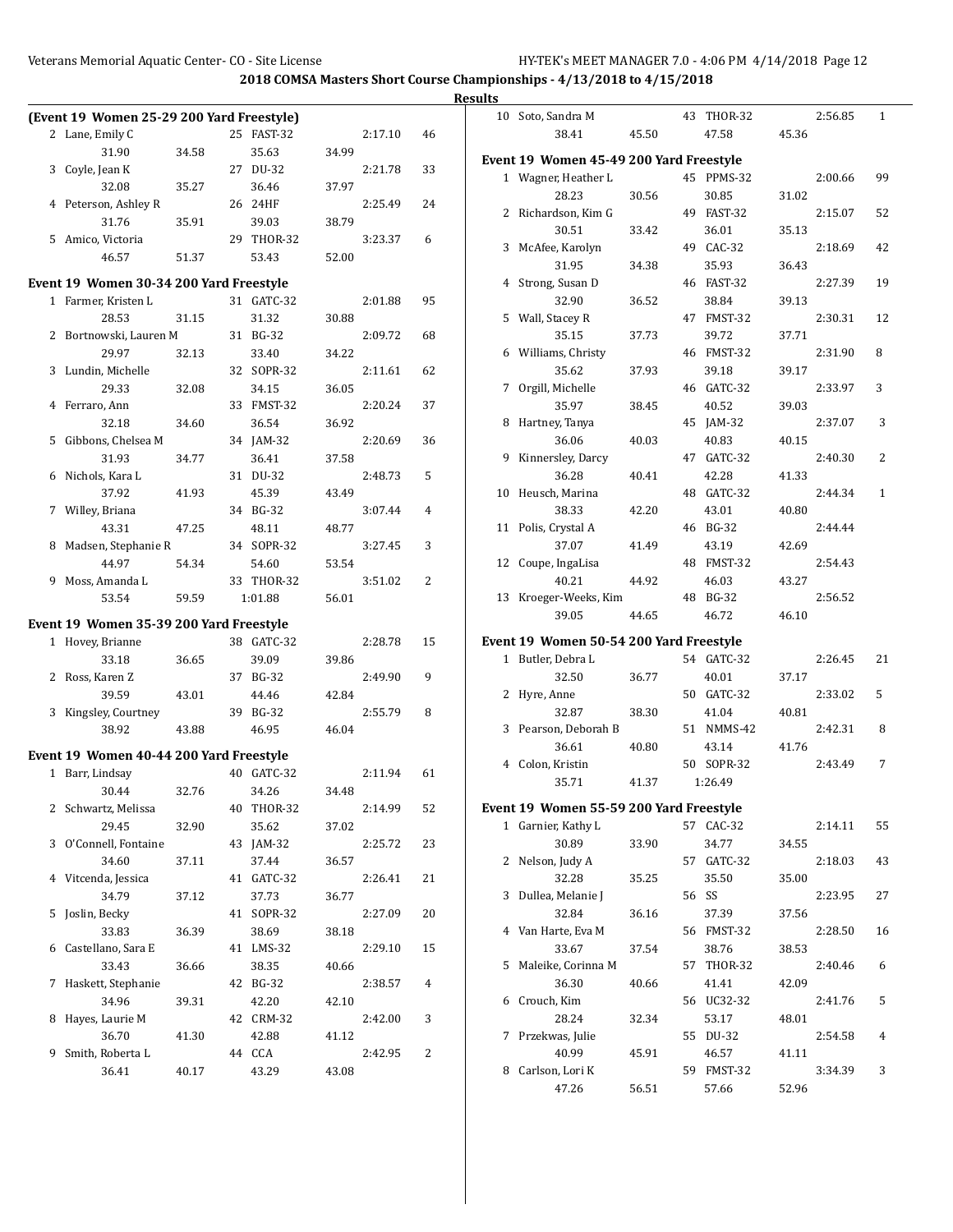| 43 THOR-32<br>2:56.85<br>(Event 19 Women 25-29 200 Yard Freestyle)<br>10 Soto, Sandra M<br>1<br>47.58<br>2 Lane, Emily C<br>25 FAST-32<br>2:17.10<br>38.41<br>45.50<br>45.36<br>46<br>31.90<br>35.63<br>34.99<br>34.58<br>Event 19 Women 45-49 200 Yard Freestyle<br>3 Coyle, Jean K<br>27 DU-32<br>2:21.78<br>33<br>99<br>2:00.66<br>1 Wagner, Heather L<br>45 PPMS-32<br>32.08<br>35.27<br>36.46<br>37.97<br>28.23<br>30.56<br>30.85<br>31.02<br>4 Peterson, Ashley R<br>26 24HF<br>2:25.49<br>24<br>2 Richardson, Kim G<br>49 FAST-32<br>52<br>2:15.07<br>31.76<br>39.03<br>38.79<br>35.91<br>30.51<br>33.42<br>36.01<br>35.13<br>5 Amico, Victoria<br>29 THOR-32<br>3:23.37<br>6<br>49 CAC-32<br>3 McAfee, Karolyn<br>2:18.69<br>42<br>46.57<br>51.37<br>53.43<br>52.00<br>31.95<br>35.93<br>34.38<br>36.43<br>4 Strong, Susan D<br>46 FAST-32<br>Event 19 Women 30-34 200 Yard Freestyle<br>2:27.39<br>19<br>95<br>32.90<br>36.52<br>38.84<br>39.13<br>1 Farmer, Kristen L<br>31 GATC-32<br>2:01.88<br>28.53<br>31.15<br>31.32<br>5 Wall, Stacey R<br>47 FMST-32<br>2:30.31<br>12<br>30.88<br>2 Bortnowski, Lauren M<br>31 BG-32<br>2:09.72<br>35.15<br>37.73<br>39.72<br>37.71<br>68<br>6 Williams, Christy<br>46 FMST-32<br>8<br>29.97<br>2:31.90<br>32.13<br>33.40<br>34.22<br>3 Lundin, Michelle<br>32 SOPR-32<br>35.62<br>39.17<br>2:11.61<br>62<br>37.93<br>39.18<br>46 GATC-32<br>7 Orgill, Michelle<br>2:33.97<br>3<br>29.33<br>32.08<br>34.15<br>36.05<br>33 FMST-32<br>2:20.24<br>35.97<br>38.45<br>40.52<br>39.03<br>4 Ferraro, Ann<br>37<br>36.54<br>8 Hartney, Tanya<br>45 JAM-32<br>2:37.07<br>3<br>32.18<br>34.60<br>36.92<br>36.06<br>40.03<br>40.83<br>5 Gibbons, Chelsea M<br>34 JAM-32<br>2:20.69<br>36<br>40.15<br>31.93<br>37.58<br>9 Kinnersley, Darcy<br>47 GATC-32<br>2:40.30<br>2<br>34.77<br>36.41<br>2:48.73<br>5<br>36.28<br>6 Nichols, Kara L<br>31 DU-32<br>40.41<br>42.28<br>41.33<br>48 GATC-32<br>37.92<br>10 Heusch, Marina<br>41.93<br>45.39<br>43.49<br>2:44.34<br>1<br>34 BG-32<br>38.33<br>43.01<br>7 Willey, Briana<br>3:07.44<br>42.20<br>40.80<br>4<br>46 BG-32<br>43.31<br>11 Polis, Crystal A<br>47.25<br>48.11<br>48.77<br>2:44.44<br>34 SOPR-32<br>37.07<br>43.19<br>8 Madsen, Stephanie R<br>3:27.45<br>3<br>41.49<br>42.69<br>44.97<br>12 Coupe, IngaLisa<br>48 FMST-32<br>2:54.43<br>54.34<br>54.60<br>53.54<br>33 THOR-32<br>3:51.02<br>2<br>40.21<br>44.92<br>46.03<br>43.27<br>9 Moss, Amanda L<br>53.54<br>13 Kroeger-Weeks, Kim<br>48 BG-32<br>2:56.52<br>59.59<br>1:01.88<br>56.01<br>39.05<br>44.65<br>46.72<br>46.10<br>Event 19 Women 35-39 200 Yard Freestyle<br>Event 19 Women 50-54 200 Yard Freestyle<br>1 Hovey, Brianne<br>38 GATC-32<br>2:28.78<br>15<br>1 Butler, Debra L<br>2:26.45<br>21<br>33.18<br>39.09<br>54 GATC-32<br>39.86<br>36.65<br>2 Ross, Karen Z<br>37 BG-32<br>2:49.90<br>9<br>32.50<br>36.77<br>40.01<br>37.17<br>2 Hyre, Anne<br>50 GATC-32<br>2:33.02<br>5<br>39.59<br>43.01<br>44.46<br>42.84<br>32.87<br>38.30<br>3 Kingsley, Courtney<br>39 BG-32<br>2:55.79<br>8<br>41.04<br>40.81<br>3 Pearson, Deborah B<br>51 NMMS-42<br>2:42.31<br>8<br>38.92<br>46.95<br>46.04<br>43.88<br>36.61<br>40.80<br>43.14<br>41.76<br>Event 19 Women 40-44 200 Yard Freestyle<br>4 Colon, Kristin<br>50 SOPR-32<br>2:43.49<br>7<br>40 GATC-32<br>2:11.94<br>1 Barr, Lindsay<br>61<br>35.71<br>41.37<br>1:26.49<br>30.44<br>34.26<br>32.76<br>34.48<br>40 THOR-32<br>Event 19 Women 55-59 200 Yard Freestyle<br>2 Schwartz, Melissa<br>2:14.99<br>52<br>2:14.11<br>29.45<br>35.62<br>1 Garnier, Kathy L<br>57 CAC-32<br>55<br>32.90<br>37.02<br>30.89<br>3 O'Connell, Fontaine<br>43 JAM-32<br>2:25.72<br>23<br>33.90<br>34.77<br>34.55<br>57 GATC-32<br>2:18.03<br>2 Nelson, Judy A<br>34.60<br>37.11<br>37.44<br>36.57<br>43<br>32.28<br>35.25<br>35.50<br>4 Vitcenda, Jessica<br>41 GATC-32<br>2:26.41<br>21<br>35.00<br>56 SS<br>2:23.95<br>34.79<br>3 Dullea, Melanie J<br>27<br>37.12<br>37.73<br>36.77<br>32.84<br>5 Joslin, Becky<br>41 SOPR-32<br>2:27.09<br>20<br>36.16<br>37.39<br>37.56<br>4 Van Harte, Eva M<br>2:28.50<br>33.83<br>38.69<br>56 FMST-32<br>16<br>36.39<br>38.18<br>33.67<br>6 Castellano, Sara E<br>41 LMS-32<br>2:29.10<br>37.54<br>38.76<br>38.53<br>15<br>5 Maleike, Corinna M<br>57 THOR-32<br>33.43<br>38.35<br>2:40.46<br>36.66<br>40.66<br>6<br>7 Haskett, Stephanie<br>42 BG-32<br>36.30<br>41.41<br>42.09<br>2:38.57<br>40.66<br>4<br>6 Crouch, Kim<br>56 UC32-32<br>34.96<br>42.20<br>2:41.76<br>5<br>39.31<br>42.10<br>32.34<br>53.17<br>8 Hayes, Laurie M<br>42 CRM-32<br>2:42.00<br>3<br>28.24<br>48.01<br>36.70<br>42.88<br>7 Przekwas, Julie<br>55 DU-32<br>2:54.58<br>41.30<br>41.12<br>4<br>9 Smith, Roberta L<br>44 CCA<br>2<br>40.99<br>2:42.95<br>45.91<br>46.57<br>41.11<br>8 Carlson, Lori K<br>59 FMST-32<br>3<br>36.41<br>40.17<br>43.29<br>43.08<br>3:34.39<br>47.26<br>56.51<br>57.66<br>52.96 |  |  |  |  | <b>Results</b> |  |  |  |  |
|---------------------------------------------------------------------------------------------------------------------------------------------------------------------------------------------------------------------------------------------------------------------------------------------------------------------------------------------------------------------------------------------------------------------------------------------------------------------------------------------------------------------------------------------------------------------------------------------------------------------------------------------------------------------------------------------------------------------------------------------------------------------------------------------------------------------------------------------------------------------------------------------------------------------------------------------------------------------------------------------------------------------------------------------------------------------------------------------------------------------------------------------------------------------------------------------------------------------------------------------------------------------------------------------------------------------------------------------------------------------------------------------------------------------------------------------------------------------------------------------------------------------------------------------------------------------------------------------------------------------------------------------------------------------------------------------------------------------------------------------------------------------------------------------------------------------------------------------------------------------------------------------------------------------------------------------------------------------------------------------------------------------------------------------------------------------------------------------------------------------------------------------------------------------------------------------------------------------------------------------------------------------------------------------------------------------------------------------------------------------------------------------------------------------------------------------------------------------------------------------------------------------------------------------------------------------------------------------------------------------------------------------------------------------------------------------------------------------------------------------------------------------------------------------------------------------------------------------------------------------------------------------------------------------------------------------------------------------------------------------------------------------------------------------------------------------------------------------------------------------------------------------------------------------------------------------------------------------------------------------------------------------------------------------------------------------------------------------------------------------------------------------------------------------------------------------------------------------------------------------------------------------------------------------------------------------------------------------------------------------------------------------------------------------------------------------------------------------------------------------------------------------------------------------------------------------------------------------------------------------------------------------------------------------------------------------------------------------------------------------------------------------------------------------------------------------------------------------------------------------------------------------------------------------------------------------------------------------------------------------------------------------------------------------------------------------------------------------------------------------------------------------------------------------------------------------------------------------------------------------------------------------------------------------------------------------------------------------------------------------------------------------------------------------------------------------------------------------------------------------------------------------------------------------------------------------------------------------------------------------------------------------------------------------------------|--|--|--|--|----------------|--|--|--|--|
|                                                                                                                                                                                                                                                                                                                                                                                                                                                                                                                                                                                                                                                                                                                                                                                                                                                                                                                                                                                                                                                                                                                                                                                                                                                                                                                                                                                                                                                                                                                                                                                                                                                                                                                                                                                                                                                                                                                                                                                                                                                                                                                                                                                                                                                                                                                                                                                                                                                                                                                                                                                                                                                                                                                                                                                                                                                                                                                                                                                                                                                                                                                                                                                                                                                                                                                                                                                                                                                                                                                                                                                                                                                                                                                                                                                                                                                                                                                                                                                                                                                                                                                                                                                                                                                                                                                                                                                                                                                                                                                                                                                                                                                                                                                                                                                                                                                                                                                                 |  |  |  |  |                |  |  |  |  |
|                                                                                                                                                                                                                                                                                                                                                                                                                                                                                                                                                                                                                                                                                                                                                                                                                                                                                                                                                                                                                                                                                                                                                                                                                                                                                                                                                                                                                                                                                                                                                                                                                                                                                                                                                                                                                                                                                                                                                                                                                                                                                                                                                                                                                                                                                                                                                                                                                                                                                                                                                                                                                                                                                                                                                                                                                                                                                                                                                                                                                                                                                                                                                                                                                                                                                                                                                                                                                                                                                                                                                                                                                                                                                                                                                                                                                                                                                                                                                                                                                                                                                                                                                                                                                                                                                                                                                                                                                                                                                                                                                                                                                                                                                                                                                                                                                                                                                                                                 |  |  |  |  |                |  |  |  |  |
|                                                                                                                                                                                                                                                                                                                                                                                                                                                                                                                                                                                                                                                                                                                                                                                                                                                                                                                                                                                                                                                                                                                                                                                                                                                                                                                                                                                                                                                                                                                                                                                                                                                                                                                                                                                                                                                                                                                                                                                                                                                                                                                                                                                                                                                                                                                                                                                                                                                                                                                                                                                                                                                                                                                                                                                                                                                                                                                                                                                                                                                                                                                                                                                                                                                                                                                                                                                                                                                                                                                                                                                                                                                                                                                                                                                                                                                                                                                                                                                                                                                                                                                                                                                                                                                                                                                                                                                                                                                                                                                                                                                                                                                                                                                                                                                                                                                                                                                                 |  |  |  |  |                |  |  |  |  |
|                                                                                                                                                                                                                                                                                                                                                                                                                                                                                                                                                                                                                                                                                                                                                                                                                                                                                                                                                                                                                                                                                                                                                                                                                                                                                                                                                                                                                                                                                                                                                                                                                                                                                                                                                                                                                                                                                                                                                                                                                                                                                                                                                                                                                                                                                                                                                                                                                                                                                                                                                                                                                                                                                                                                                                                                                                                                                                                                                                                                                                                                                                                                                                                                                                                                                                                                                                                                                                                                                                                                                                                                                                                                                                                                                                                                                                                                                                                                                                                                                                                                                                                                                                                                                                                                                                                                                                                                                                                                                                                                                                                                                                                                                                                                                                                                                                                                                                                                 |  |  |  |  |                |  |  |  |  |
|                                                                                                                                                                                                                                                                                                                                                                                                                                                                                                                                                                                                                                                                                                                                                                                                                                                                                                                                                                                                                                                                                                                                                                                                                                                                                                                                                                                                                                                                                                                                                                                                                                                                                                                                                                                                                                                                                                                                                                                                                                                                                                                                                                                                                                                                                                                                                                                                                                                                                                                                                                                                                                                                                                                                                                                                                                                                                                                                                                                                                                                                                                                                                                                                                                                                                                                                                                                                                                                                                                                                                                                                                                                                                                                                                                                                                                                                                                                                                                                                                                                                                                                                                                                                                                                                                                                                                                                                                                                                                                                                                                                                                                                                                                                                                                                                                                                                                                                                 |  |  |  |  |                |  |  |  |  |
|                                                                                                                                                                                                                                                                                                                                                                                                                                                                                                                                                                                                                                                                                                                                                                                                                                                                                                                                                                                                                                                                                                                                                                                                                                                                                                                                                                                                                                                                                                                                                                                                                                                                                                                                                                                                                                                                                                                                                                                                                                                                                                                                                                                                                                                                                                                                                                                                                                                                                                                                                                                                                                                                                                                                                                                                                                                                                                                                                                                                                                                                                                                                                                                                                                                                                                                                                                                                                                                                                                                                                                                                                                                                                                                                                                                                                                                                                                                                                                                                                                                                                                                                                                                                                                                                                                                                                                                                                                                                                                                                                                                                                                                                                                                                                                                                                                                                                                                                 |  |  |  |  |                |  |  |  |  |
|                                                                                                                                                                                                                                                                                                                                                                                                                                                                                                                                                                                                                                                                                                                                                                                                                                                                                                                                                                                                                                                                                                                                                                                                                                                                                                                                                                                                                                                                                                                                                                                                                                                                                                                                                                                                                                                                                                                                                                                                                                                                                                                                                                                                                                                                                                                                                                                                                                                                                                                                                                                                                                                                                                                                                                                                                                                                                                                                                                                                                                                                                                                                                                                                                                                                                                                                                                                                                                                                                                                                                                                                                                                                                                                                                                                                                                                                                                                                                                                                                                                                                                                                                                                                                                                                                                                                                                                                                                                                                                                                                                                                                                                                                                                                                                                                                                                                                                                                 |  |  |  |  |                |  |  |  |  |
|                                                                                                                                                                                                                                                                                                                                                                                                                                                                                                                                                                                                                                                                                                                                                                                                                                                                                                                                                                                                                                                                                                                                                                                                                                                                                                                                                                                                                                                                                                                                                                                                                                                                                                                                                                                                                                                                                                                                                                                                                                                                                                                                                                                                                                                                                                                                                                                                                                                                                                                                                                                                                                                                                                                                                                                                                                                                                                                                                                                                                                                                                                                                                                                                                                                                                                                                                                                                                                                                                                                                                                                                                                                                                                                                                                                                                                                                                                                                                                                                                                                                                                                                                                                                                                                                                                                                                                                                                                                                                                                                                                                                                                                                                                                                                                                                                                                                                                                                 |  |  |  |  |                |  |  |  |  |
|                                                                                                                                                                                                                                                                                                                                                                                                                                                                                                                                                                                                                                                                                                                                                                                                                                                                                                                                                                                                                                                                                                                                                                                                                                                                                                                                                                                                                                                                                                                                                                                                                                                                                                                                                                                                                                                                                                                                                                                                                                                                                                                                                                                                                                                                                                                                                                                                                                                                                                                                                                                                                                                                                                                                                                                                                                                                                                                                                                                                                                                                                                                                                                                                                                                                                                                                                                                                                                                                                                                                                                                                                                                                                                                                                                                                                                                                                                                                                                                                                                                                                                                                                                                                                                                                                                                                                                                                                                                                                                                                                                                                                                                                                                                                                                                                                                                                                                                                 |  |  |  |  |                |  |  |  |  |
|                                                                                                                                                                                                                                                                                                                                                                                                                                                                                                                                                                                                                                                                                                                                                                                                                                                                                                                                                                                                                                                                                                                                                                                                                                                                                                                                                                                                                                                                                                                                                                                                                                                                                                                                                                                                                                                                                                                                                                                                                                                                                                                                                                                                                                                                                                                                                                                                                                                                                                                                                                                                                                                                                                                                                                                                                                                                                                                                                                                                                                                                                                                                                                                                                                                                                                                                                                                                                                                                                                                                                                                                                                                                                                                                                                                                                                                                                                                                                                                                                                                                                                                                                                                                                                                                                                                                                                                                                                                                                                                                                                                                                                                                                                                                                                                                                                                                                                                                 |  |  |  |  |                |  |  |  |  |
|                                                                                                                                                                                                                                                                                                                                                                                                                                                                                                                                                                                                                                                                                                                                                                                                                                                                                                                                                                                                                                                                                                                                                                                                                                                                                                                                                                                                                                                                                                                                                                                                                                                                                                                                                                                                                                                                                                                                                                                                                                                                                                                                                                                                                                                                                                                                                                                                                                                                                                                                                                                                                                                                                                                                                                                                                                                                                                                                                                                                                                                                                                                                                                                                                                                                                                                                                                                                                                                                                                                                                                                                                                                                                                                                                                                                                                                                                                                                                                                                                                                                                                                                                                                                                                                                                                                                                                                                                                                                                                                                                                                                                                                                                                                                                                                                                                                                                                                                 |  |  |  |  |                |  |  |  |  |
|                                                                                                                                                                                                                                                                                                                                                                                                                                                                                                                                                                                                                                                                                                                                                                                                                                                                                                                                                                                                                                                                                                                                                                                                                                                                                                                                                                                                                                                                                                                                                                                                                                                                                                                                                                                                                                                                                                                                                                                                                                                                                                                                                                                                                                                                                                                                                                                                                                                                                                                                                                                                                                                                                                                                                                                                                                                                                                                                                                                                                                                                                                                                                                                                                                                                                                                                                                                                                                                                                                                                                                                                                                                                                                                                                                                                                                                                                                                                                                                                                                                                                                                                                                                                                                                                                                                                                                                                                                                                                                                                                                                                                                                                                                                                                                                                                                                                                                                                 |  |  |  |  |                |  |  |  |  |
|                                                                                                                                                                                                                                                                                                                                                                                                                                                                                                                                                                                                                                                                                                                                                                                                                                                                                                                                                                                                                                                                                                                                                                                                                                                                                                                                                                                                                                                                                                                                                                                                                                                                                                                                                                                                                                                                                                                                                                                                                                                                                                                                                                                                                                                                                                                                                                                                                                                                                                                                                                                                                                                                                                                                                                                                                                                                                                                                                                                                                                                                                                                                                                                                                                                                                                                                                                                                                                                                                                                                                                                                                                                                                                                                                                                                                                                                                                                                                                                                                                                                                                                                                                                                                                                                                                                                                                                                                                                                                                                                                                                                                                                                                                                                                                                                                                                                                                                                 |  |  |  |  |                |  |  |  |  |
|                                                                                                                                                                                                                                                                                                                                                                                                                                                                                                                                                                                                                                                                                                                                                                                                                                                                                                                                                                                                                                                                                                                                                                                                                                                                                                                                                                                                                                                                                                                                                                                                                                                                                                                                                                                                                                                                                                                                                                                                                                                                                                                                                                                                                                                                                                                                                                                                                                                                                                                                                                                                                                                                                                                                                                                                                                                                                                                                                                                                                                                                                                                                                                                                                                                                                                                                                                                                                                                                                                                                                                                                                                                                                                                                                                                                                                                                                                                                                                                                                                                                                                                                                                                                                                                                                                                                                                                                                                                                                                                                                                                                                                                                                                                                                                                                                                                                                                                                 |  |  |  |  |                |  |  |  |  |
|                                                                                                                                                                                                                                                                                                                                                                                                                                                                                                                                                                                                                                                                                                                                                                                                                                                                                                                                                                                                                                                                                                                                                                                                                                                                                                                                                                                                                                                                                                                                                                                                                                                                                                                                                                                                                                                                                                                                                                                                                                                                                                                                                                                                                                                                                                                                                                                                                                                                                                                                                                                                                                                                                                                                                                                                                                                                                                                                                                                                                                                                                                                                                                                                                                                                                                                                                                                                                                                                                                                                                                                                                                                                                                                                                                                                                                                                                                                                                                                                                                                                                                                                                                                                                                                                                                                                                                                                                                                                                                                                                                                                                                                                                                                                                                                                                                                                                                                                 |  |  |  |  |                |  |  |  |  |
|                                                                                                                                                                                                                                                                                                                                                                                                                                                                                                                                                                                                                                                                                                                                                                                                                                                                                                                                                                                                                                                                                                                                                                                                                                                                                                                                                                                                                                                                                                                                                                                                                                                                                                                                                                                                                                                                                                                                                                                                                                                                                                                                                                                                                                                                                                                                                                                                                                                                                                                                                                                                                                                                                                                                                                                                                                                                                                                                                                                                                                                                                                                                                                                                                                                                                                                                                                                                                                                                                                                                                                                                                                                                                                                                                                                                                                                                                                                                                                                                                                                                                                                                                                                                                                                                                                                                                                                                                                                                                                                                                                                                                                                                                                                                                                                                                                                                                                                                 |  |  |  |  |                |  |  |  |  |
|                                                                                                                                                                                                                                                                                                                                                                                                                                                                                                                                                                                                                                                                                                                                                                                                                                                                                                                                                                                                                                                                                                                                                                                                                                                                                                                                                                                                                                                                                                                                                                                                                                                                                                                                                                                                                                                                                                                                                                                                                                                                                                                                                                                                                                                                                                                                                                                                                                                                                                                                                                                                                                                                                                                                                                                                                                                                                                                                                                                                                                                                                                                                                                                                                                                                                                                                                                                                                                                                                                                                                                                                                                                                                                                                                                                                                                                                                                                                                                                                                                                                                                                                                                                                                                                                                                                                                                                                                                                                                                                                                                                                                                                                                                                                                                                                                                                                                                                                 |  |  |  |  |                |  |  |  |  |
|                                                                                                                                                                                                                                                                                                                                                                                                                                                                                                                                                                                                                                                                                                                                                                                                                                                                                                                                                                                                                                                                                                                                                                                                                                                                                                                                                                                                                                                                                                                                                                                                                                                                                                                                                                                                                                                                                                                                                                                                                                                                                                                                                                                                                                                                                                                                                                                                                                                                                                                                                                                                                                                                                                                                                                                                                                                                                                                                                                                                                                                                                                                                                                                                                                                                                                                                                                                                                                                                                                                                                                                                                                                                                                                                                                                                                                                                                                                                                                                                                                                                                                                                                                                                                                                                                                                                                                                                                                                                                                                                                                                                                                                                                                                                                                                                                                                                                                                                 |  |  |  |  |                |  |  |  |  |
|                                                                                                                                                                                                                                                                                                                                                                                                                                                                                                                                                                                                                                                                                                                                                                                                                                                                                                                                                                                                                                                                                                                                                                                                                                                                                                                                                                                                                                                                                                                                                                                                                                                                                                                                                                                                                                                                                                                                                                                                                                                                                                                                                                                                                                                                                                                                                                                                                                                                                                                                                                                                                                                                                                                                                                                                                                                                                                                                                                                                                                                                                                                                                                                                                                                                                                                                                                                                                                                                                                                                                                                                                                                                                                                                                                                                                                                                                                                                                                                                                                                                                                                                                                                                                                                                                                                                                                                                                                                                                                                                                                                                                                                                                                                                                                                                                                                                                                                                 |  |  |  |  |                |  |  |  |  |
|                                                                                                                                                                                                                                                                                                                                                                                                                                                                                                                                                                                                                                                                                                                                                                                                                                                                                                                                                                                                                                                                                                                                                                                                                                                                                                                                                                                                                                                                                                                                                                                                                                                                                                                                                                                                                                                                                                                                                                                                                                                                                                                                                                                                                                                                                                                                                                                                                                                                                                                                                                                                                                                                                                                                                                                                                                                                                                                                                                                                                                                                                                                                                                                                                                                                                                                                                                                                                                                                                                                                                                                                                                                                                                                                                                                                                                                                                                                                                                                                                                                                                                                                                                                                                                                                                                                                                                                                                                                                                                                                                                                                                                                                                                                                                                                                                                                                                                                                 |  |  |  |  |                |  |  |  |  |
|                                                                                                                                                                                                                                                                                                                                                                                                                                                                                                                                                                                                                                                                                                                                                                                                                                                                                                                                                                                                                                                                                                                                                                                                                                                                                                                                                                                                                                                                                                                                                                                                                                                                                                                                                                                                                                                                                                                                                                                                                                                                                                                                                                                                                                                                                                                                                                                                                                                                                                                                                                                                                                                                                                                                                                                                                                                                                                                                                                                                                                                                                                                                                                                                                                                                                                                                                                                                                                                                                                                                                                                                                                                                                                                                                                                                                                                                                                                                                                                                                                                                                                                                                                                                                                                                                                                                                                                                                                                                                                                                                                                                                                                                                                                                                                                                                                                                                                                                 |  |  |  |  |                |  |  |  |  |
|                                                                                                                                                                                                                                                                                                                                                                                                                                                                                                                                                                                                                                                                                                                                                                                                                                                                                                                                                                                                                                                                                                                                                                                                                                                                                                                                                                                                                                                                                                                                                                                                                                                                                                                                                                                                                                                                                                                                                                                                                                                                                                                                                                                                                                                                                                                                                                                                                                                                                                                                                                                                                                                                                                                                                                                                                                                                                                                                                                                                                                                                                                                                                                                                                                                                                                                                                                                                                                                                                                                                                                                                                                                                                                                                                                                                                                                                                                                                                                                                                                                                                                                                                                                                                                                                                                                                                                                                                                                                                                                                                                                                                                                                                                                                                                                                                                                                                                                                 |  |  |  |  |                |  |  |  |  |
|                                                                                                                                                                                                                                                                                                                                                                                                                                                                                                                                                                                                                                                                                                                                                                                                                                                                                                                                                                                                                                                                                                                                                                                                                                                                                                                                                                                                                                                                                                                                                                                                                                                                                                                                                                                                                                                                                                                                                                                                                                                                                                                                                                                                                                                                                                                                                                                                                                                                                                                                                                                                                                                                                                                                                                                                                                                                                                                                                                                                                                                                                                                                                                                                                                                                                                                                                                                                                                                                                                                                                                                                                                                                                                                                                                                                                                                                                                                                                                                                                                                                                                                                                                                                                                                                                                                                                                                                                                                                                                                                                                                                                                                                                                                                                                                                                                                                                                                                 |  |  |  |  |                |  |  |  |  |
|                                                                                                                                                                                                                                                                                                                                                                                                                                                                                                                                                                                                                                                                                                                                                                                                                                                                                                                                                                                                                                                                                                                                                                                                                                                                                                                                                                                                                                                                                                                                                                                                                                                                                                                                                                                                                                                                                                                                                                                                                                                                                                                                                                                                                                                                                                                                                                                                                                                                                                                                                                                                                                                                                                                                                                                                                                                                                                                                                                                                                                                                                                                                                                                                                                                                                                                                                                                                                                                                                                                                                                                                                                                                                                                                                                                                                                                                                                                                                                                                                                                                                                                                                                                                                                                                                                                                                                                                                                                                                                                                                                                                                                                                                                                                                                                                                                                                                                                                 |  |  |  |  |                |  |  |  |  |
|                                                                                                                                                                                                                                                                                                                                                                                                                                                                                                                                                                                                                                                                                                                                                                                                                                                                                                                                                                                                                                                                                                                                                                                                                                                                                                                                                                                                                                                                                                                                                                                                                                                                                                                                                                                                                                                                                                                                                                                                                                                                                                                                                                                                                                                                                                                                                                                                                                                                                                                                                                                                                                                                                                                                                                                                                                                                                                                                                                                                                                                                                                                                                                                                                                                                                                                                                                                                                                                                                                                                                                                                                                                                                                                                                                                                                                                                                                                                                                                                                                                                                                                                                                                                                                                                                                                                                                                                                                                                                                                                                                                                                                                                                                                                                                                                                                                                                                                                 |  |  |  |  |                |  |  |  |  |
|                                                                                                                                                                                                                                                                                                                                                                                                                                                                                                                                                                                                                                                                                                                                                                                                                                                                                                                                                                                                                                                                                                                                                                                                                                                                                                                                                                                                                                                                                                                                                                                                                                                                                                                                                                                                                                                                                                                                                                                                                                                                                                                                                                                                                                                                                                                                                                                                                                                                                                                                                                                                                                                                                                                                                                                                                                                                                                                                                                                                                                                                                                                                                                                                                                                                                                                                                                                                                                                                                                                                                                                                                                                                                                                                                                                                                                                                                                                                                                                                                                                                                                                                                                                                                                                                                                                                                                                                                                                                                                                                                                                                                                                                                                                                                                                                                                                                                                                                 |  |  |  |  |                |  |  |  |  |
|                                                                                                                                                                                                                                                                                                                                                                                                                                                                                                                                                                                                                                                                                                                                                                                                                                                                                                                                                                                                                                                                                                                                                                                                                                                                                                                                                                                                                                                                                                                                                                                                                                                                                                                                                                                                                                                                                                                                                                                                                                                                                                                                                                                                                                                                                                                                                                                                                                                                                                                                                                                                                                                                                                                                                                                                                                                                                                                                                                                                                                                                                                                                                                                                                                                                                                                                                                                                                                                                                                                                                                                                                                                                                                                                                                                                                                                                                                                                                                                                                                                                                                                                                                                                                                                                                                                                                                                                                                                                                                                                                                                                                                                                                                                                                                                                                                                                                                                                 |  |  |  |  |                |  |  |  |  |
|                                                                                                                                                                                                                                                                                                                                                                                                                                                                                                                                                                                                                                                                                                                                                                                                                                                                                                                                                                                                                                                                                                                                                                                                                                                                                                                                                                                                                                                                                                                                                                                                                                                                                                                                                                                                                                                                                                                                                                                                                                                                                                                                                                                                                                                                                                                                                                                                                                                                                                                                                                                                                                                                                                                                                                                                                                                                                                                                                                                                                                                                                                                                                                                                                                                                                                                                                                                                                                                                                                                                                                                                                                                                                                                                                                                                                                                                                                                                                                                                                                                                                                                                                                                                                                                                                                                                                                                                                                                                                                                                                                                                                                                                                                                                                                                                                                                                                                                                 |  |  |  |  |                |  |  |  |  |
|                                                                                                                                                                                                                                                                                                                                                                                                                                                                                                                                                                                                                                                                                                                                                                                                                                                                                                                                                                                                                                                                                                                                                                                                                                                                                                                                                                                                                                                                                                                                                                                                                                                                                                                                                                                                                                                                                                                                                                                                                                                                                                                                                                                                                                                                                                                                                                                                                                                                                                                                                                                                                                                                                                                                                                                                                                                                                                                                                                                                                                                                                                                                                                                                                                                                                                                                                                                                                                                                                                                                                                                                                                                                                                                                                                                                                                                                                                                                                                                                                                                                                                                                                                                                                                                                                                                                                                                                                                                                                                                                                                                                                                                                                                                                                                                                                                                                                                                                 |  |  |  |  |                |  |  |  |  |
|                                                                                                                                                                                                                                                                                                                                                                                                                                                                                                                                                                                                                                                                                                                                                                                                                                                                                                                                                                                                                                                                                                                                                                                                                                                                                                                                                                                                                                                                                                                                                                                                                                                                                                                                                                                                                                                                                                                                                                                                                                                                                                                                                                                                                                                                                                                                                                                                                                                                                                                                                                                                                                                                                                                                                                                                                                                                                                                                                                                                                                                                                                                                                                                                                                                                                                                                                                                                                                                                                                                                                                                                                                                                                                                                                                                                                                                                                                                                                                                                                                                                                                                                                                                                                                                                                                                                                                                                                                                                                                                                                                                                                                                                                                                                                                                                                                                                                                                                 |  |  |  |  |                |  |  |  |  |
|                                                                                                                                                                                                                                                                                                                                                                                                                                                                                                                                                                                                                                                                                                                                                                                                                                                                                                                                                                                                                                                                                                                                                                                                                                                                                                                                                                                                                                                                                                                                                                                                                                                                                                                                                                                                                                                                                                                                                                                                                                                                                                                                                                                                                                                                                                                                                                                                                                                                                                                                                                                                                                                                                                                                                                                                                                                                                                                                                                                                                                                                                                                                                                                                                                                                                                                                                                                                                                                                                                                                                                                                                                                                                                                                                                                                                                                                                                                                                                                                                                                                                                                                                                                                                                                                                                                                                                                                                                                                                                                                                                                                                                                                                                                                                                                                                                                                                                                                 |  |  |  |  |                |  |  |  |  |
|                                                                                                                                                                                                                                                                                                                                                                                                                                                                                                                                                                                                                                                                                                                                                                                                                                                                                                                                                                                                                                                                                                                                                                                                                                                                                                                                                                                                                                                                                                                                                                                                                                                                                                                                                                                                                                                                                                                                                                                                                                                                                                                                                                                                                                                                                                                                                                                                                                                                                                                                                                                                                                                                                                                                                                                                                                                                                                                                                                                                                                                                                                                                                                                                                                                                                                                                                                                                                                                                                                                                                                                                                                                                                                                                                                                                                                                                                                                                                                                                                                                                                                                                                                                                                                                                                                                                                                                                                                                                                                                                                                                                                                                                                                                                                                                                                                                                                                                                 |  |  |  |  |                |  |  |  |  |
|                                                                                                                                                                                                                                                                                                                                                                                                                                                                                                                                                                                                                                                                                                                                                                                                                                                                                                                                                                                                                                                                                                                                                                                                                                                                                                                                                                                                                                                                                                                                                                                                                                                                                                                                                                                                                                                                                                                                                                                                                                                                                                                                                                                                                                                                                                                                                                                                                                                                                                                                                                                                                                                                                                                                                                                                                                                                                                                                                                                                                                                                                                                                                                                                                                                                                                                                                                                                                                                                                                                                                                                                                                                                                                                                                                                                                                                                                                                                                                                                                                                                                                                                                                                                                                                                                                                                                                                                                                                                                                                                                                                                                                                                                                                                                                                                                                                                                                                                 |  |  |  |  |                |  |  |  |  |
|                                                                                                                                                                                                                                                                                                                                                                                                                                                                                                                                                                                                                                                                                                                                                                                                                                                                                                                                                                                                                                                                                                                                                                                                                                                                                                                                                                                                                                                                                                                                                                                                                                                                                                                                                                                                                                                                                                                                                                                                                                                                                                                                                                                                                                                                                                                                                                                                                                                                                                                                                                                                                                                                                                                                                                                                                                                                                                                                                                                                                                                                                                                                                                                                                                                                                                                                                                                                                                                                                                                                                                                                                                                                                                                                                                                                                                                                                                                                                                                                                                                                                                                                                                                                                                                                                                                                                                                                                                                                                                                                                                                                                                                                                                                                                                                                                                                                                                                                 |  |  |  |  |                |  |  |  |  |
|                                                                                                                                                                                                                                                                                                                                                                                                                                                                                                                                                                                                                                                                                                                                                                                                                                                                                                                                                                                                                                                                                                                                                                                                                                                                                                                                                                                                                                                                                                                                                                                                                                                                                                                                                                                                                                                                                                                                                                                                                                                                                                                                                                                                                                                                                                                                                                                                                                                                                                                                                                                                                                                                                                                                                                                                                                                                                                                                                                                                                                                                                                                                                                                                                                                                                                                                                                                                                                                                                                                                                                                                                                                                                                                                                                                                                                                                                                                                                                                                                                                                                                                                                                                                                                                                                                                                                                                                                                                                                                                                                                                                                                                                                                                                                                                                                                                                                                                                 |  |  |  |  |                |  |  |  |  |
|                                                                                                                                                                                                                                                                                                                                                                                                                                                                                                                                                                                                                                                                                                                                                                                                                                                                                                                                                                                                                                                                                                                                                                                                                                                                                                                                                                                                                                                                                                                                                                                                                                                                                                                                                                                                                                                                                                                                                                                                                                                                                                                                                                                                                                                                                                                                                                                                                                                                                                                                                                                                                                                                                                                                                                                                                                                                                                                                                                                                                                                                                                                                                                                                                                                                                                                                                                                                                                                                                                                                                                                                                                                                                                                                                                                                                                                                                                                                                                                                                                                                                                                                                                                                                                                                                                                                                                                                                                                                                                                                                                                                                                                                                                                                                                                                                                                                                                                                 |  |  |  |  |                |  |  |  |  |
|                                                                                                                                                                                                                                                                                                                                                                                                                                                                                                                                                                                                                                                                                                                                                                                                                                                                                                                                                                                                                                                                                                                                                                                                                                                                                                                                                                                                                                                                                                                                                                                                                                                                                                                                                                                                                                                                                                                                                                                                                                                                                                                                                                                                                                                                                                                                                                                                                                                                                                                                                                                                                                                                                                                                                                                                                                                                                                                                                                                                                                                                                                                                                                                                                                                                                                                                                                                                                                                                                                                                                                                                                                                                                                                                                                                                                                                                                                                                                                                                                                                                                                                                                                                                                                                                                                                                                                                                                                                                                                                                                                                                                                                                                                                                                                                                                                                                                                                                 |  |  |  |  |                |  |  |  |  |
|                                                                                                                                                                                                                                                                                                                                                                                                                                                                                                                                                                                                                                                                                                                                                                                                                                                                                                                                                                                                                                                                                                                                                                                                                                                                                                                                                                                                                                                                                                                                                                                                                                                                                                                                                                                                                                                                                                                                                                                                                                                                                                                                                                                                                                                                                                                                                                                                                                                                                                                                                                                                                                                                                                                                                                                                                                                                                                                                                                                                                                                                                                                                                                                                                                                                                                                                                                                                                                                                                                                                                                                                                                                                                                                                                                                                                                                                                                                                                                                                                                                                                                                                                                                                                                                                                                                                                                                                                                                                                                                                                                                                                                                                                                                                                                                                                                                                                                                                 |  |  |  |  |                |  |  |  |  |
|                                                                                                                                                                                                                                                                                                                                                                                                                                                                                                                                                                                                                                                                                                                                                                                                                                                                                                                                                                                                                                                                                                                                                                                                                                                                                                                                                                                                                                                                                                                                                                                                                                                                                                                                                                                                                                                                                                                                                                                                                                                                                                                                                                                                                                                                                                                                                                                                                                                                                                                                                                                                                                                                                                                                                                                                                                                                                                                                                                                                                                                                                                                                                                                                                                                                                                                                                                                                                                                                                                                                                                                                                                                                                                                                                                                                                                                                                                                                                                                                                                                                                                                                                                                                                                                                                                                                                                                                                                                                                                                                                                                                                                                                                                                                                                                                                                                                                                                                 |  |  |  |  |                |  |  |  |  |
|                                                                                                                                                                                                                                                                                                                                                                                                                                                                                                                                                                                                                                                                                                                                                                                                                                                                                                                                                                                                                                                                                                                                                                                                                                                                                                                                                                                                                                                                                                                                                                                                                                                                                                                                                                                                                                                                                                                                                                                                                                                                                                                                                                                                                                                                                                                                                                                                                                                                                                                                                                                                                                                                                                                                                                                                                                                                                                                                                                                                                                                                                                                                                                                                                                                                                                                                                                                                                                                                                                                                                                                                                                                                                                                                                                                                                                                                                                                                                                                                                                                                                                                                                                                                                                                                                                                                                                                                                                                                                                                                                                                                                                                                                                                                                                                                                                                                                                                                 |  |  |  |  |                |  |  |  |  |
|                                                                                                                                                                                                                                                                                                                                                                                                                                                                                                                                                                                                                                                                                                                                                                                                                                                                                                                                                                                                                                                                                                                                                                                                                                                                                                                                                                                                                                                                                                                                                                                                                                                                                                                                                                                                                                                                                                                                                                                                                                                                                                                                                                                                                                                                                                                                                                                                                                                                                                                                                                                                                                                                                                                                                                                                                                                                                                                                                                                                                                                                                                                                                                                                                                                                                                                                                                                                                                                                                                                                                                                                                                                                                                                                                                                                                                                                                                                                                                                                                                                                                                                                                                                                                                                                                                                                                                                                                                                                                                                                                                                                                                                                                                                                                                                                                                                                                                                                 |  |  |  |  |                |  |  |  |  |
|                                                                                                                                                                                                                                                                                                                                                                                                                                                                                                                                                                                                                                                                                                                                                                                                                                                                                                                                                                                                                                                                                                                                                                                                                                                                                                                                                                                                                                                                                                                                                                                                                                                                                                                                                                                                                                                                                                                                                                                                                                                                                                                                                                                                                                                                                                                                                                                                                                                                                                                                                                                                                                                                                                                                                                                                                                                                                                                                                                                                                                                                                                                                                                                                                                                                                                                                                                                                                                                                                                                                                                                                                                                                                                                                                                                                                                                                                                                                                                                                                                                                                                                                                                                                                                                                                                                                                                                                                                                                                                                                                                                                                                                                                                                                                                                                                                                                                                                                 |  |  |  |  |                |  |  |  |  |
|                                                                                                                                                                                                                                                                                                                                                                                                                                                                                                                                                                                                                                                                                                                                                                                                                                                                                                                                                                                                                                                                                                                                                                                                                                                                                                                                                                                                                                                                                                                                                                                                                                                                                                                                                                                                                                                                                                                                                                                                                                                                                                                                                                                                                                                                                                                                                                                                                                                                                                                                                                                                                                                                                                                                                                                                                                                                                                                                                                                                                                                                                                                                                                                                                                                                                                                                                                                                                                                                                                                                                                                                                                                                                                                                                                                                                                                                                                                                                                                                                                                                                                                                                                                                                                                                                                                                                                                                                                                                                                                                                                                                                                                                                                                                                                                                                                                                                                                                 |  |  |  |  |                |  |  |  |  |
|                                                                                                                                                                                                                                                                                                                                                                                                                                                                                                                                                                                                                                                                                                                                                                                                                                                                                                                                                                                                                                                                                                                                                                                                                                                                                                                                                                                                                                                                                                                                                                                                                                                                                                                                                                                                                                                                                                                                                                                                                                                                                                                                                                                                                                                                                                                                                                                                                                                                                                                                                                                                                                                                                                                                                                                                                                                                                                                                                                                                                                                                                                                                                                                                                                                                                                                                                                                                                                                                                                                                                                                                                                                                                                                                                                                                                                                                                                                                                                                                                                                                                                                                                                                                                                                                                                                                                                                                                                                                                                                                                                                                                                                                                                                                                                                                                                                                                                                                 |  |  |  |  |                |  |  |  |  |
|                                                                                                                                                                                                                                                                                                                                                                                                                                                                                                                                                                                                                                                                                                                                                                                                                                                                                                                                                                                                                                                                                                                                                                                                                                                                                                                                                                                                                                                                                                                                                                                                                                                                                                                                                                                                                                                                                                                                                                                                                                                                                                                                                                                                                                                                                                                                                                                                                                                                                                                                                                                                                                                                                                                                                                                                                                                                                                                                                                                                                                                                                                                                                                                                                                                                                                                                                                                                                                                                                                                                                                                                                                                                                                                                                                                                                                                                                                                                                                                                                                                                                                                                                                                                                                                                                                                                                                                                                                                                                                                                                                                                                                                                                                                                                                                                                                                                                                                                 |  |  |  |  |                |  |  |  |  |
|                                                                                                                                                                                                                                                                                                                                                                                                                                                                                                                                                                                                                                                                                                                                                                                                                                                                                                                                                                                                                                                                                                                                                                                                                                                                                                                                                                                                                                                                                                                                                                                                                                                                                                                                                                                                                                                                                                                                                                                                                                                                                                                                                                                                                                                                                                                                                                                                                                                                                                                                                                                                                                                                                                                                                                                                                                                                                                                                                                                                                                                                                                                                                                                                                                                                                                                                                                                                                                                                                                                                                                                                                                                                                                                                                                                                                                                                                                                                                                                                                                                                                                                                                                                                                                                                                                                                                                                                                                                                                                                                                                                                                                                                                                                                                                                                                                                                                                                                 |  |  |  |  |                |  |  |  |  |
|                                                                                                                                                                                                                                                                                                                                                                                                                                                                                                                                                                                                                                                                                                                                                                                                                                                                                                                                                                                                                                                                                                                                                                                                                                                                                                                                                                                                                                                                                                                                                                                                                                                                                                                                                                                                                                                                                                                                                                                                                                                                                                                                                                                                                                                                                                                                                                                                                                                                                                                                                                                                                                                                                                                                                                                                                                                                                                                                                                                                                                                                                                                                                                                                                                                                                                                                                                                                                                                                                                                                                                                                                                                                                                                                                                                                                                                                                                                                                                                                                                                                                                                                                                                                                                                                                                                                                                                                                                                                                                                                                                                                                                                                                                                                                                                                                                                                                                                                 |  |  |  |  |                |  |  |  |  |
|                                                                                                                                                                                                                                                                                                                                                                                                                                                                                                                                                                                                                                                                                                                                                                                                                                                                                                                                                                                                                                                                                                                                                                                                                                                                                                                                                                                                                                                                                                                                                                                                                                                                                                                                                                                                                                                                                                                                                                                                                                                                                                                                                                                                                                                                                                                                                                                                                                                                                                                                                                                                                                                                                                                                                                                                                                                                                                                                                                                                                                                                                                                                                                                                                                                                                                                                                                                                                                                                                                                                                                                                                                                                                                                                                                                                                                                                                                                                                                                                                                                                                                                                                                                                                                                                                                                                                                                                                                                                                                                                                                                                                                                                                                                                                                                                                                                                                                                                 |  |  |  |  |                |  |  |  |  |
|                                                                                                                                                                                                                                                                                                                                                                                                                                                                                                                                                                                                                                                                                                                                                                                                                                                                                                                                                                                                                                                                                                                                                                                                                                                                                                                                                                                                                                                                                                                                                                                                                                                                                                                                                                                                                                                                                                                                                                                                                                                                                                                                                                                                                                                                                                                                                                                                                                                                                                                                                                                                                                                                                                                                                                                                                                                                                                                                                                                                                                                                                                                                                                                                                                                                                                                                                                                                                                                                                                                                                                                                                                                                                                                                                                                                                                                                                                                                                                                                                                                                                                                                                                                                                                                                                                                                                                                                                                                                                                                                                                                                                                                                                                                                                                                                                                                                                                                                 |  |  |  |  |                |  |  |  |  |
|                                                                                                                                                                                                                                                                                                                                                                                                                                                                                                                                                                                                                                                                                                                                                                                                                                                                                                                                                                                                                                                                                                                                                                                                                                                                                                                                                                                                                                                                                                                                                                                                                                                                                                                                                                                                                                                                                                                                                                                                                                                                                                                                                                                                                                                                                                                                                                                                                                                                                                                                                                                                                                                                                                                                                                                                                                                                                                                                                                                                                                                                                                                                                                                                                                                                                                                                                                                                                                                                                                                                                                                                                                                                                                                                                                                                                                                                                                                                                                                                                                                                                                                                                                                                                                                                                                                                                                                                                                                                                                                                                                                                                                                                                                                                                                                                                                                                                                                                 |  |  |  |  |                |  |  |  |  |
|                                                                                                                                                                                                                                                                                                                                                                                                                                                                                                                                                                                                                                                                                                                                                                                                                                                                                                                                                                                                                                                                                                                                                                                                                                                                                                                                                                                                                                                                                                                                                                                                                                                                                                                                                                                                                                                                                                                                                                                                                                                                                                                                                                                                                                                                                                                                                                                                                                                                                                                                                                                                                                                                                                                                                                                                                                                                                                                                                                                                                                                                                                                                                                                                                                                                                                                                                                                                                                                                                                                                                                                                                                                                                                                                                                                                                                                                                                                                                                                                                                                                                                                                                                                                                                                                                                                                                                                                                                                                                                                                                                                                                                                                                                                                                                                                                                                                                                                                 |  |  |  |  |                |  |  |  |  |
|                                                                                                                                                                                                                                                                                                                                                                                                                                                                                                                                                                                                                                                                                                                                                                                                                                                                                                                                                                                                                                                                                                                                                                                                                                                                                                                                                                                                                                                                                                                                                                                                                                                                                                                                                                                                                                                                                                                                                                                                                                                                                                                                                                                                                                                                                                                                                                                                                                                                                                                                                                                                                                                                                                                                                                                                                                                                                                                                                                                                                                                                                                                                                                                                                                                                                                                                                                                                                                                                                                                                                                                                                                                                                                                                                                                                                                                                                                                                                                                                                                                                                                                                                                                                                                                                                                                                                                                                                                                                                                                                                                                                                                                                                                                                                                                                                                                                                                                                 |  |  |  |  |                |  |  |  |  |
|                                                                                                                                                                                                                                                                                                                                                                                                                                                                                                                                                                                                                                                                                                                                                                                                                                                                                                                                                                                                                                                                                                                                                                                                                                                                                                                                                                                                                                                                                                                                                                                                                                                                                                                                                                                                                                                                                                                                                                                                                                                                                                                                                                                                                                                                                                                                                                                                                                                                                                                                                                                                                                                                                                                                                                                                                                                                                                                                                                                                                                                                                                                                                                                                                                                                                                                                                                                                                                                                                                                                                                                                                                                                                                                                                                                                                                                                                                                                                                                                                                                                                                                                                                                                                                                                                                                                                                                                                                                                                                                                                                                                                                                                                                                                                                                                                                                                                                                                 |  |  |  |  |                |  |  |  |  |
|                                                                                                                                                                                                                                                                                                                                                                                                                                                                                                                                                                                                                                                                                                                                                                                                                                                                                                                                                                                                                                                                                                                                                                                                                                                                                                                                                                                                                                                                                                                                                                                                                                                                                                                                                                                                                                                                                                                                                                                                                                                                                                                                                                                                                                                                                                                                                                                                                                                                                                                                                                                                                                                                                                                                                                                                                                                                                                                                                                                                                                                                                                                                                                                                                                                                                                                                                                                                                                                                                                                                                                                                                                                                                                                                                                                                                                                                                                                                                                                                                                                                                                                                                                                                                                                                                                                                                                                                                                                                                                                                                                                                                                                                                                                                                                                                                                                                                                                                 |  |  |  |  |                |  |  |  |  |
|                                                                                                                                                                                                                                                                                                                                                                                                                                                                                                                                                                                                                                                                                                                                                                                                                                                                                                                                                                                                                                                                                                                                                                                                                                                                                                                                                                                                                                                                                                                                                                                                                                                                                                                                                                                                                                                                                                                                                                                                                                                                                                                                                                                                                                                                                                                                                                                                                                                                                                                                                                                                                                                                                                                                                                                                                                                                                                                                                                                                                                                                                                                                                                                                                                                                                                                                                                                                                                                                                                                                                                                                                                                                                                                                                                                                                                                                                                                                                                                                                                                                                                                                                                                                                                                                                                                                                                                                                                                                                                                                                                                                                                                                                                                                                                                                                                                                                                                                 |  |  |  |  |                |  |  |  |  |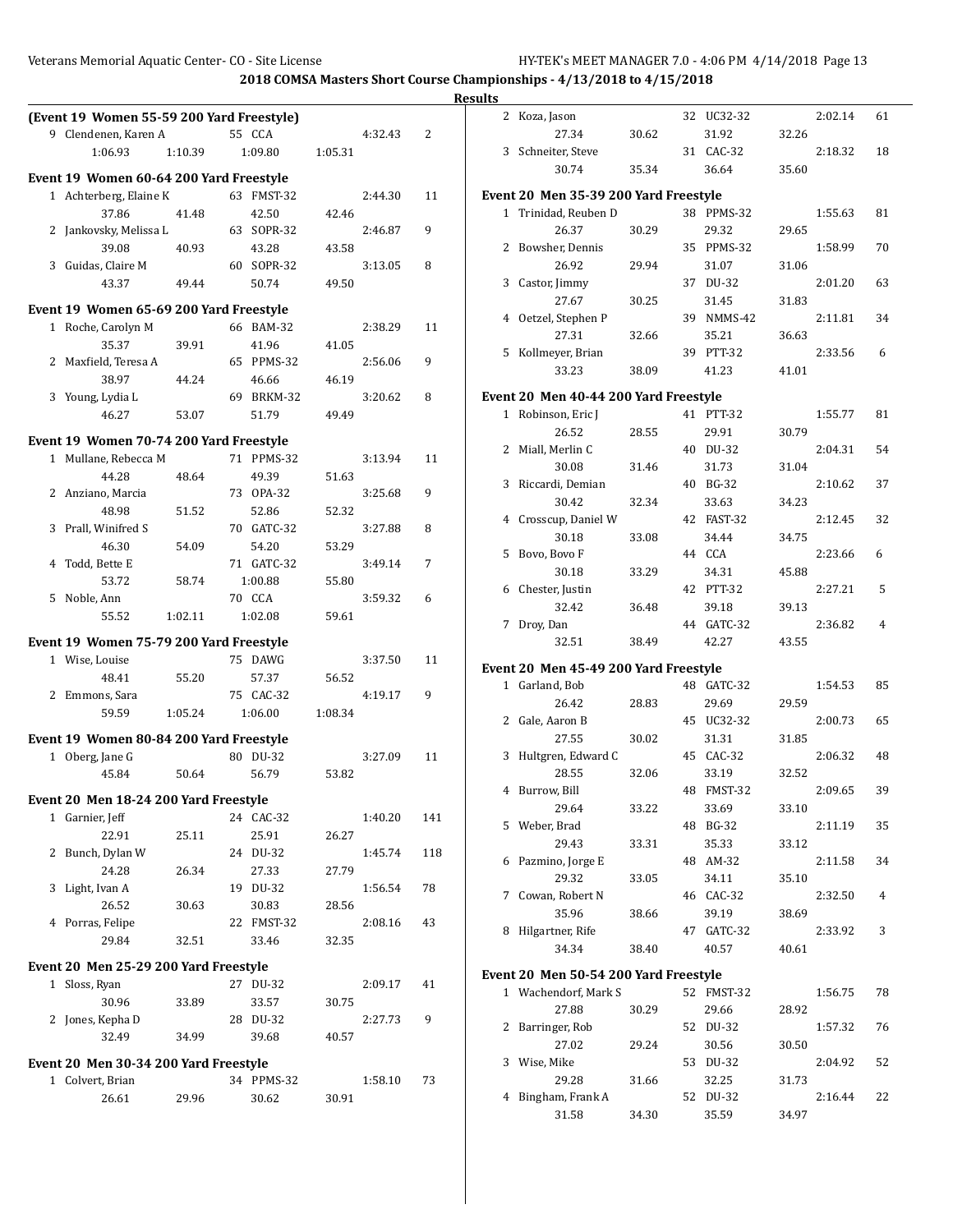|                                           |         |                     |         |         |     | <b>Results</b> |                                       |       |                     |       |         |    |
|-------------------------------------------|---------|---------------------|---------|---------|-----|----------------|---------------------------------------|-------|---------------------|-------|---------|----|
| (Event 19 Women 55-59 200 Yard Freestyle) |         |                     |         |         |     |                | 2 Koza, Jason                         |       | 32 UC32-32          |       | 2:02.14 | 61 |
| 9 Clendenen, Karen A                      |         | 55 CCA              |         | 4:32.43 | 2   |                | 27.34                                 | 30.62 | 31.92               | 32.26 |         |    |
| 1:06.93                                   | 1:10.39 | 1:09.80             | 1:05.31 |         |     |                | 3 Schneiter, Steve                    |       | 31 CAC-32           |       | 2:18.32 | 18 |
| Event 19 Women 60-64 200 Yard Freestyle   |         |                     |         |         |     |                | 30.74                                 | 35.34 | 36.64               | 35.60 |         |    |
| 1 Achterberg, Elaine K                    |         | 63 FMST-32          |         | 2:44.30 | 11  |                | Event 20 Men 35-39 200 Yard Freestyle |       |                     |       |         |    |
| 37.86                                     | 41.48   | 42.50               | 42.46   |         |     |                | 1 Trinidad, Reuben D                  |       | 38 PPMS-32          |       | 1:55.63 | 81 |
| 2 Jankovsky, Melissa L                    |         | 63 SOPR-32          |         | 2:46.87 | 9   |                | 26.37                                 | 30.29 | 29.32               | 29.65 |         |    |
| 39.08                                     | 40.93   | 43.28               | 43.58   |         |     |                | 2 Bowsher, Dennis                     |       | 35 PPMS-32          |       | 1:58.99 | 70 |
| 3 Guidas, Claire M                        |         | 60 SOPR-32          |         | 3:13.05 | 8   |                | 26.92                                 | 29.94 | 31.07               | 31.06 |         |    |
| 43.37                                     | 49.44   | 50.74               | 49.50   |         |     |                | 3 Castor, Jimmy                       |       | 37 DU-32            |       | 2:01.20 | 63 |
| Event 19 Women 65-69 200 Yard Freestyle   |         |                     |         |         |     |                | 27.67                                 | 30.25 | 31.45               | 31.83 |         |    |
|                                           |         | 66 BAM-32           |         | 2:38.29 | 11  |                | 4 Oetzel, Stephen P                   |       | 39 NMMS-42          |       | 2:11.81 | 34 |
| 1 Roche, Carolyn M<br>35.37               | 39.91   | 41.96               | 41.05   |         |     |                | 27.31                                 | 32.66 | 35.21               | 36.63 |         |    |
| 2 Maxfield, Teresa A                      |         | 65 PPMS-32          |         | 2:56.06 | 9   |                | 5 Kollmeyer, Brian                    |       | 39 PTT-32           |       | 2:33.56 | 6  |
| 38.97                                     | 44.24   | 46.66               | 46.19   |         |     |                | 33.23                                 | 38.09 | 41.23               | 41.01 |         |    |
| 3 Young, Lydia L                          |         | 69 BRKM-32          |         | 3:20.62 | 8   |                | Event 20 Men 40-44 200 Yard Freestyle |       |                     |       |         |    |
| 46.27                                     | 53.07   | 51.79               | 49.49   |         |     |                | 1 Robinson, Eric J                    |       | 41 PTT-32           |       | 1:55.77 | 81 |
|                                           |         |                     |         |         |     |                | 26.52                                 | 28.55 | 29.91               | 30.79 |         |    |
| Event 19 Women 70-74 200 Yard Freestyle   |         |                     |         |         |     |                | 2 Miall, Merlin C                     |       | 40 DU-32            |       | 2:04.31 | 54 |
| 1 Mullane, Rebecca M                      |         | 71 PPMS-32          |         | 3:13.94 | 11  |                | 30.08                                 | 31.46 | 31.73               | 31.04 |         |    |
| 44.28                                     | 48.64   | 49.39               | 51.63   |         |     |                | 3 Riccardi, Demian                    |       | 40 BG-32            |       | 2:10.62 | 37 |
| 2 Anziano, Marcia                         |         | 73 OPA-32           |         | 3:25.68 | 9   |                | 30.42                                 | 32.34 | 33.63               | 34.23 |         |    |
| 48.98                                     | 51.52   | 52.86               | 52.32   |         |     |                | 4 Crosscup, Daniel W                  |       | 42 FAST-32          |       | 2:12.45 | 32 |
| 3 Prall, Winifred S                       |         | 70 GATC-32<br>54.20 | 53.29   | 3:27.88 | 8   |                | 30.18                                 | 33.08 | 34.44               | 34.75 |         |    |
| 46.30<br>4 Todd, Bette E                  | 54.09   | 71 GATC-32          |         | 3:49.14 | 7   |                | 5 Bovo, Bovo F                        |       | 44 CCA              |       | 2:23.66 | 6  |
| 53.72                                     | 58.74   | 1:00.88             | 55.80   |         |     |                | 30.18                                 | 33.29 | 34.31               | 45.88 |         |    |
| 5 Noble, Ann                              |         | 70 CCA              |         | 3:59.32 | 6   |                | 6 Chester, Justin                     |       | 42 PTT-32           |       | 2:27.21 | 5  |
| 55.52                                     | 1:02.11 | 1:02.08             | 59.61   |         |     |                | 32.42                                 | 36.48 | 39.18               | 39.13 |         |    |
|                                           |         |                     |         |         |     |                | 7 Droy, Dan                           |       | 44 GATC-32          |       | 2:36.82 | 4  |
| Event 19 Women 75-79 200 Yard Freestyle   |         |                     |         |         |     |                | 32.51                                 | 38.49 | 42.27               | 43.55 |         |    |
| 1 Wise, Louise                            |         | 75 DAWG             |         | 3:37.50 | 11  |                | Event 20 Men 45-49 200 Yard Freestyle |       |                     |       |         |    |
| 48.41                                     | 55.20   | 57.37               | 56.52   |         |     |                | 1 Garland, Bob                        |       | 48 GATC-32          |       | 1:54.53 | 85 |
| 2 Emmons, Sara                            |         | 75 CAC-32           |         | 4:19.17 | 9   |                | 26.42                                 | 28.83 | 29.69               | 29.59 |         |    |
| 59.59                                     | 1:05.24 | 1:06.00             | 1:08.34 |         |     |                | 2 Gale, Aaron B                       |       | 45 UC32-32          |       | 2:00.73 | 65 |
| Event 19 Women 80-84 200 Yard Freestyle   |         |                     |         |         |     |                | 27.55                                 | 30.02 | 31.31               | 31.85 |         |    |
| 1 Oberg, Jane G                           |         | 80 DU-32            |         | 3:27.09 | 11  |                | 3 Hultgren, Edward C                  |       | 45 CAC-32           |       | 2:06.32 | 48 |
| 45.84                                     | 50.64   | 56.79               | 53.82   |         |     |                | 28.55                                 | 32.06 | 33.19               | 32.52 |         |    |
| Event 20 Men 18-24 200 Yard Freestyle     |         |                     |         |         |     |                | 4 Burrow, Bill                        |       | 48 FMST-32          |       | 2:09.65 | 39 |
| 1 Garnier, Jeff                           |         | 24 CAC-32           |         | 1:40.20 | 141 |                | 29.64                                 | 33.22 | 33.69               | 33.10 |         |    |
| 22.91                                     | 25.11   | 25.91               | 26.27   |         |     |                | 5 Weber, Brad                         |       | 48 BG-32            |       | 2:11.19 | 35 |
| 2 Bunch, Dylan W                          |         | 24 DU-32            |         | 1:45.74 | 118 |                | 29.43                                 | 33.31 | 35.33               | 33.12 |         |    |
| 24.28                                     | 26.34   | 27.33               | 27.79   |         |     |                | 6 Pazmino, Jorge E                    |       | 48 AM-32            |       | 2:11.58 | 34 |
| 3 Light, Ivan A                           |         | 19 DU-32            |         | 1:56.54 | 78  |                | 29.32                                 | 33.05 | 34.11               | 35.10 |         |    |
| 26.52                                     | 30.63   | 30.83               | 28.56   |         |     |                | 7 Cowan, Robert N                     |       | 46 CAC-32           |       | 2:32.50 | 4  |
| 4 Porras, Felipe                          |         | 22 FMST-32          |         | 2:08.16 | 43  |                | 35.96                                 | 38.66 | 39.19               | 38.69 |         |    |
| 29.84                                     | 32.51   | 33.46               | 32.35   |         |     |                | 8 Hilgartner, Rife<br>34.34           | 38.40 | 47 GATC-32<br>40.57 | 40.61 | 2:33.92 | 3  |
| Event 20 Men 25-29 200 Yard Freestyle     |         |                     |         |         |     |                |                                       |       |                     |       |         |    |
| 1 Sloss, Ryan                             |         | 27 DU-32            |         | 2:09.17 | 41  |                | Event 20 Men 50-54 200 Yard Freestyle |       |                     |       |         |    |
| 30.96                                     | 33.89   | 33.57               | 30.75   |         |     |                | 1 Wachendorf, Mark S                  |       | 52 FMST-32          |       | 1:56.75 | 78 |
| 2 Jones, Kepha D                          |         | 28 DU-32            |         | 2:27.73 | 9   |                | 27.88                                 | 30.29 | 29.66               | 28.92 |         |    |
| 32.49                                     | 34.99   | 39.68               | 40.57   |         |     |                | 2 Barringer, Rob                      |       | 52 DU-32            |       | 1:57.32 | 76 |
|                                           |         |                     |         |         |     |                | 27.02                                 | 29.24 | 30.56               | 30.50 |         |    |
| Event 20 Men 30-34 200 Yard Freestyle     |         |                     |         |         |     |                | 3 Wise, Mike                          |       | 53 DU-32            |       | 2:04.92 | 52 |
| 1 Colvert, Brian                          |         | 34 PPMS-32          |         | 1:58.10 | 73  |                | 29.28                                 | 31.66 | 32.25               | 31.73 |         |    |
| 26.61                                     | 29.96   | 30.62               | 30.91   |         |     |                | 4 Bingham, Frank A                    |       | 52 DU-32            |       | 2:16.44 | 22 |
|                                           |         |                     |         |         |     |                | 31.58                                 | 34.30 | 35.59               | 34.97 |         |    |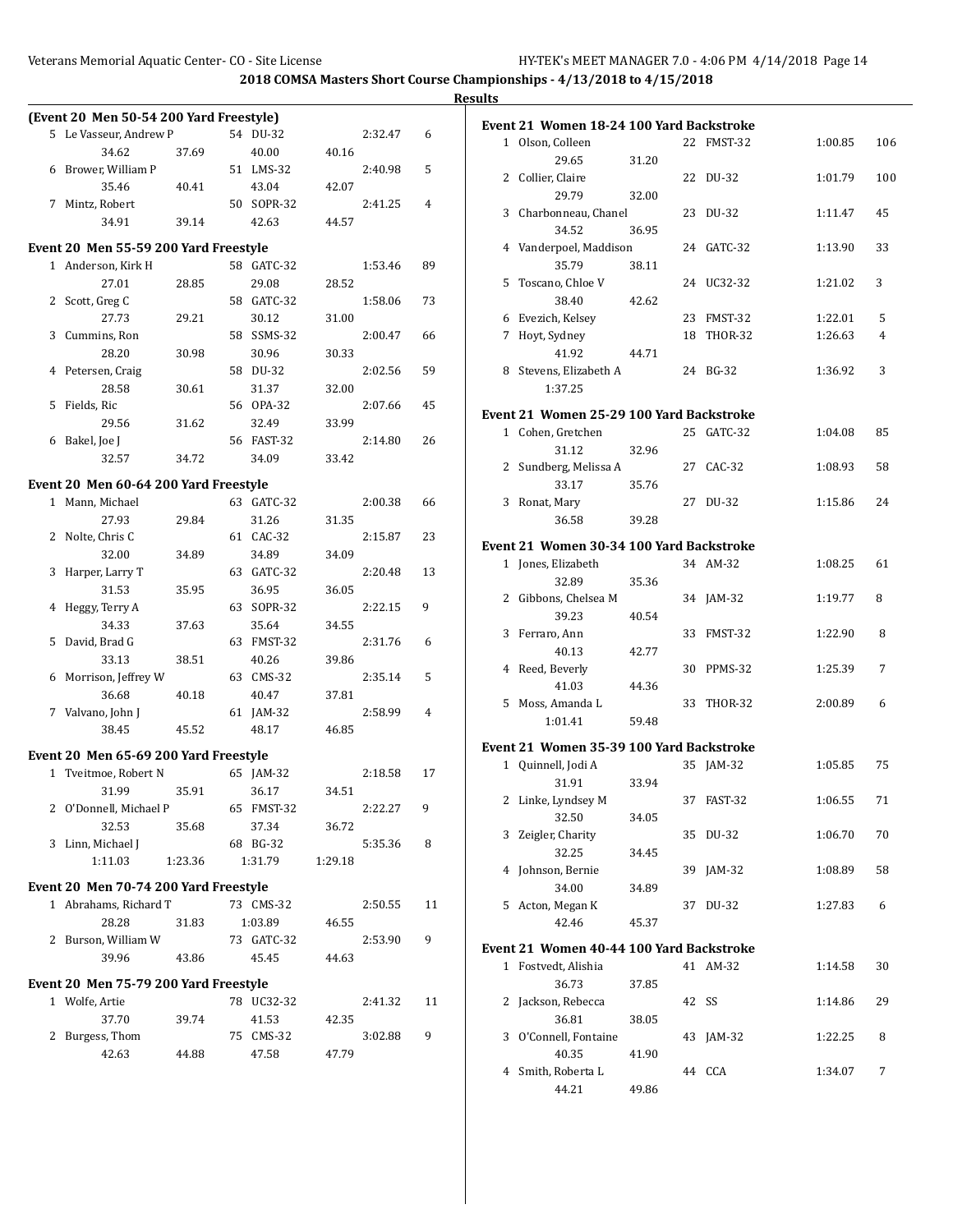**Results**

| Event 21 Women 18-24 100 Yard Backstroke<br>5 Le Vasseur, Andrew P<br>54 DU-32<br>2:32.47<br>6<br>1 Olson, Colleen<br>22 FMST-32<br>1:00.85<br>106<br>34.62<br>37.69<br>40.00<br>40.16<br>29.65<br>31.20<br>6 Brower, William P<br>51 LMS-32<br>2:40.98<br>5<br>2 Collier, Claire<br>22 DU-32<br>1:01.79<br>100<br>35.46<br>40.41<br>43.04<br>42.07<br>29.79<br>32.00<br>50 SOPR-32<br>7 Mintz, Robert<br>2:41.25<br>4<br>3 Charbonneau, Chanel<br>23 DU-32<br>45<br>1:11.47<br>34.91<br>39.14<br>42.63<br>44.57<br>34.52<br>36.95<br>Event 20 Men 55-59 200 Yard Freestyle<br>4 Vanderpoel, Maddison<br>24 GATC-32<br>33<br>1:13.90<br>35.79<br>1 Anderson, Kirk H<br>58 GATC-32<br>89<br>38.11<br>1:53.46<br>27.01<br>28.85<br>29.08<br>28.52<br>5 Toscano, Chloe V<br>24 UC32-32<br>1:21.02<br>3<br>2 Scott, Greg C<br>58 GATC-32<br>1:58.06<br>73<br>38.40<br>42.62<br>29.21<br>30.12<br>31.00<br>6 Evezich, Kelsey<br>23 FMST-32<br>1:22.01<br>5<br>27.73<br>58 SSMS-32<br>7 Hoyt, Sydney<br>18 THOR-32<br>3 Cummins, Ron<br>2:00.47<br>1:26.63<br>4<br>66<br>28.20<br>30.98<br>30.96<br>30.33<br>41.92<br>44.71<br>4 Petersen, Craig<br>58 DU-32<br>2:02.56<br>59<br>8 Stevens, Elizabeth A<br>24 BG-32<br>3<br>1:36.92<br>28.58<br>30.61<br>31.37<br>32.00<br>1:37.25<br>5 Fields, Ric<br>56 OPA-32<br>2:07.66<br>45<br>Event 21 Women 25-29 100 Yard Backstroke<br>29.56<br>33.99<br>31.62<br>32.49<br>1 Cohen, Gretchen<br>25 GATC-32<br>1:04.08<br>85<br>6 Bakel, Joe J<br>56 FAST-32<br>26<br>2:14.80<br>31.12<br>32.96<br>33.42<br>32.57<br>34.72<br>34.09<br>2 Sundberg, Melissa A<br>27 CAC-32<br>1:08.93<br>58<br>Event 20 Men 60-64 200 Yard Freestyle<br>33.17<br>35.76<br>1 Mann, Michael<br>63 GATC-32<br>2:00.38<br>66<br>3 Ronat, Mary<br>27 DU-32<br>1:15.86<br>24<br>29.84<br>27.93<br>31.26<br>36.58<br>39.28<br>31.35<br>2 Nolte, Chris C<br>61 CAC-32<br>2:15.87<br>23<br>Event 21 Women 30-34 100 Yard Backstroke<br>32.00<br>34.89<br>34.89<br>34.09<br>1 Jones, Elizabeth<br>34 AM-32<br>1:08.25<br>61<br>3 Harper, Larry T<br>63 GATC-32<br>2:20.48<br>13<br>32.89<br>35.36<br>31.53<br>35.95<br>36.95<br>36.05<br>2 Gibbons, Chelsea M<br>1:19.77<br>8<br>34 JAM-32<br>9<br>4 Heggy, Terry A<br>63 SOPR-32<br>2:22.15<br>39.23<br>40.54<br>34.33<br>37.63<br>35.64<br>34.55<br>3 Ferraro, Ann<br>33 FMST-32<br>1:22.90<br>8<br>5 David, Brad G<br>63 FMST-32<br>2:31.76<br>6<br>40.13<br>42.77<br>33.13<br>38.51<br>40.26<br>39.86<br>30 PPMS-32<br>4 Reed, Beverly<br>1:25.39<br>7<br>6 Morrison, Jeffrey W<br>63 CMS-32<br>2:35.14<br>5<br>41.03<br>44.36<br>40.47<br>37.81<br>36.68<br>40.18<br>5 Moss, Amanda L<br>33 THOR-32<br>2:00.89<br>6<br>7 Valvano, John J<br>61 JAM-32<br>2:58.99<br>4<br>1:01.41<br>59.48<br>38.45<br>45.52<br>48.17<br>46.85<br>Event 21 Women 35-39 100 Yard Backstroke<br>Event 20 Men 65-69 200 Yard Freestyle<br>1 Quinnell, Jodi A<br>35 JAM-32<br>1:05.85<br>75<br>1 Tveitmoe, Robert N<br>2:18.58<br>17<br>65 JAM-32<br>33.94<br>31.91<br>31.99<br>35.91<br>36.17<br>34.51<br>37 FAST-32<br>2 Linke, Lyndsey M<br>1:06.55<br>71<br>2:22.27 9<br>2 O'Donnell, Michael P<br>65 FMST-32<br>32.50<br>34.05<br>37.34<br>32.53<br>35.68<br>36.72<br>3 Zeigler, Charity<br>35 DU-32<br>1:06.70<br>70<br>68 BG-32<br>5:35.36<br>3 Linn, Michael J<br>8<br>32.25<br>34.45<br>1:11.03<br>1:23.36<br>1:31.79<br>1:29.18<br>4 Johnson, Bernie<br>39 JAM-32<br>1:08.89<br>58<br>Event 20 Men 70-74 200 Yard Freestyle<br>34.00<br>34.89<br>1 Abrahams, Richard T<br>73 CMS-32<br>5 Acton, Megan K<br>37 DU-32<br>6<br>2:50.55<br>11<br>1:27.83<br>28.28<br>31.83<br>1:03.89<br>42.46<br>45.37<br>46.55<br>2 Burson, William W<br>73 GATC-32<br>2:53.90<br>9<br>Event 21 Women 40-44 100 Yard Backstroke<br>39.96<br>43.86<br>45.45<br>44.63<br>1 Fostvedt, Alishia<br>41 AM-32<br>1:14.58<br>30<br>Event 20 Men 75-79 200 Yard Freestyle<br>36.73<br>37.85<br>42 SS<br>1 Wolfe, Artie<br>78 UC32-32<br>2:41.32<br>2 Jackson, Rebecca<br>1:14.86<br>29<br>11<br>37.70<br>39.74<br>36.81<br>41.53<br>42.35<br>38.05<br>3 O'Connell, Fontaine<br>2 Burgess, Thom<br>75 CMS-32<br>3:02.88<br>9<br>43 JAM-32<br>1:22.25<br>8<br>42.63<br>44.88<br>47.58<br>47.79<br>40.35<br>41.90 | (Event 20 Men 50-54 200 Yard Freestyle) |  |  |  |       |       |  |  |
|---------------------------------------------------------------------------------------------------------------------------------------------------------------------------------------------------------------------------------------------------------------------------------------------------------------------------------------------------------------------------------------------------------------------------------------------------------------------------------------------------------------------------------------------------------------------------------------------------------------------------------------------------------------------------------------------------------------------------------------------------------------------------------------------------------------------------------------------------------------------------------------------------------------------------------------------------------------------------------------------------------------------------------------------------------------------------------------------------------------------------------------------------------------------------------------------------------------------------------------------------------------------------------------------------------------------------------------------------------------------------------------------------------------------------------------------------------------------------------------------------------------------------------------------------------------------------------------------------------------------------------------------------------------------------------------------------------------------------------------------------------------------------------------------------------------------------------------------------------------------------------------------------------------------------------------------------------------------------------------------------------------------------------------------------------------------------------------------------------------------------------------------------------------------------------------------------------------------------------------------------------------------------------------------------------------------------------------------------------------------------------------------------------------------------------------------------------------------------------------------------------------------------------------------------------------------------------------------------------------------------------------------------------------------------------------------------------------------------------------------------------------------------------------------------------------------------------------------------------------------------------------------------------------------------------------------------------------------------------------------------------------------------------------------------------------------------------------------------------------------------------------------------------------------------------------------------------------------------------------------------------------------------------------------------------------------------------------------------------------------------------------------------------------------------------------------------------------------------------------------------------------------------------------------------------------------------------------------------------------------------------------------------------------------------------------------------------------------------------------------------------------------------------------------------------------------------------------------------------------------------------------------------------------------------------------------------------------------------------------------------------------------------------------------------------------------------------------------------------------------------------------------------------------------------------------------------------------------------------------|-----------------------------------------|--|--|--|-------|-------|--|--|
|                                                                                                                                                                                                                                                                                                                                                                                                                                                                                                                                                                                                                                                                                                                                                                                                                                                                                                                                                                                                                                                                                                                                                                                                                                                                                                                                                                                                                                                                                                                                                                                                                                                                                                                                                                                                                                                                                                                                                                                                                                                                                                                                                                                                                                                                                                                                                                                                                                                                                                                                                                                                                                                                                                                                                                                                                                                                                                                                                                                                                                                                                                                                                                                                                                                                                                                                                                                                                                                                                                                                                                                                                                                                                                                                                                                                                                                                                                                                                                                                                                                                                                                                                                                                                                       |                                         |  |  |  |       |       |  |  |
|                                                                                                                                                                                                                                                                                                                                                                                                                                                                                                                                                                                                                                                                                                                                                                                                                                                                                                                                                                                                                                                                                                                                                                                                                                                                                                                                                                                                                                                                                                                                                                                                                                                                                                                                                                                                                                                                                                                                                                                                                                                                                                                                                                                                                                                                                                                                                                                                                                                                                                                                                                                                                                                                                                                                                                                                                                                                                                                                                                                                                                                                                                                                                                                                                                                                                                                                                                                                                                                                                                                                                                                                                                                                                                                                                                                                                                                                                                                                                                                                                                                                                                                                                                                                                                       |                                         |  |  |  |       |       |  |  |
|                                                                                                                                                                                                                                                                                                                                                                                                                                                                                                                                                                                                                                                                                                                                                                                                                                                                                                                                                                                                                                                                                                                                                                                                                                                                                                                                                                                                                                                                                                                                                                                                                                                                                                                                                                                                                                                                                                                                                                                                                                                                                                                                                                                                                                                                                                                                                                                                                                                                                                                                                                                                                                                                                                                                                                                                                                                                                                                                                                                                                                                                                                                                                                                                                                                                                                                                                                                                                                                                                                                                                                                                                                                                                                                                                                                                                                                                                                                                                                                                                                                                                                                                                                                                                                       |                                         |  |  |  |       |       |  |  |
|                                                                                                                                                                                                                                                                                                                                                                                                                                                                                                                                                                                                                                                                                                                                                                                                                                                                                                                                                                                                                                                                                                                                                                                                                                                                                                                                                                                                                                                                                                                                                                                                                                                                                                                                                                                                                                                                                                                                                                                                                                                                                                                                                                                                                                                                                                                                                                                                                                                                                                                                                                                                                                                                                                                                                                                                                                                                                                                                                                                                                                                                                                                                                                                                                                                                                                                                                                                                                                                                                                                                                                                                                                                                                                                                                                                                                                                                                                                                                                                                                                                                                                                                                                                                                                       |                                         |  |  |  |       |       |  |  |
|                                                                                                                                                                                                                                                                                                                                                                                                                                                                                                                                                                                                                                                                                                                                                                                                                                                                                                                                                                                                                                                                                                                                                                                                                                                                                                                                                                                                                                                                                                                                                                                                                                                                                                                                                                                                                                                                                                                                                                                                                                                                                                                                                                                                                                                                                                                                                                                                                                                                                                                                                                                                                                                                                                                                                                                                                                                                                                                                                                                                                                                                                                                                                                                                                                                                                                                                                                                                                                                                                                                                                                                                                                                                                                                                                                                                                                                                                                                                                                                                                                                                                                                                                                                                                                       |                                         |  |  |  |       |       |  |  |
|                                                                                                                                                                                                                                                                                                                                                                                                                                                                                                                                                                                                                                                                                                                                                                                                                                                                                                                                                                                                                                                                                                                                                                                                                                                                                                                                                                                                                                                                                                                                                                                                                                                                                                                                                                                                                                                                                                                                                                                                                                                                                                                                                                                                                                                                                                                                                                                                                                                                                                                                                                                                                                                                                                                                                                                                                                                                                                                                                                                                                                                                                                                                                                                                                                                                                                                                                                                                                                                                                                                                                                                                                                                                                                                                                                                                                                                                                                                                                                                                                                                                                                                                                                                                                                       |                                         |  |  |  |       |       |  |  |
|                                                                                                                                                                                                                                                                                                                                                                                                                                                                                                                                                                                                                                                                                                                                                                                                                                                                                                                                                                                                                                                                                                                                                                                                                                                                                                                                                                                                                                                                                                                                                                                                                                                                                                                                                                                                                                                                                                                                                                                                                                                                                                                                                                                                                                                                                                                                                                                                                                                                                                                                                                                                                                                                                                                                                                                                                                                                                                                                                                                                                                                                                                                                                                                                                                                                                                                                                                                                                                                                                                                                                                                                                                                                                                                                                                                                                                                                                                                                                                                                                                                                                                                                                                                                                                       |                                         |  |  |  |       |       |  |  |
|                                                                                                                                                                                                                                                                                                                                                                                                                                                                                                                                                                                                                                                                                                                                                                                                                                                                                                                                                                                                                                                                                                                                                                                                                                                                                                                                                                                                                                                                                                                                                                                                                                                                                                                                                                                                                                                                                                                                                                                                                                                                                                                                                                                                                                                                                                                                                                                                                                                                                                                                                                                                                                                                                                                                                                                                                                                                                                                                                                                                                                                                                                                                                                                                                                                                                                                                                                                                                                                                                                                                                                                                                                                                                                                                                                                                                                                                                                                                                                                                                                                                                                                                                                                                                                       |                                         |  |  |  |       |       |  |  |
|                                                                                                                                                                                                                                                                                                                                                                                                                                                                                                                                                                                                                                                                                                                                                                                                                                                                                                                                                                                                                                                                                                                                                                                                                                                                                                                                                                                                                                                                                                                                                                                                                                                                                                                                                                                                                                                                                                                                                                                                                                                                                                                                                                                                                                                                                                                                                                                                                                                                                                                                                                                                                                                                                                                                                                                                                                                                                                                                                                                                                                                                                                                                                                                                                                                                                                                                                                                                                                                                                                                                                                                                                                                                                                                                                                                                                                                                                                                                                                                                                                                                                                                                                                                                                                       |                                         |  |  |  |       |       |  |  |
|                                                                                                                                                                                                                                                                                                                                                                                                                                                                                                                                                                                                                                                                                                                                                                                                                                                                                                                                                                                                                                                                                                                                                                                                                                                                                                                                                                                                                                                                                                                                                                                                                                                                                                                                                                                                                                                                                                                                                                                                                                                                                                                                                                                                                                                                                                                                                                                                                                                                                                                                                                                                                                                                                                                                                                                                                                                                                                                                                                                                                                                                                                                                                                                                                                                                                                                                                                                                                                                                                                                                                                                                                                                                                                                                                                                                                                                                                                                                                                                                                                                                                                                                                                                                                                       |                                         |  |  |  |       |       |  |  |
|                                                                                                                                                                                                                                                                                                                                                                                                                                                                                                                                                                                                                                                                                                                                                                                                                                                                                                                                                                                                                                                                                                                                                                                                                                                                                                                                                                                                                                                                                                                                                                                                                                                                                                                                                                                                                                                                                                                                                                                                                                                                                                                                                                                                                                                                                                                                                                                                                                                                                                                                                                                                                                                                                                                                                                                                                                                                                                                                                                                                                                                                                                                                                                                                                                                                                                                                                                                                                                                                                                                                                                                                                                                                                                                                                                                                                                                                                                                                                                                                                                                                                                                                                                                                                                       |                                         |  |  |  |       |       |  |  |
|                                                                                                                                                                                                                                                                                                                                                                                                                                                                                                                                                                                                                                                                                                                                                                                                                                                                                                                                                                                                                                                                                                                                                                                                                                                                                                                                                                                                                                                                                                                                                                                                                                                                                                                                                                                                                                                                                                                                                                                                                                                                                                                                                                                                                                                                                                                                                                                                                                                                                                                                                                                                                                                                                                                                                                                                                                                                                                                                                                                                                                                                                                                                                                                                                                                                                                                                                                                                                                                                                                                                                                                                                                                                                                                                                                                                                                                                                                                                                                                                                                                                                                                                                                                                                                       |                                         |  |  |  |       |       |  |  |
|                                                                                                                                                                                                                                                                                                                                                                                                                                                                                                                                                                                                                                                                                                                                                                                                                                                                                                                                                                                                                                                                                                                                                                                                                                                                                                                                                                                                                                                                                                                                                                                                                                                                                                                                                                                                                                                                                                                                                                                                                                                                                                                                                                                                                                                                                                                                                                                                                                                                                                                                                                                                                                                                                                                                                                                                                                                                                                                                                                                                                                                                                                                                                                                                                                                                                                                                                                                                                                                                                                                                                                                                                                                                                                                                                                                                                                                                                                                                                                                                                                                                                                                                                                                                                                       |                                         |  |  |  |       |       |  |  |
|                                                                                                                                                                                                                                                                                                                                                                                                                                                                                                                                                                                                                                                                                                                                                                                                                                                                                                                                                                                                                                                                                                                                                                                                                                                                                                                                                                                                                                                                                                                                                                                                                                                                                                                                                                                                                                                                                                                                                                                                                                                                                                                                                                                                                                                                                                                                                                                                                                                                                                                                                                                                                                                                                                                                                                                                                                                                                                                                                                                                                                                                                                                                                                                                                                                                                                                                                                                                                                                                                                                                                                                                                                                                                                                                                                                                                                                                                                                                                                                                                                                                                                                                                                                                                                       |                                         |  |  |  |       |       |  |  |
|                                                                                                                                                                                                                                                                                                                                                                                                                                                                                                                                                                                                                                                                                                                                                                                                                                                                                                                                                                                                                                                                                                                                                                                                                                                                                                                                                                                                                                                                                                                                                                                                                                                                                                                                                                                                                                                                                                                                                                                                                                                                                                                                                                                                                                                                                                                                                                                                                                                                                                                                                                                                                                                                                                                                                                                                                                                                                                                                                                                                                                                                                                                                                                                                                                                                                                                                                                                                                                                                                                                                                                                                                                                                                                                                                                                                                                                                                                                                                                                                                                                                                                                                                                                                                                       |                                         |  |  |  |       |       |  |  |
|                                                                                                                                                                                                                                                                                                                                                                                                                                                                                                                                                                                                                                                                                                                                                                                                                                                                                                                                                                                                                                                                                                                                                                                                                                                                                                                                                                                                                                                                                                                                                                                                                                                                                                                                                                                                                                                                                                                                                                                                                                                                                                                                                                                                                                                                                                                                                                                                                                                                                                                                                                                                                                                                                                                                                                                                                                                                                                                                                                                                                                                                                                                                                                                                                                                                                                                                                                                                                                                                                                                                                                                                                                                                                                                                                                                                                                                                                                                                                                                                                                                                                                                                                                                                                                       |                                         |  |  |  |       |       |  |  |
|                                                                                                                                                                                                                                                                                                                                                                                                                                                                                                                                                                                                                                                                                                                                                                                                                                                                                                                                                                                                                                                                                                                                                                                                                                                                                                                                                                                                                                                                                                                                                                                                                                                                                                                                                                                                                                                                                                                                                                                                                                                                                                                                                                                                                                                                                                                                                                                                                                                                                                                                                                                                                                                                                                                                                                                                                                                                                                                                                                                                                                                                                                                                                                                                                                                                                                                                                                                                                                                                                                                                                                                                                                                                                                                                                                                                                                                                                                                                                                                                                                                                                                                                                                                                                                       |                                         |  |  |  |       |       |  |  |
|                                                                                                                                                                                                                                                                                                                                                                                                                                                                                                                                                                                                                                                                                                                                                                                                                                                                                                                                                                                                                                                                                                                                                                                                                                                                                                                                                                                                                                                                                                                                                                                                                                                                                                                                                                                                                                                                                                                                                                                                                                                                                                                                                                                                                                                                                                                                                                                                                                                                                                                                                                                                                                                                                                                                                                                                                                                                                                                                                                                                                                                                                                                                                                                                                                                                                                                                                                                                                                                                                                                                                                                                                                                                                                                                                                                                                                                                                                                                                                                                                                                                                                                                                                                                                                       |                                         |  |  |  |       |       |  |  |
|                                                                                                                                                                                                                                                                                                                                                                                                                                                                                                                                                                                                                                                                                                                                                                                                                                                                                                                                                                                                                                                                                                                                                                                                                                                                                                                                                                                                                                                                                                                                                                                                                                                                                                                                                                                                                                                                                                                                                                                                                                                                                                                                                                                                                                                                                                                                                                                                                                                                                                                                                                                                                                                                                                                                                                                                                                                                                                                                                                                                                                                                                                                                                                                                                                                                                                                                                                                                                                                                                                                                                                                                                                                                                                                                                                                                                                                                                                                                                                                                                                                                                                                                                                                                                                       |                                         |  |  |  |       |       |  |  |
|                                                                                                                                                                                                                                                                                                                                                                                                                                                                                                                                                                                                                                                                                                                                                                                                                                                                                                                                                                                                                                                                                                                                                                                                                                                                                                                                                                                                                                                                                                                                                                                                                                                                                                                                                                                                                                                                                                                                                                                                                                                                                                                                                                                                                                                                                                                                                                                                                                                                                                                                                                                                                                                                                                                                                                                                                                                                                                                                                                                                                                                                                                                                                                                                                                                                                                                                                                                                                                                                                                                                                                                                                                                                                                                                                                                                                                                                                                                                                                                                                                                                                                                                                                                                                                       |                                         |  |  |  |       |       |  |  |
|                                                                                                                                                                                                                                                                                                                                                                                                                                                                                                                                                                                                                                                                                                                                                                                                                                                                                                                                                                                                                                                                                                                                                                                                                                                                                                                                                                                                                                                                                                                                                                                                                                                                                                                                                                                                                                                                                                                                                                                                                                                                                                                                                                                                                                                                                                                                                                                                                                                                                                                                                                                                                                                                                                                                                                                                                                                                                                                                                                                                                                                                                                                                                                                                                                                                                                                                                                                                                                                                                                                                                                                                                                                                                                                                                                                                                                                                                                                                                                                                                                                                                                                                                                                                                                       |                                         |  |  |  |       |       |  |  |
|                                                                                                                                                                                                                                                                                                                                                                                                                                                                                                                                                                                                                                                                                                                                                                                                                                                                                                                                                                                                                                                                                                                                                                                                                                                                                                                                                                                                                                                                                                                                                                                                                                                                                                                                                                                                                                                                                                                                                                                                                                                                                                                                                                                                                                                                                                                                                                                                                                                                                                                                                                                                                                                                                                                                                                                                                                                                                                                                                                                                                                                                                                                                                                                                                                                                                                                                                                                                                                                                                                                                                                                                                                                                                                                                                                                                                                                                                                                                                                                                                                                                                                                                                                                                                                       |                                         |  |  |  |       |       |  |  |
|                                                                                                                                                                                                                                                                                                                                                                                                                                                                                                                                                                                                                                                                                                                                                                                                                                                                                                                                                                                                                                                                                                                                                                                                                                                                                                                                                                                                                                                                                                                                                                                                                                                                                                                                                                                                                                                                                                                                                                                                                                                                                                                                                                                                                                                                                                                                                                                                                                                                                                                                                                                                                                                                                                                                                                                                                                                                                                                                                                                                                                                                                                                                                                                                                                                                                                                                                                                                                                                                                                                                                                                                                                                                                                                                                                                                                                                                                                                                                                                                                                                                                                                                                                                                                                       |                                         |  |  |  |       |       |  |  |
|                                                                                                                                                                                                                                                                                                                                                                                                                                                                                                                                                                                                                                                                                                                                                                                                                                                                                                                                                                                                                                                                                                                                                                                                                                                                                                                                                                                                                                                                                                                                                                                                                                                                                                                                                                                                                                                                                                                                                                                                                                                                                                                                                                                                                                                                                                                                                                                                                                                                                                                                                                                                                                                                                                                                                                                                                                                                                                                                                                                                                                                                                                                                                                                                                                                                                                                                                                                                                                                                                                                                                                                                                                                                                                                                                                                                                                                                                                                                                                                                                                                                                                                                                                                                                                       |                                         |  |  |  |       |       |  |  |
|                                                                                                                                                                                                                                                                                                                                                                                                                                                                                                                                                                                                                                                                                                                                                                                                                                                                                                                                                                                                                                                                                                                                                                                                                                                                                                                                                                                                                                                                                                                                                                                                                                                                                                                                                                                                                                                                                                                                                                                                                                                                                                                                                                                                                                                                                                                                                                                                                                                                                                                                                                                                                                                                                                                                                                                                                                                                                                                                                                                                                                                                                                                                                                                                                                                                                                                                                                                                                                                                                                                                                                                                                                                                                                                                                                                                                                                                                                                                                                                                                                                                                                                                                                                                                                       |                                         |  |  |  |       |       |  |  |
|                                                                                                                                                                                                                                                                                                                                                                                                                                                                                                                                                                                                                                                                                                                                                                                                                                                                                                                                                                                                                                                                                                                                                                                                                                                                                                                                                                                                                                                                                                                                                                                                                                                                                                                                                                                                                                                                                                                                                                                                                                                                                                                                                                                                                                                                                                                                                                                                                                                                                                                                                                                                                                                                                                                                                                                                                                                                                                                                                                                                                                                                                                                                                                                                                                                                                                                                                                                                                                                                                                                                                                                                                                                                                                                                                                                                                                                                                                                                                                                                                                                                                                                                                                                                                                       |                                         |  |  |  |       |       |  |  |
|                                                                                                                                                                                                                                                                                                                                                                                                                                                                                                                                                                                                                                                                                                                                                                                                                                                                                                                                                                                                                                                                                                                                                                                                                                                                                                                                                                                                                                                                                                                                                                                                                                                                                                                                                                                                                                                                                                                                                                                                                                                                                                                                                                                                                                                                                                                                                                                                                                                                                                                                                                                                                                                                                                                                                                                                                                                                                                                                                                                                                                                                                                                                                                                                                                                                                                                                                                                                                                                                                                                                                                                                                                                                                                                                                                                                                                                                                                                                                                                                                                                                                                                                                                                                                                       |                                         |  |  |  |       |       |  |  |
|                                                                                                                                                                                                                                                                                                                                                                                                                                                                                                                                                                                                                                                                                                                                                                                                                                                                                                                                                                                                                                                                                                                                                                                                                                                                                                                                                                                                                                                                                                                                                                                                                                                                                                                                                                                                                                                                                                                                                                                                                                                                                                                                                                                                                                                                                                                                                                                                                                                                                                                                                                                                                                                                                                                                                                                                                                                                                                                                                                                                                                                                                                                                                                                                                                                                                                                                                                                                                                                                                                                                                                                                                                                                                                                                                                                                                                                                                                                                                                                                                                                                                                                                                                                                                                       |                                         |  |  |  |       |       |  |  |
|                                                                                                                                                                                                                                                                                                                                                                                                                                                                                                                                                                                                                                                                                                                                                                                                                                                                                                                                                                                                                                                                                                                                                                                                                                                                                                                                                                                                                                                                                                                                                                                                                                                                                                                                                                                                                                                                                                                                                                                                                                                                                                                                                                                                                                                                                                                                                                                                                                                                                                                                                                                                                                                                                                                                                                                                                                                                                                                                                                                                                                                                                                                                                                                                                                                                                                                                                                                                                                                                                                                                                                                                                                                                                                                                                                                                                                                                                                                                                                                                                                                                                                                                                                                                                                       |                                         |  |  |  |       |       |  |  |
|                                                                                                                                                                                                                                                                                                                                                                                                                                                                                                                                                                                                                                                                                                                                                                                                                                                                                                                                                                                                                                                                                                                                                                                                                                                                                                                                                                                                                                                                                                                                                                                                                                                                                                                                                                                                                                                                                                                                                                                                                                                                                                                                                                                                                                                                                                                                                                                                                                                                                                                                                                                                                                                                                                                                                                                                                                                                                                                                                                                                                                                                                                                                                                                                                                                                                                                                                                                                                                                                                                                                                                                                                                                                                                                                                                                                                                                                                                                                                                                                                                                                                                                                                                                                                                       |                                         |  |  |  |       |       |  |  |
|                                                                                                                                                                                                                                                                                                                                                                                                                                                                                                                                                                                                                                                                                                                                                                                                                                                                                                                                                                                                                                                                                                                                                                                                                                                                                                                                                                                                                                                                                                                                                                                                                                                                                                                                                                                                                                                                                                                                                                                                                                                                                                                                                                                                                                                                                                                                                                                                                                                                                                                                                                                                                                                                                                                                                                                                                                                                                                                                                                                                                                                                                                                                                                                                                                                                                                                                                                                                                                                                                                                                                                                                                                                                                                                                                                                                                                                                                                                                                                                                                                                                                                                                                                                                                                       |                                         |  |  |  |       |       |  |  |
|                                                                                                                                                                                                                                                                                                                                                                                                                                                                                                                                                                                                                                                                                                                                                                                                                                                                                                                                                                                                                                                                                                                                                                                                                                                                                                                                                                                                                                                                                                                                                                                                                                                                                                                                                                                                                                                                                                                                                                                                                                                                                                                                                                                                                                                                                                                                                                                                                                                                                                                                                                                                                                                                                                                                                                                                                                                                                                                                                                                                                                                                                                                                                                                                                                                                                                                                                                                                                                                                                                                                                                                                                                                                                                                                                                                                                                                                                                                                                                                                                                                                                                                                                                                                                                       |                                         |  |  |  |       |       |  |  |
|                                                                                                                                                                                                                                                                                                                                                                                                                                                                                                                                                                                                                                                                                                                                                                                                                                                                                                                                                                                                                                                                                                                                                                                                                                                                                                                                                                                                                                                                                                                                                                                                                                                                                                                                                                                                                                                                                                                                                                                                                                                                                                                                                                                                                                                                                                                                                                                                                                                                                                                                                                                                                                                                                                                                                                                                                                                                                                                                                                                                                                                                                                                                                                                                                                                                                                                                                                                                                                                                                                                                                                                                                                                                                                                                                                                                                                                                                                                                                                                                                                                                                                                                                                                                                                       |                                         |  |  |  |       |       |  |  |
|                                                                                                                                                                                                                                                                                                                                                                                                                                                                                                                                                                                                                                                                                                                                                                                                                                                                                                                                                                                                                                                                                                                                                                                                                                                                                                                                                                                                                                                                                                                                                                                                                                                                                                                                                                                                                                                                                                                                                                                                                                                                                                                                                                                                                                                                                                                                                                                                                                                                                                                                                                                                                                                                                                                                                                                                                                                                                                                                                                                                                                                                                                                                                                                                                                                                                                                                                                                                                                                                                                                                                                                                                                                                                                                                                                                                                                                                                                                                                                                                                                                                                                                                                                                                                                       |                                         |  |  |  |       |       |  |  |
|                                                                                                                                                                                                                                                                                                                                                                                                                                                                                                                                                                                                                                                                                                                                                                                                                                                                                                                                                                                                                                                                                                                                                                                                                                                                                                                                                                                                                                                                                                                                                                                                                                                                                                                                                                                                                                                                                                                                                                                                                                                                                                                                                                                                                                                                                                                                                                                                                                                                                                                                                                                                                                                                                                                                                                                                                                                                                                                                                                                                                                                                                                                                                                                                                                                                                                                                                                                                                                                                                                                                                                                                                                                                                                                                                                                                                                                                                                                                                                                                                                                                                                                                                                                                                                       |                                         |  |  |  |       |       |  |  |
|                                                                                                                                                                                                                                                                                                                                                                                                                                                                                                                                                                                                                                                                                                                                                                                                                                                                                                                                                                                                                                                                                                                                                                                                                                                                                                                                                                                                                                                                                                                                                                                                                                                                                                                                                                                                                                                                                                                                                                                                                                                                                                                                                                                                                                                                                                                                                                                                                                                                                                                                                                                                                                                                                                                                                                                                                                                                                                                                                                                                                                                                                                                                                                                                                                                                                                                                                                                                                                                                                                                                                                                                                                                                                                                                                                                                                                                                                                                                                                                                                                                                                                                                                                                                                                       |                                         |  |  |  |       |       |  |  |
|                                                                                                                                                                                                                                                                                                                                                                                                                                                                                                                                                                                                                                                                                                                                                                                                                                                                                                                                                                                                                                                                                                                                                                                                                                                                                                                                                                                                                                                                                                                                                                                                                                                                                                                                                                                                                                                                                                                                                                                                                                                                                                                                                                                                                                                                                                                                                                                                                                                                                                                                                                                                                                                                                                                                                                                                                                                                                                                                                                                                                                                                                                                                                                                                                                                                                                                                                                                                                                                                                                                                                                                                                                                                                                                                                                                                                                                                                                                                                                                                                                                                                                                                                                                                                                       |                                         |  |  |  |       |       |  |  |
|                                                                                                                                                                                                                                                                                                                                                                                                                                                                                                                                                                                                                                                                                                                                                                                                                                                                                                                                                                                                                                                                                                                                                                                                                                                                                                                                                                                                                                                                                                                                                                                                                                                                                                                                                                                                                                                                                                                                                                                                                                                                                                                                                                                                                                                                                                                                                                                                                                                                                                                                                                                                                                                                                                                                                                                                                                                                                                                                                                                                                                                                                                                                                                                                                                                                                                                                                                                                                                                                                                                                                                                                                                                                                                                                                                                                                                                                                                                                                                                                                                                                                                                                                                                                                                       |                                         |  |  |  |       |       |  |  |
|                                                                                                                                                                                                                                                                                                                                                                                                                                                                                                                                                                                                                                                                                                                                                                                                                                                                                                                                                                                                                                                                                                                                                                                                                                                                                                                                                                                                                                                                                                                                                                                                                                                                                                                                                                                                                                                                                                                                                                                                                                                                                                                                                                                                                                                                                                                                                                                                                                                                                                                                                                                                                                                                                                                                                                                                                                                                                                                                                                                                                                                                                                                                                                                                                                                                                                                                                                                                                                                                                                                                                                                                                                                                                                                                                                                                                                                                                                                                                                                                                                                                                                                                                                                                                                       |                                         |  |  |  |       |       |  |  |
|                                                                                                                                                                                                                                                                                                                                                                                                                                                                                                                                                                                                                                                                                                                                                                                                                                                                                                                                                                                                                                                                                                                                                                                                                                                                                                                                                                                                                                                                                                                                                                                                                                                                                                                                                                                                                                                                                                                                                                                                                                                                                                                                                                                                                                                                                                                                                                                                                                                                                                                                                                                                                                                                                                                                                                                                                                                                                                                                                                                                                                                                                                                                                                                                                                                                                                                                                                                                                                                                                                                                                                                                                                                                                                                                                                                                                                                                                                                                                                                                                                                                                                                                                                                                                                       |                                         |  |  |  |       |       |  |  |
|                                                                                                                                                                                                                                                                                                                                                                                                                                                                                                                                                                                                                                                                                                                                                                                                                                                                                                                                                                                                                                                                                                                                                                                                                                                                                                                                                                                                                                                                                                                                                                                                                                                                                                                                                                                                                                                                                                                                                                                                                                                                                                                                                                                                                                                                                                                                                                                                                                                                                                                                                                                                                                                                                                                                                                                                                                                                                                                                                                                                                                                                                                                                                                                                                                                                                                                                                                                                                                                                                                                                                                                                                                                                                                                                                                                                                                                                                                                                                                                                                                                                                                                                                                                                                                       |                                         |  |  |  |       |       |  |  |
|                                                                                                                                                                                                                                                                                                                                                                                                                                                                                                                                                                                                                                                                                                                                                                                                                                                                                                                                                                                                                                                                                                                                                                                                                                                                                                                                                                                                                                                                                                                                                                                                                                                                                                                                                                                                                                                                                                                                                                                                                                                                                                                                                                                                                                                                                                                                                                                                                                                                                                                                                                                                                                                                                                                                                                                                                                                                                                                                                                                                                                                                                                                                                                                                                                                                                                                                                                                                                                                                                                                                                                                                                                                                                                                                                                                                                                                                                                                                                                                                                                                                                                                                                                                                                                       |                                         |  |  |  |       |       |  |  |
|                                                                                                                                                                                                                                                                                                                                                                                                                                                                                                                                                                                                                                                                                                                                                                                                                                                                                                                                                                                                                                                                                                                                                                                                                                                                                                                                                                                                                                                                                                                                                                                                                                                                                                                                                                                                                                                                                                                                                                                                                                                                                                                                                                                                                                                                                                                                                                                                                                                                                                                                                                                                                                                                                                                                                                                                                                                                                                                                                                                                                                                                                                                                                                                                                                                                                                                                                                                                                                                                                                                                                                                                                                                                                                                                                                                                                                                                                                                                                                                                                                                                                                                                                                                                                                       |                                         |  |  |  |       |       |  |  |
|                                                                                                                                                                                                                                                                                                                                                                                                                                                                                                                                                                                                                                                                                                                                                                                                                                                                                                                                                                                                                                                                                                                                                                                                                                                                                                                                                                                                                                                                                                                                                                                                                                                                                                                                                                                                                                                                                                                                                                                                                                                                                                                                                                                                                                                                                                                                                                                                                                                                                                                                                                                                                                                                                                                                                                                                                                                                                                                                                                                                                                                                                                                                                                                                                                                                                                                                                                                                                                                                                                                                                                                                                                                                                                                                                                                                                                                                                                                                                                                                                                                                                                                                                                                                                                       |                                         |  |  |  |       |       |  |  |
|                                                                                                                                                                                                                                                                                                                                                                                                                                                                                                                                                                                                                                                                                                                                                                                                                                                                                                                                                                                                                                                                                                                                                                                                                                                                                                                                                                                                                                                                                                                                                                                                                                                                                                                                                                                                                                                                                                                                                                                                                                                                                                                                                                                                                                                                                                                                                                                                                                                                                                                                                                                                                                                                                                                                                                                                                                                                                                                                                                                                                                                                                                                                                                                                                                                                                                                                                                                                                                                                                                                                                                                                                                                                                                                                                                                                                                                                                                                                                                                                                                                                                                                                                                                                                                       |                                         |  |  |  |       |       |  |  |
|                                                                                                                                                                                                                                                                                                                                                                                                                                                                                                                                                                                                                                                                                                                                                                                                                                                                                                                                                                                                                                                                                                                                                                                                                                                                                                                                                                                                                                                                                                                                                                                                                                                                                                                                                                                                                                                                                                                                                                                                                                                                                                                                                                                                                                                                                                                                                                                                                                                                                                                                                                                                                                                                                                                                                                                                                                                                                                                                                                                                                                                                                                                                                                                                                                                                                                                                                                                                                                                                                                                                                                                                                                                                                                                                                                                                                                                                                                                                                                                                                                                                                                                                                                                                                                       |                                         |  |  |  |       |       |  |  |
|                                                                                                                                                                                                                                                                                                                                                                                                                                                                                                                                                                                                                                                                                                                                                                                                                                                                                                                                                                                                                                                                                                                                                                                                                                                                                                                                                                                                                                                                                                                                                                                                                                                                                                                                                                                                                                                                                                                                                                                                                                                                                                                                                                                                                                                                                                                                                                                                                                                                                                                                                                                                                                                                                                                                                                                                                                                                                                                                                                                                                                                                                                                                                                                                                                                                                                                                                                                                                                                                                                                                                                                                                                                                                                                                                                                                                                                                                                                                                                                                                                                                                                                                                                                                                                       |                                         |  |  |  |       |       |  |  |
|                                                                                                                                                                                                                                                                                                                                                                                                                                                                                                                                                                                                                                                                                                                                                                                                                                                                                                                                                                                                                                                                                                                                                                                                                                                                                                                                                                                                                                                                                                                                                                                                                                                                                                                                                                                                                                                                                                                                                                                                                                                                                                                                                                                                                                                                                                                                                                                                                                                                                                                                                                                                                                                                                                                                                                                                                                                                                                                                                                                                                                                                                                                                                                                                                                                                                                                                                                                                                                                                                                                                                                                                                                                                                                                                                                                                                                                                                                                                                                                                                                                                                                                                                                                                                                       |                                         |  |  |  |       |       |  |  |
|                                                                                                                                                                                                                                                                                                                                                                                                                                                                                                                                                                                                                                                                                                                                                                                                                                                                                                                                                                                                                                                                                                                                                                                                                                                                                                                                                                                                                                                                                                                                                                                                                                                                                                                                                                                                                                                                                                                                                                                                                                                                                                                                                                                                                                                                                                                                                                                                                                                                                                                                                                                                                                                                                                                                                                                                                                                                                                                                                                                                                                                                                                                                                                                                                                                                                                                                                                                                                                                                                                                                                                                                                                                                                                                                                                                                                                                                                                                                                                                                                                                                                                                                                                                                                                       |                                         |  |  |  |       |       |  |  |
|                                                                                                                                                                                                                                                                                                                                                                                                                                                                                                                                                                                                                                                                                                                                                                                                                                                                                                                                                                                                                                                                                                                                                                                                                                                                                                                                                                                                                                                                                                                                                                                                                                                                                                                                                                                                                                                                                                                                                                                                                                                                                                                                                                                                                                                                                                                                                                                                                                                                                                                                                                                                                                                                                                                                                                                                                                                                                                                                                                                                                                                                                                                                                                                                                                                                                                                                                                                                                                                                                                                                                                                                                                                                                                                                                                                                                                                                                                                                                                                                                                                                                                                                                                                                                                       |                                         |  |  |  |       |       |  |  |
|                                                                                                                                                                                                                                                                                                                                                                                                                                                                                                                                                                                                                                                                                                                                                                                                                                                                                                                                                                                                                                                                                                                                                                                                                                                                                                                                                                                                                                                                                                                                                                                                                                                                                                                                                                                                                                                                                                                                                                                                                                                                                                                                                                                                                                                                                                                                                                                                                                                                                                                                                                                                                                                                                                                                                                                                                                                                                                                                                                                                                                                                                                                                                                                                                                                                                                                                                                                                                                                                                                                                                                                                                                                                                                                                                                                                                                                                                                                                                                                                                                                                                                                                                                                                                                       |                                         |  |  |  |       |       |  |  |
|                                                                                                                                                                                                                                                                                                                                                                                                                                                                                                                                                                                                                                                                                                                                                                                                                                                                                                                                                                                                                                                                                                                                                                                                                                                                                                                                                                                                                                                                                                                                                                                                                                                                                                                                                                                                                                                                                                                                                                                                                                                                                                                                                                                                                                                                                                                                                                                                                                                                                                                                                                                                                                                                                                                                                                                                                                                                                                                                                                                                                                                                                                                                                                                                                                                                                                                                                                                                                                                                                                                                                                                                                                                                                                                                                                                                                                                                                                                                                                                                                                                                                                                                                                                                                                       |                                         |  |  |  |       |       |  |  |
|                                                                                                                                                                                                                                                                                                                                                                                                                                                                                                                                                                                                                                                                                                                                                                                                                                                                                                                                                                                                                                                                                                                                                                                                                                                                                                                                                                                                                                                                                                                                                                                                                                                                                                                                                                                                                                                                                                                                                                                                                                                                                                                                                                                                                                                                                                                                                                                                                                                                                                                                                                                                                                                                                                                                                                                                                                                                                                                                                                                                                                                                                                                                                                                                                                                                                                                                                                                                                                                                                                                                                                                                                                                                                                                                                                                                                                                                                                                                                                                                                                                                                                                                                                                                                                       |                                         |  |  |  |       |       |  |  |
| 4 Smith, Roberta L<br>44 CCA<br>1:34.07<br>7                                                                                                                                                                                                                                                                                                                                                                                                                                                                                                                                                                                                                                                                                                                                                                                                                                                                                                                                                                                                                                                                                                                                                                                                                                                                                                                                                                                                                                                                                                                                                                                                                                                                                                                                                                                                                                                                                                                                                                                                                                                                                                                                                                                                                                                                                                                                                                                                                                                                                                                                                                                                                                                                                                                                                                                                                                                                                                                                                                                                                                                                                                                                                                                                                                                                                                                                                                                                                                                                                                                                                                                                                                                                                                                                                                                                                                                                                                                                                                                                                                                                                                                                                                                          |                                         |  |  |  |       |       |  |  |
|                                                                                                                                                                                                                                                                                                                                                                                                                                                                                                                                                                                                                                                                                                                                                                                                                                                                                                                                                                                                                                                                                                                                                                                                                                                                                                                                                                                                                                                                                                                                                                                                                                                                                                                                                                                                                                                                                                                                                                                                                                                                                                                                                                                                                                                                                                                                                                                                                                                                                                                                                                                                                                                                                                                                                                                                                                                                                                                                                                                                                                                                                                                                                                                                                                                                                                                                                                                                                                                                                                                                                                                                                                                                                                                                                                                                                                                                                                                                                                                                                                                                                                                                                                                                                                       |                                         |  |  |  |       |       |  |  |
|                                                                                                                                                                                                                                                                                                                                                                                                                                                                                                                                                                                                                                                                                                                                                                                                                                                                                                                                                                                                                                                                                                                                                                                                                                                                                                                                                                                                                                                                                                                                                                                                                                                                                                                                                                                                                                                                                                                                                                                                                                                                                                                                                                                                                                                                                                                                                                                                                                                                                                                                                                                                                                                                                                                                                                                                                                                                                                                                                                                                                                                                                                                                                                                                                                                                                                                                                                                                                                                                                                                                                                                                                                                                                                                                                                                                                                                                                                                                                                                                                                                                                                                                                                                                                                       |                                         |  |  |  | 44.21 | 49.86 |  |  |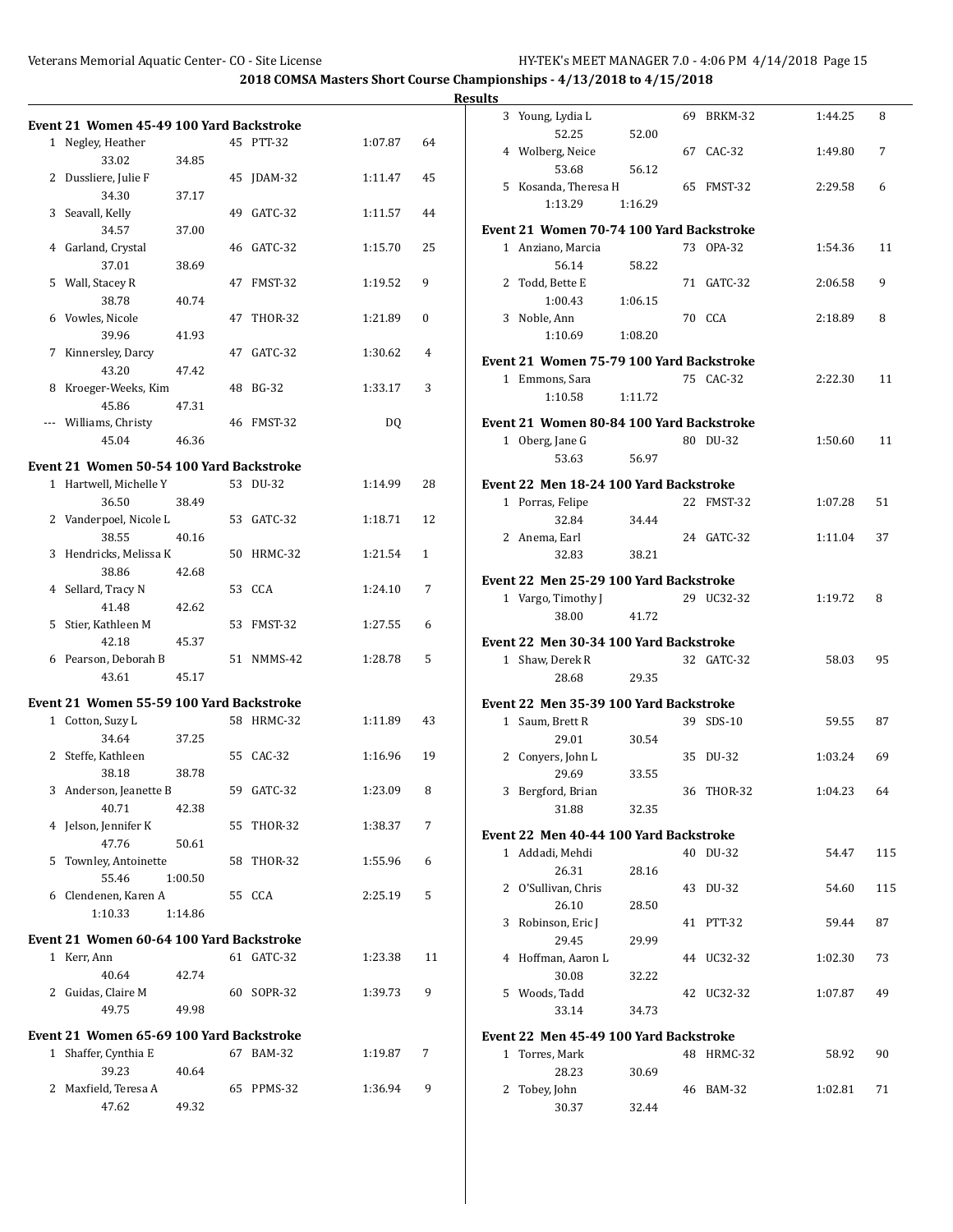|                                                                  |         |            |         |              | <b>Results</b> |                                          |         |            |         |     |
|------------------------------------------------------------------|---------|------------|---------|--------------|----------------|------------------------------------------|---------|------------|---------|-----|
| Event 21 Women 45-49 100 Yard Backstroke                         |         |            |         |              |                | 3 Young, Lydia L                         |         | 69 BRKM-32 | 1:44.25 | 8   |
| 1 Negley, Heather<br>33.02                                       | 34.85   | 45 PTT-32  | 1:07.87 | 64           |                | 52.25<br>4 Wolberg, Neice                | 52.00   | 67 CAC-32  | 1:49.80 | 7   |
| 2 Dussliere, Julie F<br>34.30                                    | 37.17   | 45 JDAM-32 | 1:11.47 | 45           |                | 53.68<br>5 Kosanda. Theresa H            | 56.12   | 65 FMST-32 | 2:29.58 | 6   |
| 3 Seavall, Kelly                                                 |         | 49 GATC-32 | 1:11.57 | 44           |                | 1:13.29                                  | 1:16.29 |            |         |     |
| 34.57                                                            | 37.00   |            |         |              |                | Event 21 Women 70-74 100 Yard Backstroke |         |            |         |     |
| 4 Garland, Crystal<br>37.01                                      | 38.69   | 46 GATC-32 | 1:15.70 | 25           |                | 1 Anziano, Marcia<br>56.14               | 58.22   | 73 OPA-32  | 1:54.36 | 11  |
| 5 Wall, Stacey R<br>38.78                                        | 40.74   | 47 FMST-32 | 1:19.52 | 9            |                | 2 Todd, Bette E<br>1:00.43               | 1:06.15 | 71 GATC-32 | 2:06.58 | 9   |
| 6 Vowles, Nicole<br>39.96                                        | 41.93   | 47 THOR-32 | 1:21.89 | $\mathbf{0}$ |                | 3 Noble, Ann<br>1:10.69                  | 1:08.20 | 70 CCA     | 2:18.89 | 8   |
| 7 Kinnersley, Darcy                                              |         | 47 GATC-32 | 1:30.62 | 4            |                | Event 21 Women 75-79 100 Yard Backstroke |         |            |         |     |
| 43.20                                                            | 47.42   |            |         |              |                | 1 Emmons, Sara                           |         | 75 CAC-32  | 2:22.30 | 11  |
| 8 Kroeger-Weeks, Kim                                             |         | 48 BG-32   | 1:33.17 | 3            |                | 1:10.58                                  | 1:11.72 |            |         |     |
| 45.86<br>--- Williams, Christy                                   | 47.31   | 46 FMST-32 | DQ      |              |                | Event 21 Women 80-84 100 Yard Backstroke |         |            |         |     |
| 45.04                                                            | 46.36   |            |         |              |                | 1 Oberg, Jane G                          |         | 80 DU-32   | 1:50.60 | 11  |
| Event 21  Women 50-54 100 Yard Backstroke                        |         |            |         |              |                | 53.63                                    | 56.97   |            |         |     |
| 1 Hartwell. Michelle Y                                           |         | 53 DU-32   | 1:14.99 | 28           |                | Event 22 Men 18-24 100 Yard Backstroke   |         |            |         |     |
| 36.50                                                            | 38.49   |            |         |              |                | 1 Porras, Felipe                         |         | 22 FMST-32 | 1:07.28 | 51  |
| 2 Vanderpoel, Nicole L                                           |         | 53 GATC-32 | 1:18.71 | 12           |                | 32.84                                    | 34.44   |            |         |     |
| 38.55                                                            | 40.16   |            |         |              |                | 2 Anema, Earl                            |         | 24 GATC-32 | 1:11.04 | 37  |
| 3 Hendricks, Melissa K<br>38.86                                  | 42.68   | 50 HRMC-32 | 1:21.54 | $\mathbf{1}$ |                | 32.83                                    | 38.21   |            |         |     |
| 4 Sellard, Tracy N                                               |         | 53 CCA     | 1:24.10 | 7            |                | Event 22 Men 25-29 100 Yard Backstroke   |         | 29 UC32-32 |         | 8   |
| 41.48                                                            | 42.62   |            |         |              |                | 1 Vargo, Timothy J<br>38.00              | 41.72   |            | 1:19.72 |     |
| 5 Stier, Kathleen M                                              |         | 53 FMST-32 | 1:27.55 | 6            |                |                                          |         |            |         |     |
| 42.18                                                            | 45.37   |            |         |              |                | Event 22 Men 30-34 100 Yard Backstroke   |         |            |         |     |
| 6 Pearson, Deborah B<br>43.61                                    | 45.17   | 51 NMMS-42 | 1:28.78 | 5            |                | 1 Shaw, Derek R<br>28.68                 | 29.35   | 32 GATC-32 | 58.03   | 95  |
| Event 21 Women 55-59 100 Yard Backstroke                         |         |            |         |              |                | Event 22 Men 35-39 100 Yard Backstroke   |         |            |         |     |
| 1 Cotton, Suzy L                                                 |         | 58 HRMC-32 | 1:11.89 | 43           |                | 1 Saum, Brett R                          |         | 39 SDS-10  | 59.55   | 87  |
| 34.64                                                            | 37.25   |            |         |              |                | 29.01                                    | 30.54   |            |         |     |
| 2 Steffe, Kathleen                                               |         | 55 CAC-32  | 1:16.96 | 19           |                | 2 Conyers, John L                        |         | 35 DU-32   | 1:03.24 | 69  |
| 38.18                                                            | 38.78   |            |         |              |                | 29.69                                    | 33.55   |            |         |     |
| 3 Anderson, Jeanette B<br>40.71                                  | 42.38   | 59 GATC-32 | 1:23.09 | 8            |                | 3 Bergford, Brian<br>31.88               | 32.35   | 36 THOR-32 | 1:04.23 | 64  |
| 4 Jelson, Jennifer K                                             |         | 55 THOR-32 | 1:38.37 | 7            |                | Event 22 Men 40-44 100 Yard Backstroke   |         |            |         |     |
| 47.76                                                            | 50.61   |            |         |              |                | 1 Addadi, Mehdi                          |         | 40 DU-32   | 54.47   | 115 |
| 5 Townley, Antoinette<br>55.46                                   | 1:00.50 | 58 THOR-32 | 1:55.96 | 6            |                | 26.31                                    | 28.16   |            |         |     |
| 6 Clendenen, Karen A                                             |         | 55 CCA     | 2:25.19 | 5            |                | 2 O'Sullivan, Chris                      |         | 43 DU-32   | 54.60   | 115 |
| 1:10.33                                                          | 1:14.86 |            |         |              |                | 26.10                                    | 28.50   |            |         |     |
|                                                                  |         |            |         |              |                | 3 Robinson, Eric J                       |         | 41 PTT-32  | 59.44   | 87  |
| Event 21 Women 60-64 100 Yard Backstroke                         |         |            |         |              |                | 29.45                                    | 29.99   |            |         |     |
| 1 Kerr, Ann<br>40.64                                             | 42.74   | 61 GATC-32 | 1:23.38 | 11           |                | 4 Hoffman, Aaron L<br>30.08              | 32.22   | 44 UC32-32 | 1:02.30 | 73  |
| 2 Guidas, Claire M                                               |         | 60 SOPR-32 | 1:39.73 | 9            |                | 5 Woods, Tadd                            |         | 42 UC32-32 | 1:07.87 | 49  |
| 49.75                                                            | 49.98   |            |         |              |                | 33.14                                    | 34.73   |            |         |     |
|                                                                  |         |            |         |              |                |                                          |         |            |         |     |
| Event 21 Women 65-69 100 Yard Backstroke<br>1 Shaffer, Cynthia E |         | 67 BAM-32  | 1:19.87 | 7            |                | Event 22 Men 45-49 100 Yard Backstroke   |         |            |         |     |
| 39.23                                                            | 40.64   |            |         |              |                | 1 Torres, Mark<br>28.23                  | 30.69   | 48 HRMC-32 | 58.92   | 90  |
| 2 Maxfield, Teresa A                                             |         | 65 PPMS-32 | 1:36.94 | 9            |                | 2 Tobey, John                            |         | 46 BAM-32  | 1:02.81 | 71  |
| 47.62                                                            | 49.32   |            |         |              |                | 30.37                                    | 32.44   |            |         |     |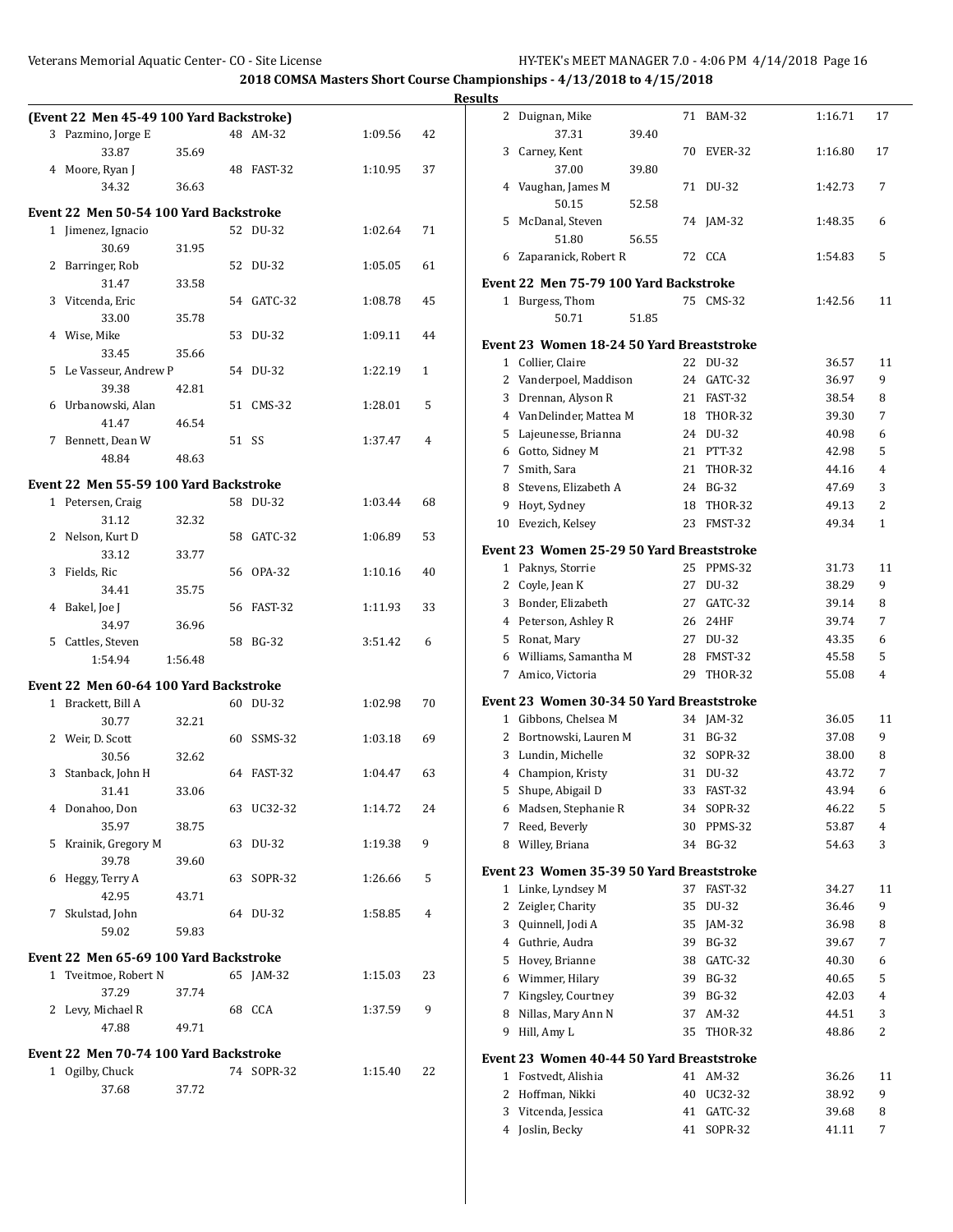|                                          |         |            |         |                | <b>Results</b> |                                                                  |       |            |         |                |
|------------------------------------------|---------|------------|---------|----------------|----------------|------------------------------------------------------------------|-------|------------|---------|----------------|
| (Event 22 Men 45-49 100 Yard Backstroke) |         |            |         |                |                | 2 Duignan, Mike                                                  |       | 71 BAM-32  | 1:16.71 | 17             |
| 3 Pazmino, Jorge E                       |         | 48 AM-32   | 1:09.56 | 42             |                | 37.31                                                            | 39.40 |            |         |                |
| 33.87                                    | 35.69   |            |         |                |                | 3 Carney, Kent                                                   |       | 70 EVER-32 | 1:16.80 | 17             |
| 4 Moore, Ryan J                          |         | 48 FAST-32 | 1:10.95 | 37             |                | 37.00                                                            | 39.80 |            |         |                |
| 34.32                                    | 36.63   |            |         |                |                | 4 Vaughan, James M                                               |       | 71 DU-32   | 1:42.73 | 7              |
| Event 22 Men 50-54 100 Yard Backstroke   |         |            |         |                |                | 50.15                                                            | 52.58 |            |         |                |
| 1 Jimenez, Ignacio                       |         | 52 DU-32   | 1:02.64 | 71             |                | 5 McDanal, Steven                                                |       | 74 JAM-32  | 1:48.35 | 6              |
| 30.69                                    | 31.95   |            |         |                |                | 51.80                                                            | 56.55 |            |         |                |
| 2 Barringer, Rob                         |         | 52 DU-32   | 1:05.05 | 61             |                | 6 Zaparanick, Robert R                                           |       | 72 CCA     | 1:54.83 | 5              |
| 31.47                                    | 33.58   |            |         |                |                | Event 22 Men 75-79 100 Yard Backstroke                           |       |            |         |                |
| 3 Vitcenda, Eric                         |         | 54 GATC-32 | 1:08.78 | 45             |                | 1 Burgess, Thom                                                  |       | 75 CMS-32  | 1:42.56 | 11             |
| 33.00                                    | 35.78   |            |         |                |                | 50.71                                                            | 51.85 |            |         |                |
| 4 Wise, Mike                             |         | 53 DU-32   | 1:09.11 | 44             |                | Event 23 Women 18-24 50 Yard Breaststroke                        |       |            |         |                |
| 33.45                                    | 35.66   |            |         |                |                | 1 Collier, Claire                                                |       | 22 DU-32   | 36.57   | 11             |
| 5 Le Vasseur, Andrew P                   |         | 54 DU-32   | 1:22.19 | $\mathbf{1}$   |                | 2 Vanderpoel, Maddison                                           |       | 24 GATC-32 | 36.97   | 9              |
| 39.38                                    | 42.81   |            |         |                | 3              | Drennan, Alyson R                                                |       | 21 FAST-32 | 38.54   | 8              |
| 6 Urbanowski, Alan                       |         | 51 CMS-32  | 1:28.01 | 5              |                | 4 VanDelinder, Mattea M                                          |       | 18 THOR-32 | 39.30   | 7              |
| 41.47                                    | 46.54   |            |         |                |                | 5 Lajeunesse, Brianna                                            |       | 24 DU-32   | 40.98   | 6              |
| 7 Bennett, Dean W                        |         | 51 SS      | 1:37.47 | 4              |                | 6 Gotto, Sidney M                                                |       | 21 PTT-32  | 42.98   | 5              |
| 48.84                                    | 48.63   |            |         |                |                | 7 Smith, Sara                                                    |       | 21 THOR-32 | 44.16   | 4              |
| Event 22 Men 55-59 100 Yard Backstroke   |         |            |         |                | 8              | Stevens, Elizabeth A                                             |       | 24 BG-32   | 47.69   | 3              |
| 1 Petersen, Craig                        |         | 58 DU-32   | 1:03.44 | 68             | 9              | Hoyt, Sydney                                                     |       | 18 THOR-32 | 49.13   | 2              |
| 31.12                                    | 32.32   |            |         |                |                | 10 Evezich, Kelsey                                               |       | 23 FMST-32 | 49.34   | $\mathbf{1}$   |
| 2 Nelson, Kurt D                         |         | 58 GATC-32 | 1:06.89 | 53             |                | Event 23 Women 25-29 50 Yard Breaststroke                        |       |            |         |                |
| 33.12                                    | 33.77   |            |         |                |                | 1 Paknys, Storrie                                                |       | 25 PPMS-32 | 31.73   | 11             |
| 3 Fields, Ric                            |         | 56 OPA-32  | 1:10.16 | 40             |                | 2 Coyle, Jean K                                                  |       | 27 DU-32   | 38.29   | 9              |
| 34.41<br>4 Bakel, Joe J                  | 35.75   | 56 FAST-32 | 1:11.93 | 33             |                | 3 Bonder, Elizabeth                                              |       | 27 GATC-32 | 39.14   | 8              |
| 34.97                                    | 36.96   |            |         |                |                | 4 Peterson, Ashley R                                             |       | 26 24HF    | 39.74   | 7              |
| 5 Cattles, Steven                        |         | 58 BG-32   | 3:51.42 | 6              |                | 5 Ronat, Mary                                                    |       | 27 DU-32   | 43.35   | 6              |
| 1:54.94                                  | 1:56.48 |            |         |                | 6              | Williams, Samantha M                                             |       | 28 FMST-32 | 45.58   | 5              |
|                                          |         |            |         |                |                | 7 Amico, Victoria                                                |       | 29 THOR-32 | 55.08   | 4              |
| Event 22 Men 60-64 100 Yard Backstroke   |         |            |         |                |                | Event 23 Women 30-34 50 Yard Breaststroke                        |       |            |         |                |
| 1 Brackett, Bill A                       |         | 60 DU-32   | 1:02.98 | 70             |                | 1 Gibbons, Chelsea M                                             |       | 34 JAM-32  | 36.05   | 11             |
| 30.77<br>2 Weir, D. Scott                | 32.21   | 60 SSMS-32 | 1:03.18 | 69             |                | 2 Bortnowski, Lauren M                                           |       | 31 BG-32   | 37.08   | 9              |
| 30.56                                    | 32.62   |            |         |                |                | 3 Lundin, Michelle                                               |       | 32 SOPR-32 | 38.00   | 8              |
| 3 Stanback, John H                       |         | 64 FAST-32 | 1:04.47 | 63             |                | 4 Champion, Kristy                                               |       | 31 DU-32   | 43.72   | $\overline{7}$ |
| 31.41                                    | 33.06   |            |         |                |                | 5 Shupe, Abigail D                                               |       | 33 FAST-32 | 43.94   | 6              |
| 4 Donahoo, Don                           |         | 63 UC32-32 | 1:14.72 | 24             |                | 6 Madsen, Stephanie R                                            |       | 34 SOPR-32 | 46.22   | 5              |
| 35.97                                    | 38.75   |            |         |                |                | 7 Reed, Beverly                                                  |       | 30 PPMS-32 | 53.87   | 4              |
| 5 Krainik, Gregory M                     |         | 63 DU-32   | 1:19.38 | 9              |                | 8 Willey, Briana                                                 |       | 34 BG-32   | 54.63   | 3              |
| 39.78                                    | 39.60   |            |         |                |                | Event 23 Women 35-39 50 Yard Breaststroke                        |       |            |         |                |
| 6 Heggy, Terry A                         |         | 63 SOPR-32 | 1:26.66 | 5              |                | 1 Linke, Lyndsey M                                               |       | 37 FAST-32 | 34.27   | 11             |
| 42.95                                    | 43.71   |            |         |                |                | 2 Zeigler, Charity                                               |       | 35 DU-32   | 36.46   | 9              |
| 7 Skulstad, John                         |         | 64 DU-32   | 1:58.85 | $\overline{4}$ | 3              | Quinnell, Jodi A                                                 |       | 35 JAM-32  | 36.98   | 8              |
| 59.02                                    | 59.83   |            |         |                |                | 4 Guthrie, Audra                                                 |       | 39 BG-32   | 39.67   | 7              |
| Event 22 Men 65-69 100 Yard Backstroke   |         |            |         |                |                | 5 Hovey, Brianne                                                 |       | 38 GATC-32 | 40.30   | 6              |
| 1 Tveitmoe, Robert N                     |         | 65 JAM-32  | 1:15.03 | 23             | 6              | Wimmer, Hilary                                                   |       | 39 BG-32   | 40.65   | 5              |
| 37.29                                    | 37.74   |            |         |                |                | 7 Kingsley, Courtney                                             |       | 39 BG-32   | 42.03   | 4              |
| 2 Levy, Michael R                        |         | 68 CCA     | 1:37.59 | 9              | 8              | Nillas, Mary Ann N                                               |       | 37 AM-32   | 44.51   | 3              |
| 47.88                                    | 49.71   |            |         |                |                | 9 Hill, Amy L                                                    |       | 35 THOR-32 | 48.86   | $\overline{c}$ |
| Event 22 Men 70-74 100 Yard Backstroke   |         |            |         |                |                |                                                                  |       |            |         |                |
| 1 Ogilby, Chuck                          |         | 74 SOPR-32 | 1:15.40 | 22             |                | Event 23 Women 40-44 50 Yard Breaststroke<br>1 Fostvedt, Alishia |       | 41 AM-32   | 36.26   | 11             |
| 37.68                                    | 37.72   |            |         |                |                | 2 Hoffman, Nikki                                                 |       | 40 UC32-32 | 38.92   | 9              |
|                                          |         |            |         |                |                | 3 Vitcenda, Jessica                                              |       | 41 GATC-32 | 39.68   | 8              |
|                                          |         |            |         |                |                | 4 Joslin, Becky                                                  |       | 41 SOPR-32 | 41.11   | 7              |
|                                          |         |            |         |                |                |                                                                  |       |            |         |                |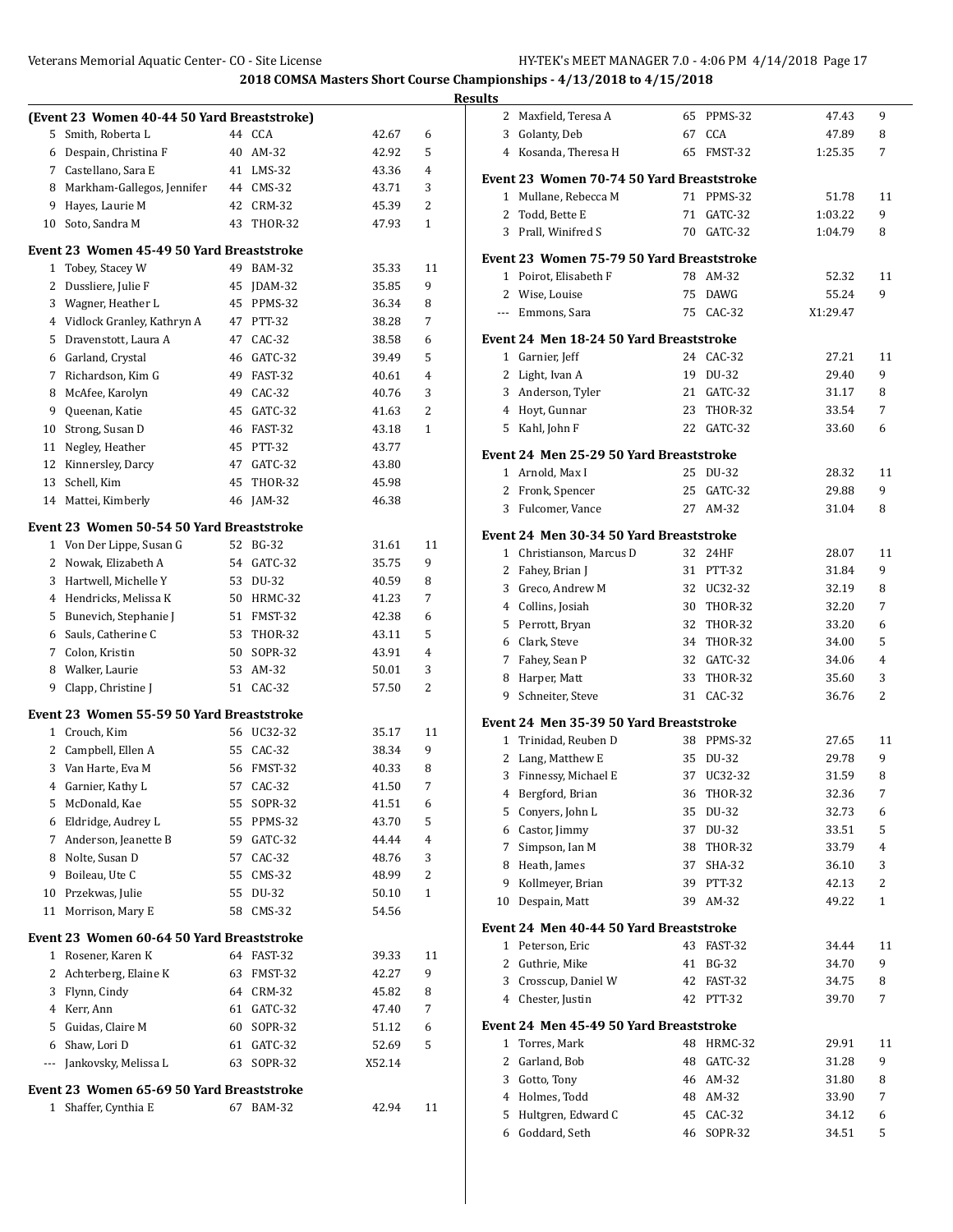|              |                                             |                                                                                                                                                                                                                                                                                                                                                                                                                                                                                                                                                                                                                                                                                                                                                                                                                                                                                                                                                                                                                                                                                                                                                                                                                                                                                                                                          |           |       |    | <b>Res</b> |
|--------------|---------------------------------------------|------------------------------------------------------------------------------------------------------------------------------------------------------------------------------------------------------------------------------------------------------------------------------------------------------------------------------------------------------------------------------------------------------------------------------------------------------------------------------------------------------------------------------------------------------------------------------------------------------------------------------------------------------------------------------------------------------------------------------------------------------------------------------------------------------------------------------------------------------------------------------------------------------------------------------------------------------------------------------------------------------------------------------------------------------------------------------------------------------------------------------------------------------------------------------------------------------------------------------------------------------------------------------------------------------------------------------------------|-----------|-------|----|------------|
|              | (Event 23 Women 40-44 50 Yard Breaststroke) |                                                                                                                                                                                                                                                                                                                                                                                                                                                                                                                                                                                                                                                                                                                                                                                                                                                                                                                                                                                                                                                                                                                                                                                                                                                                                                                                          |           |       |    |            |
| 5            | Smith, Roberta L                            |                                                                                                                                                                                                                                                                                                                                                                                                                                                                                                                                                                                                                                                                                                                                                                                                                                                                                                                                                                                                                                                                                                                                                                                                                                                                                                                                          | 44 CCA    | 42.67 | 6  |            |
| 6            | Despain, Christina F                        |                                                                                                                                                                                                                                                                                                                                                                                                                                                                                                                                                                                                                                                                                                                                                                                                                                                                                                                                                                                                                                                                                                                                                                                                                                                                                                                                          | 40 AM-32  | 42.92 | 5  |            |
| 7            | Castellano, Sara E                          |                                                                                                                                                                                                                                                                                                                                                                                                                                                                                                                                                                                                                                                                                                                                                                                                                                                                                                                                                                                                                                                                                                                                                                                                                                                                                                                                          | 41 LMS-32 | 43.36 | 4  |            |
| 8            | Markham-Gallegos, Jennifer                  |                                                                                                                                                                                                                                                                                                                                                                                                                                                                                                                                                                                                                                                                                                                                                                                                                                                                                                                                                                                                                                                                                                                                                                                                                                                                                                                                          | 44 CMS-32 | 43.71 | 3  |            |
| 9            | Hayes, Laurie M                             |                                                                                                                                                                                                                                                                                                                                                                                                                                                                                                                                                                                                                                                                                                                                                                                                                                                                                                                                                                                                                                                                                                                                                                                                                                                                                                                                          | 42 CRM-32 | 45.39 | 2  |            |
| 10           | Soto, Sandra M                              |                                                                                                                                                                                                                                                                                                                                                                                                                                                                                                                                                                                                                                                                                                                                                                                                                                                                                                                                                                                                                                                                                                                                                                                                                                                                                                                                          |           | 47.93 | 1  |            |
|              |                                             |                                                                                                                                                                                                                                                                                                                                                                                                                                                                                                                                                                                                                                                                                                                                                                                                                                                                                                                                                                                                                                                                                                                                                                                                                                                                                                                                          |           |       |    |            |
| 1            | Tobey, Stacey W                             |                                                                                                                                                                                                                                                                                                                                                                                                                                                                                                                                                                                                                                                                                                                                                                                                                                                                                                                                                                                                                                                                                                                                                                                                                                                                                                                                          |           | 35.33 | 11 |            |
| 2            | Dussliere, Julie F                          |                                                                                                                                                                                                                                                                                                                                                                                                                                                                                                                                                                                                                                                                                                                                                                                                                                                                                                                                                                                                                                                                                                                                                                                                                                                                                                                                          |           | 35.85 | 9  |            |
| 3            | Wagner, Heather L                           |                                                                                                                                                                                                                                                                                                                                                                                                                                                                                                                                                                                                                                                                                                                                                                                                                                                                                                                                                                                                                                                                                                                                                                                                                                                                                                                                          |           | 36.34 | 8  |            |
| 4            | Vidlock Granley, Kathryn A                  |                                                                                                                                                                                                                                                                                                                                                                                                                                                                                                                                                                                                                                                                                                                                                                                                                                                                                                                                                                                                                                                                                                                                                                                                                                                                                                                                          |           | 38.28 | 7  |            |
| 5            | Dravenstott, Laura A                        |                                                                                                                                                                                                                                                                                                                                                                                                                                                                                                                                                                                                                                                                                                                                                                                                                                                                                                                                                                                                                                                                                                                                                                                                                                                                                                                                          |           | 38.58 | 6  |            |
| 6            | Garland, Crystal                            |                                                                                                                                                                                                                                                                                                                                                                                                                                                                                                                                                                                                                                                                                                                                                                                                                                                                                                                                                                                                                                                                                                                                                                                                                                                                                                                                          |           | 39.49 | 5  |            |
| 7            | Richardson, Kim G                           |                                                                                                                                                                                                                                                                                                                                                                                                                                                                                                                                                                                                                                                                                                                                                                                                                                                                                                                                                                                                                                                                                                                                                                                                                                                                                                                                          |           | 40.61 | 4  |            |
| 8            | McAfee, Karolyn                             |                                                                                                                                                                                                                                                                                                                                                                                                                                                                                                                                                                                                                                                                                                                                                                                                                                                                                                                                                                                                                                                                                                                                                                                                                                                                                                                                          |           | 40.76 | 3  |            |
| 9            | Queenan, Katie                              |                                                                                                                                                                                                                                                                                                                                                                                                                                                                                                                                                                                                                                                                                                                                                                                                                                                                                                                                                                                                                                                                                                                                                                                                                                                                                                                                          |           | 41.63 | 2  |            |
| 10           | Strong, Susan D                             |                                                                                                                                                                                                                                                                                                                                                                                                                                                                                                                                                                                                                                                                                                                                                                                                                                                                                                                                                                                                                                                                                                                                                                                                                                                                                                                                          |           |       | 1  |            |
| 11           | Negley, Heather                             |                                                                                                                                                                                                                                                                                                                                                                                                                                                                                                                                                                                                                                                                                                                                                                                                                                                                                                                                                                                                                                                                                                                                                                                                                                                                                                                                          |           |       |    |            |
|              | 12 Kinnersley, Darcy                        |                                                                                                                                                                                                                                                                                                                                                                                                                                                                                                                                                                                                                                                                                                                                                                                                                                                                                                                                                                                                                                                                                                                                                                                                                                                                                                                                          |           |       |    |            |
| 13           | Schell, Kim                                 |                                                                                                                                                                                                                                                                                                                                                                                                                                                                                                                                                                                                                                                                                                                                                                                                                                                                                                                                                                                                                                                                                                                                                                                                                                                                                                                                          |           |       |    |            |
|              | 14 Mattei, Kimberly                         |                                                                                                                                                                                                                                                                                                                                                                                                                                                                                                                                                                                                                                                                                                                                                                                                                                                                                                                                                                                                                                                                                                                                                                                                                                                                                                                                          |           | 46.38 |    |            |
|              |                                             |                                                                                                                                                                                                                                                                                                                                                                                                                                                                                                                                                                                                                                                                                                                                                                                                                                                                                                                                                                                                                                                                                                                                                                                                                                                                                                                                          |           |       |    |            |
|              |                                             | 43 THOR-32<br>Event 23 Women 45-49 50 Yard Breaststroke<br>49 BAM-32<br>45 JDAM-32<br>45 PPMS-32<br>47 PTT-32<br>47 CAC-32<br>46 GATC-32<br>49 FAST-32<br>49 CAC-32<br>45 GATC-32<br>46 FAST-32<br>43.18<br>45 PTT-32<br>43.77<br>47 GATC-32<br>43.80<br>45 THOR-32<br>45.98<br>46 JAM-32<br>Event 23 Women 50-54 50 Yard Breaststroke<br>52 BG-32<br>11<br>31.61<br>54 GATC-32<br>9<br>35.75<br>53 DU-32<br>40.59<br>8<br>50 HRMC-32<br>7<br>41.23<br>51 FMST-32<br>42.38<br>6<br>53 THOR-32<br>5<br>43.11<br>50 SOPR-32<br>$\overline{4}$<br>43.91<br>53 AM-32<br>3<br>50.01<br>51 CAC-32<br>2<br>57.50<br>Event 23 Women 55-59 50 Yard Breaststroke<br>56 UC32-32<br>35.17<br>11<br>55 CAC-32<br>9<br>38.34<br>56 FMST-32<br>8<br>40.33<br>57 CAC-32<br>41.50<br>7<br>55<br>SOPR-32<br>41.51<br>6<br>55<br>5<br>PPMS-32<br>43.70<br>59 GATC-32<br>4<br>44.44<br>57<br>CAC-32<br>48.76<br>3<br>55<br>CMS-32<br>2<br>48.99<br>55<br>DU-32<br>50.10<br>1<br>$CMS-32$<br>58<br>54.56<br>Event 23 Women 60-64 50 Yard Breaststroke<br>64<br>FAST-32<br>39.33<br>11<br>9<br>63<br>FMST-32<br>42.27<br>64<br>CRM-32<br>45.82<br>8<br>61<br>GATC-32<br>7<br>47.40<br>60<br>SOPR-32<br>6<br>51.12<br>5<br>61<br>GATC-32<br>52.69<br>SOPR-32<br>63<br>X52.14<br>Event 23 Women 65-69 50 Yard Breaststroke<br>67<br><b>BAM-32</b><br>42.94<br>11 |           |       |    |            |
|              | 1 Von Der Lippe, Susan G                    |                                                                                                                                                                                                                                                                                                                                                                                                                                                                                                                                                                                                                                                                                                                                                                                                                                                                                                                                                                                                                                                                                                                                                                                                                                                                                                                                          |           |       |    |            |
| $\mathbf{2}$ | Nowak, Elizabeth A                          |                                                                                                                                                                                                                                                                                                                                                                                                                                                                                                                                                                                                                                                                                                                                                                                                                                                                                                                                                                                                                                                                                                                                                                                                                                                                                                                                          |           |       |    |            |
| 3            | Hartwell, Michelle Y                        |                                                                                                                                                                                                                                                                                                                                                                                                                                                                                                                                                                                                                                                                                                                                                                                                                                                                                                                                                                                                                                                                                                                                                                                                                                                                                                                                          |           |       |    |            |
|              | 4 Hendricks, Melissa K                      |                                                                                                                                                                                                                                                                                                                                                                                                                                                                                                                                                                                                                                                                                                                                                                                                                                                                                                                                                                                                                                                                                                                                                                                                                                                                                                                                          |           |       |    |            |
| 5            | Bunevich, Stephanie J                       |                                                                                                                                                                                                                                                                                                                                                                                                                                                                                                                                                                                                                                                                                                                                                                                                                                                                                                                                                                                                                                                                                                                                                                                                                                                                                                                                          |           |       |    |            |
| 6            | Sauls, Catherine C                          |                                                                                                                                                                                                                                                                                                                                                                                                                                                                                                                                                                                                                                                                                                                                                                                                                                                                                                                                                                                                                                                                                                                                                                                                                                                                                                                                          |           |       |    |            |
| 7            | Colon, Kristin                              |                                                                                                                                                                                                                                                                                                                                                                                                                                                                                                                                                                                                                                                                                                                                                                                                                                                                                                                                                                                                                                                                                                                                                                                                                                                                                                                                          |           |       |    |            |
| 8            | Walker, Laurie                              |                                                                                                                                                                                                                                                                                                                                                                                                                                                                                                                                                                                                                                                                                                                                                                                                                                                                                                                                                                                                                                                                                                                                                                                                                                                                                                                                          |           |       |    |            |
| 9            | Clapp, Christine J                          |                                                                                                                                                                                                                                                                                                                                                                                                                                                                                                                                                                                                                                                                                                                                                                                                                                                                                                                                                                                                                                                                                                                                                                                                                                                                                                                                          |           |       |    |            |
|              |                                             |                                                                                                                                                                                                                                                                                                                                                                                                                                                                                                                                                                                                                                                                                                                                                                                                                                                                                                                                                                                                                                                                                                                                                                                                                                                                                                                                          |           |       |    |            |
|              | 1 Crouch, Kim                               |                                                                                                                                                                                                                                                                                                                                                                                                                                                                                                                                                                                                                                                                                                                                                                                                                                                                                                                                                                                                                                                                                                                                                                                                                                                                                                                                          |           |       |    |            |
| 2            | Campbell, Ellen A                           |                                                                                                                                                                                                                                                                                                                                                                                                                                                                                                                                                                                                                                                                                                                                                                                                                                                                                                                                                                                                                                                                                                                                                                                                                                                                                                                                          |           |       |    |            |
| 3            | Van Harte, Eva M                            |                                                                                                                                                                                                                                                                                                                                                                                                                                                                                                                                                                                                                                                                                                                                                                                                                                                                                                                                                                                                                                                                                                                                                                                                                                                                                                                                          |           |       |    |            |
|              | 4 Garnier. Kathy L                          |                                                                                                                                                                                                                                                                                                                                                                                                                                                                                                                                                                                                                                                                                                                                                                                                                                                                                                                                                                                                                                                                                                                                                                                                                                                                                                                                          |           |       |    |            |
| 5            | McDonald, Kae                               |                                                                                                                                                                                                                                                                                                                                                                                                                                                                                                                                                                                                                                                                                                                                                                                                                                                                                                                                                                                                                                                                                                                                                                                                                                                                                                                                          |           |       |    |            |
| 6            | Eldridge, Audrey L                          |                                                                                                                                                                                                                                                                                                                                                                                                                                                                                                                                                                                                                                                                                                                                                                                                                                                                                                                                                                                                                                                                                                                                                                                                                                                                                                                                          |           |       |    |            |
| 7            | Anderson, Jeanette B                        |                                                                                                                                                                                                                                                                                                                                                                                                                                                                                                                                                                                                                                                                                                                                                                                                                                                                                                                                                                                                                                                                                                                                                                                                                                                                                                                                          |           |       |    |            |
| 8            | Nolte, Susan D                              |                                                                                                                                                                                                                                                                                                                                                                                                                                                                                                                                                                                                                                                                                                                                                                                                                                                                                                                                                                                                                                                                                                                                                                                                                                                                                                                                          |           |       |    |            |
| 9            | Boileau, Ute C                              |                                                                                                                                                                                                                                                                                                                                                                                                                                                                                                                                                                                                                                                                                                                                                                                                                                                                                                                                                                                                                                                                                                                                                                                                                                                                                                                                          |           |       |    |            |
| 10           | Przekwas, Julie                             |                                                                                                                                                                                                                                                                                                                                                                                                                                                                                                                                                                                                                                                                                                                                                                                                                                                                                                                                                                                                                                                                                                                                                                                                                                                                                                                                          |           |       |    |            |
| 11           | Morrison, Mary E                            |                                                                                                                                                                                                                                                                                                                                                                                                                                                                                                                                                                                                                                                                                                                                                                                                                                                                                                                                                                                                                                                                                                                                                                                                                                                                                                                                          |           |       |    |            |
|              |                                             |                                                                                                                                                                                                                                                                                                                                                                                                                                                                                                                                                                                                                                                                                                                                                                                                                                                                                                                                                                                                                                                                                                                                                                                                                                                                                                                                          |           |       |    |            |
|              | 1 Rosener, Karen K                          |                                                                                                                                                                                                                                                                                                                                                                                                                                                                                                                                                                                                                                                                                                                                                                                                                                                                                                                                                                                                                                                                                                                                                                                                                                                                                                                                          |           |       |    |            |
| 2            | Achterberg, Elaine K                        |                                                                                                                                                                                                                                                                                                                                                                                                                                                                                                                                                                                                                                                                                                                                                                                                                                                                                                                                                                                                                                                                                                                                                                                                                                                                                                                                          |           |       |    |            |
| 3            | Flynn, Cindy                                |                                                                                                                                                                                                                                                                                                                                                                                                                                                                                                                                                                                                                                                                                                                                                                                                                                                                                                                                                                                                                                                                                                                                                                                                                                                                                                                                          |           |       |    |            |
| 4            | Kerr, Ann                                   |                                                                                                                                                                                                                                                                                                                                                                                                                                                                                                                                                                                                                                                                                                                                                                                                                                                                                                                                                                                                                                                                                                                                                                                                                                                                                                                                          |           |       |    |            |
| 5            | Guidas, Claire M                            |                                                                                                                                                                                                                                                                                                                                                                                                                                                                                                                                                                                                                                                                                                                                                                                                                                                                                                                                                                                                                                                                                                                                                                                                                                                                                                                                          |           |       |    |            |
| 6            | Shaw, Lori D                                |                                                                                                                                                                                                                                                                                                                                                                                                                                                                                                                                                                                                                                                                                                                                                                                                                                                                                                                                                                                                                                                                                                                                                                                                                                                                                                                                          |           |       |    |            |
| $---$        | Jankovsky, Melissa L                        |                                                                                                                                                                                                                                                                                                                                                                                                                                                                                                                                                                                                                                                                                                                                                                                                                                                                                                                                                                                                                                                                                                                                                                                                                                                                                                                                          |           |       |    |            |
|              |                                             |                                                                                                                                                                                                                                                                                                                                                                                                                                                                                                                                                                                                                                                                                                                                                                                                                                                                                                                                                                                                                                                                                                                                                                                                                                                                                                                                          |           |       |    |            |
|              |                                             |                                                                                                                                                                                                                                                                                                                                                                                                                                                                                                                                                                                                                                                                                                                                                                                                                                                                                                                                                                                                                                                                                                                                                                                                                                                                                                                                          |           |       |    |            |
| $\mathbf{1}$ | Shaffer, Cynthia E                          |                                                                                                                                                                                                                                                                                                                                                                                                                                                                                                                                                                                                                                                                                                                                                                                                                                                                                                                                                                                                                                                                                                                                                                                                                                                                                                                                          |           |       |    |            |

| sults        |                                           |    |                |          |    |
|--------------|-------------------------------------------|----|----------------|----------|----|
|              | 2 Maxfield, Teresa A                      |    | 65 PPMS-32     | 47.43    | 9  |
| 3            | Golanty, Deb                              | 67 | CCA            | 47.89    | 8  |
|              | 4 Kosanda, Theresa H                      |    | 65 FMST-32     | 1:25.35  | 7  |
|              | Event 23 Women 70-74 50 Yard Breaststroke |    |                |          |    |
|              | 1 Mullane, Rebecca M                      |    | 71 PPMS-32     | 51.78    | 11 |
|              | 2 Todd, Bette E                           | 71 | GATC-32        | 1:03.22  | 9  |
|              | 3 Prall, Winifred S                       | 70 | GATC-32        | 1:04.79  | 8  |
|              | Event 23 Women 75-79 50 Yard Breaststroke |    |                |          |    |
|              | 1 Poirot, Elisabeth F                     |    | 78 AM-32       | 52.32    | 11 |
|              | 2 Wise, Louise                            | 75 | <b>DAWG</b>    | 55.24    | 9  |
| $---$        | Emmons, Sara                              | 75 | $CAC-32$       | X1:29.47 |    |
|              | Event 24 Men 18-24 50 Yard Breaststroke   |    |                |          |    |
|              | 1 Garnier, Jeff                           |    | 24 CAC-32      | 27.21    | 11 |
|              | 2 Light, Ivan A                           |    | 19 DU-32       | 29.40    | 9  |
|              | 3 Anderson, Tyler                         |    | 21 GATC-32     | 31.17    | 8  |
|              | 4 Hoyt, Gunnar                            | 23 | <b>THOR-32</b> | 33.54    | 7  |
| 5            | Kahl, John F                              |    | 22 GATC-32     | 33.60    | 6  |
|              | Event 24 Men 25-29 50 Yard Breaststroke   |    |                |          |    |
|              | 1 Arnold, Max I                           | 25 | DU-32          | 28.32    | 11 |
|              | 2 Fronk, Spencer                          | 25 | GATC-32        | 29.88    | 9  |
|              | 3 Fulcomer, Vance                         |    | 27 AM-32       | 31.04    | 8  |
|              | Event 24 Men 30-34 50 Yard Breaststroke   |    |                |          |    |
|              | 1 Christianson, Marcus D                  |    | 32 24HF        | 28.07    | 11 |
|              | 2 Fahey, Brian J                          |    | 31 PTT-32      | 31.84    | 9  |
|              | 3 Greco, Andrew M                         |    | 32 UC32-32     | 32.19    | 8  |
|              | 4 Collins, Josiah                         | 30 | <b>THOR-32</b> | 32.20    | 7  |
|              | 5 Perrott, Bryan                          | 32 | <b>THOR-32</b> | 33.20    | 6  |
|              | 6 Clark, Steve                            | 34 | <b>THOR-32</b> | 34.00    | 5  |
| 7            | Fahey, Sean P                             | 32 | GATC-32        | 34.06    | 4  |
|              | 8 Harper, Matt                            | 33 | <b>THOR-32</b> | 35.60    | 3  |
| 9            | Schneiter, Steve                          | 31 | CAC-32         | 36.76    | 2  |
|              | Event 24 Men 35-39 50 Yard Breaststroke   |    |                |          |    |
| 1            | Trinidad, Reuben D                        |    | 38 PPMS-32     | 27.65    | 11 |
| 2            | Lang, Matthew E                           |    | 35 DU-32       | 29.78    | 9  |
| 3            | Finnessy, Michael E                       | 37 | UC32-32        | 31.59    | 8  |
| 4            | Bergford, Brian                           | 36 | THOR-32        | 32.36    | 7  |
| 5            | Conyers, John L                           | 35 | DU-32          | 32.73    | 6  |
| 6            | Castor, Jimmy                             | 37 | DU-32          | 33.51    | 5  |
| 7            | Simpson, Ian M                            | 38 | THOR-32        | 33.79    | 4  |
| 8            | Heath, James                              | 37 | <b>SHA-32</b>  | 36.10    | 3  |
| 9            | Kollmeyer, Brian                          | 39 | PTT-32         | 42.13    | 2  |
| 10           | Despain, Matt                             | 39 | AM-32          | 49.22    | 1  |
|              | Event 24 Men 40-44 50 Yard Breaststroke   |    |                |          |    |
|              | 1 Peterson, Eric                          | 43 | FAST-32        | 34.44    | 11 |
| $\mathbf{2}$ | Guthrie, Mike                             | 41 | BG-32          | 34.70    | 9  |
|              | 3 Crosscup, Daniel W                      | 42 | FAST-32        | 34.75    | 8  |
|              | 4 Chester, Justin                         | 42 | PTT-32         | 39.70    | 7  |
|              | Event 24 Men 45-49 50 Yard Breaststroke   |    |                |          |    |
| $1 \quad$    | Torres, Mark                              | 48 | HRMC-32        | 29.91    | 11 |
| $\mathbf{2}$ | Garland, Bob                              | 48 | GATC-32        | 31.28    | 9  |
| 3            | Gotto, Tony                               |    | 46 AM-32       | 31.80    | 8  |
|              | 4 Holmes, Todd                            | 48 | AM-32          | 33.90    | 7  |
| 5            | Hultgren, Edward C                        | 45 | CAC-32         | 34.12    | 6  |
|              | 6 Goddard, Seth                           |    | 46 SOPR-32     | 34.51    | 5  |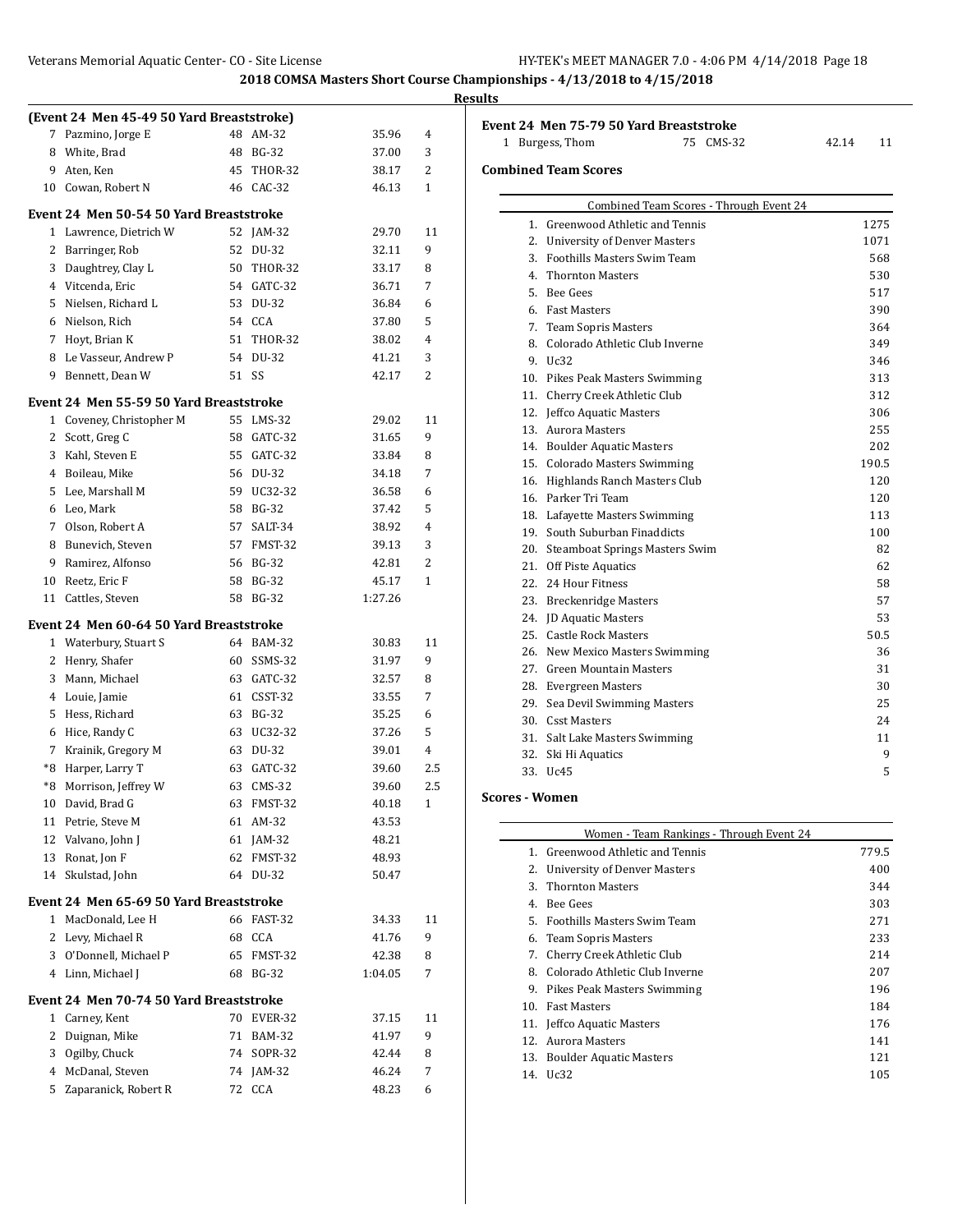|    |                                                            |    |            |         |                | <b>Results</b> |
|----|------------------------------------------------------------|----|------------|---------|----------------|----------------|
|    | (Event 24 Men 45-49 50 Yard Breaststroke)                  |    |            |         |                | Eve            |
|    | 7 Pazmino, Jorge E                                         |    | 48 AM-32   | 35.96   | 4              |                |
| 8  | White, Brad                                                |    | 48 BG-32   | 37.00   | 3              |                |
| 9  | Aten, Ken                                                  |    | 45 THOR-32 | 38.17   | 2              | Con            |
|    | 10 Cowan, Robert N                                         |    | 46 CAC-32  | 46.13   | $\mathbf{1}$   |                |
|    | Event 24  Men 50-54 50 Yard Breaststroke                   |    |            |         |                |                |
|    | 1 Lawrence, Dietrich W                                     |    | 52 JAM-32  | 29.70   | 11             |                |
|    | 2 Barringer, Rob                                           |    | 52 DU-32   | 32.11   | 9              |                |
|    | 3 Daughtrey, Clay L                                        |    | 50 THOR-32 | 33.17   | 8              |                |
|    | 4 Vitcenda, Eric                                           |    | 54 GATC-32 | 36.71   | 7              |                |
|    | 5 Nielsen, Richard L                                       |    | 53 DU-32   | 36.84   | 6              |                |
|    | 6 Nielson, Rich                                            |    | 54 CCA     | 37.80   | 5              |                |
|    | 7 Hoyt, Brian K                                            |    | 51 THOR-32 | 38.02   | 4              |                |
|    | 8 Le Vasseur, Andrew P                                     |    | 54 DU-32   | 41.21   | 3              |                |
| 9  | Bennett, Dean W                                            |    | 51 SS      | 42.17   | $\overline{c}$ |                |
|    | Event 24  Men 55-59 50 Yard Breaststroke                   |    |            |         |                |                |
|    | 1 Coveney, Christopher M                                   |    | 55 LMS-32  | 29.02   | 11             |                |
| 2  | Scott, Greg C                                              |    | 58 GATC-32 | 31.65   | 9              |                |
|    | 3 Kahl, Steven E                                           |    | 55 GATC-32 | 33.84   | 8              |                |
|    | 4 Boileau, Mike                                            |    | 56 DU-32   | 34.18   | 7              |                |
|    | 5 Lee, Marshall M                                          |    | 59 UC32-32 | 36.58   | 6              |                |
|    | 6 Leo, Mark                                                |    | 58 BG-32   | 37.42   | 5              |                |
|    | 7 Olson, Robert A                                          |    | 57 SALT-34 | 38.92   | 4              |                |
|    | 8 Bunevich, Steven                                         |    | 57 FMST-32 | 39.13   | 3              |                |
| 9  | Ramirez, Alfonso                                           |    | 56 BG-32   | 42.81   | 2              |                |
| 10 | Reetz, Eric F                                              |    | 58 BG-32   | 45.17   | $\mathbf{1}$   |                |
|    | 11 Cattles, Steven                                         |    | 58 BG-32   | 1:27.26 |                |                |
|    | Event 24 Men 60-64 50 Yard Breaststroke                    |    |            |         |                |                |
|    | 1 Waterbury, Stuart S                                      |    | 64 BAM-32  | 30.83   | 11             |                |
|    | 2 Henry, Shafer                                            |    | 60 SSMS-32 | 31.97   | 9              |                |
|    | 3 Mann, Michael                                            |    | 63 GATC-32 | 32.57   | 8              |                |
|    | 4 Louie, Jamie                                             |    | 61 CSST-32 | 33.55   | 7              |                |
|    | 5 Hess, Richard                                            |    | 63 BG-32   | 35.25   | 6              |                |
|    | 6 Hice, Randy C                                            |    | 63 UC32-32 | 37.26   | 5              |                |
|    | 7 Krainik, Gregory M                                       |    | 63 DU-32   | 39.01   | 4              |                |
|    | *8 Harper, Larry T                                         |    | 63 GATC-32 | 39.60   | 2.5            |                |
|    | *8 Morrison, Jeffrey W                                     |    | 63 CMS-32  | 39.60   | 2.5            |                |
|    | 10 David, Brad G                                           |    | 63 FMST-32 | 40.18   | 1              | Sco            |
| 11 | Petrie, Steve M                                            |    | 61 AM-32   | 43.53   |                |                |
|    | 12 Valvano, John J                                         |    | 61 JAM-32  | 48.21   |                |                |
| 13 | Ronat, Jon F                                               | 62 | FMST-32    | 48.93   |                |                |
| 14 | Skulstad, John                                             |    | 64 DU-32   | 50.47   |                |                |
|    | Event 24 Men 65-69 50 Yard Breaststroke                    |    |            |         |                |                |
|    | 1 MacDonald, Lee H                                         |    | 66 FAST-32 | 34.33   | 11             |                |
|    | 2 Levy, Michael R                                          |    | 68 CCA     | 41.76   | 9              |                |
|    | 3 O'Donnell, Michael P                                     |    | 65 FMST-32 | 42.38   | 8              |                |
|    | 4 Linn, Michael J                                          |    | 68 BG-32   | 1:04.05 | 7              |                |
|    |                                                            |    |            |         |                |                |
|    | Event 24  Men 70-74 50 Yard Breaststroke<br>1 Carney, Kent |    | 70 EVER-32 |         | 11             |                |
|    |                                                            |    |            | 37.15   |                |                |
| 2  | Duignan, Mike                                              |    | 71 BAM-32  | 41.97   | 9              |                |
| 3  | Ogilby, Chuck                                              | 74 | SOPR-32    | 42.44   | 8              |                |
| 4  | McDanal, Steven                                            |    | 74 JAM-32  | 46.24   | 7              |                |
|    | 5 Zaparanick, Robert R                                     |    | 72 CCA     | 48.23   | 6              |                |

| Event 24 Men 75-79 50 Yard Breaststroke<br>75 CMS-32<br>1 Burgess, Thom | 42.14 | 11    |
|-------------------------------------------------------------------------|-------|-------|
| <b>Combined Team Scores</b>                                             |       |       |
|                                                                         |       |       |
| Combined Team Scores - Through Event 24                                 |       |       |
| 1. Greenwood Athletic and Tennis                                        |       | 1275  |
| 2. University of Denver Masters                                         |       | 1071  |
| 3. Foothills Masters Swim Team                                          |       | 568   |
| 4. Thornton Masters                                                     |       | 530   |
| 5. Bee Gees                                                             |       | 517   |
| 6. Fast Masters                                                         |       | 390   |
| 7. Team Sopris Masters                                                  |       | 364   |
| 8. Colorado Athletic Club Inverne                                       |       | 349   |
| 9. Uc32                                                                 |       | 346   |
| 10. Pikes Peak Masters Swimming                                         |       | 313   |
| 11. Cherry Creek Athletic Club                                          |       | 312   |
| 12. Jeffco Aquatic Masters                                              |       | 306   |
| 13. Aurora Masters                                                      |       | 255   |
| 14. Boulder Aquatic Masters                                             |       | 202   |
| 15. Colorado Masters Swimming                                           |       | 190.5 |
| 16. Highlands Ranch Masters Club                                        |       | 120   |
| 16. Parker Tri Team                                                     |       | 120   |
| 18. Lafayette Masters Swimming                                          |       | 113   |
| 19. South Suburban Finaddicts                                           |       | 100   |
| 20. Steamboat Springs Masters Swim                                      |       | 82    |
| 21. Off Piste Aquatics                                                  |       | 62    |
| 22. 24 Hour Fitness                                                     |       | 58    |
| 23. Breckenridge Masters                                                |       | 57    |
| 24. JD Aquatic Masters                                                  |       | 53    |
| 25. Castle Rock Masters                                                 |       | 50.5  |
| 26. New Mexico Masters Swimming                                         |       | 36    |
| 27. Green Mountain Masters                                              |       | 31    |
| 28. Evergreen Masters                                                   |       | 30    |
| 29. Sea Devil Swimming Masters                                          |       | 25    |
| 30. Csst Masters                                                        |       | 24    |
| 31. Salt Lake Masters Swimming                                          |       | 11    |
| 32. Ski Hi Aquatics                                                     |       | 9     |
| 33. Uc45                                                                |       | 5     |

## **Scores - Women**

| Women - Team Rankings - Through Event 24 |                                  |       |  |  |
|------------------------------------------|----------------------------------|-------|--|--|
|                                          | 1. Greenwood Athletic and Tennis | 779.5 |  |  |
| 2.                                       | University of Denver Masters     | 400   |  |  |
| 3.                                       | Thornton Masters                 | 344   |  |  |
| 4 <sup>2</sup>                           | <b>Bee Gees</b>                  | 303   |  |  |
| 5.                                       | Foothills Masters Swim Team      | 271   |  |  |
|                                          | 6. Team Sopris Masters           | 233   |  |  |
| 7.                                       | Cherry Creek Athletic Club       | 214   |  |  |
| 8.                                       | Colorado Athletic Club Inverne   | 207   |  |  |
| 9.                                       | Pikes Peak Masters Swimming      | 196   |  |  |
| 10.                                      | <b>Fast Masters</b>              | 184   |  |  |
|                                          | 11. Jeffco Aquatic Masters       | 176   |  |  |
| 12 <sup>1</sup>                          | Aurora Masters                   | 141   |  |  |
| 13.                                      | <b>Boulder Aquatic Masters</b>   | 121   |  |  |
| 14.                                      | - Uc32                           | 105   |  |  |
|                                          |                                  |       |  |  |